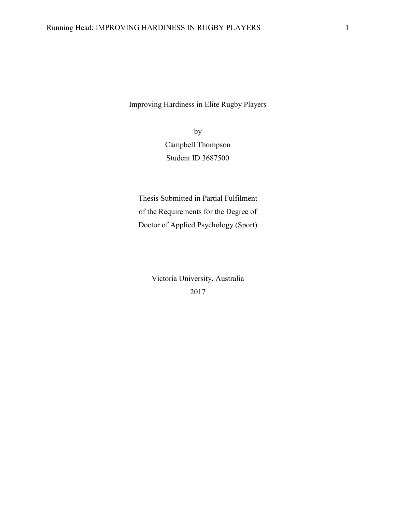Improving Hardiness in Elite Rugby Players

by Campbell Thompson Student ID 3687500

Thesis Submitted in Partial Fulfilment of the Requirements for the Degree of Doctor of Applied Psychology (Sport)

> Victoria University, Australia 2017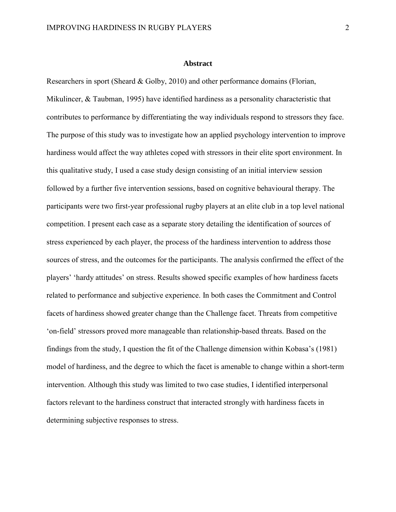#### **Abstract**

Researchers in sport (Sheard & Golby, 2010) and other performance domains (Florian, Mikulincer, & Taubman, 1995) have identified hardiness as a personality characteristic that contributes to performance by differentiating the way individuals respond to stressors they face. The purpose of this study was to investigate how an applied psychology intervention to improve hardiness would affect the way athletes coped with stressors in their elite sport environment. In this qualitative study, I used a case study design consisting of an initial interview session followed by a further five intervention sessions, based on cognitive behavioural therapy. The participants were two first-year professional rugby players at an elite club in a top level national competition. I present each case as a separate story detailing the identification of sources of stress experienced by each player, the process of the hardiness intervention to address those sources of stress, and the outcomes for the participants. The analysis confirmed the effect of the players' 'hardy attitudes' on stress. Results showed specific examples of how hardiness facets related to performance and subjective experience. In both cases the Commitment and Control facets of hardiness showed greater change than the Challenge facet. Threats from competitive 'on-field' stressors proved more manageable than relationship-based threats. Based on the findings from the study, I question the fit of the Challenge dimension within Kobasa's (1981) model of hardiness, and the degree to which the facet is amenable to change within a short-term intervention. Although this study was limited to two case studies, I identified interpersonal factors relevant to the hardiness construct that interacted strongly with hardiness facets in determining subjective responses to stress.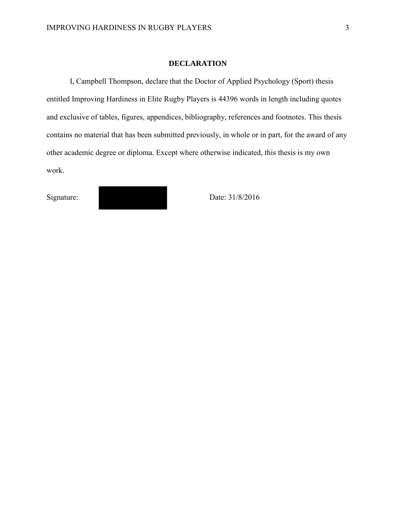#### **DECLARATION**

I, Campbell Thompson, declare that the Doctor of Applied Psychology (Sport) thesis entitled Improving Hardiness in Elite Rugby Players is 44396 words in length including quotes and exclusive of tables, figures, appendices, bibliography, references and footnotes. This thesis contains no material that has been submitted previously, in whole or in part, for the award of any other academic degree or diploma. Except where otherwise indicated, this thesis is my own work.

Signature: Date: 31/8/2016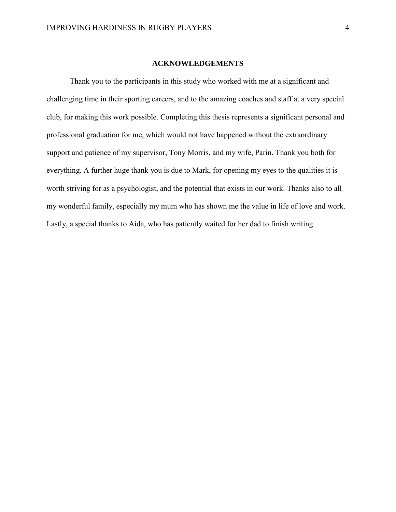#### **ACKNOWLEDGEMENTS**

Thank you to the participants in this study who worked with me at a significant and challenging time in their sporting careers, and to the amazing coaches and staff at a very special club, for making this work possible. Completing this thesis represents a significant personal and professional graduation for me, which would not have happened without the extraordinary support and patience of my supervisor, Tony Morris, and my wife, Parin. Thank you both for everything. A further huge thank you is due to Mark, for opening my eyes to the qualities it is worth striving for as a psychologist, and the potential that exists in our work. Thanks also to all my wonderful family, especially my mum who has shown me the value in life of love and work. Lastly, a special thanks to Aida, who has patiently waited for her dad to finish writing.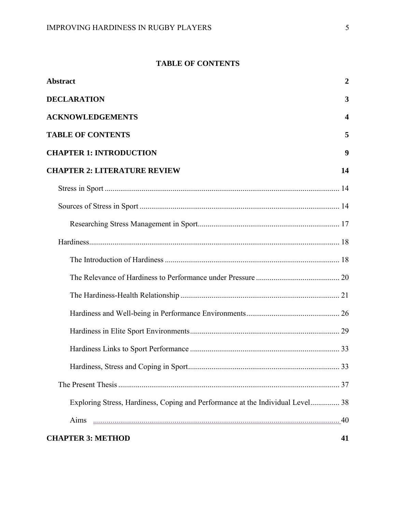## **TABLE OF CONTENTS**

| <b>Abstract</b>                                                                | $\boldsymbol{2}$ |
|--------------------------------------------------------------------------------|------------------|
| <b>DECLARATION</b>                                                             | 3                |
| <b>ACKNOWLEDGEMENTS</b>                                                        | $\boldsymbol{4}$ |
| <b>TABLE OF CONTENTS</b>                                                       | 5                |
| <b>CHAPTER 1: INTRODUCTION</b>                                                 | 9                |
| <b>CHAPTER 2: LITERATURE REVIEW</b>                                            | 14               |
|                                                                                |                  |
|                                                                                |                  |
|                                                                                |                  |
|                                                                                |                  |
|                                                                                |                  |
|                                                                                |                  |
|                                                                                |                  |
|                                                                                |                  |
|                                                                                |                  |
|                                                                                |                  |
|                                                                                |                  |
|                                                                                |                  |
| Exploring Stress, Hardiness, Coping and Performance at the Individual Level 38 |                  |
| Aims                                                                           |                  |
| <b>CHAPTER 3: METHOD</b>                                                       | 41               |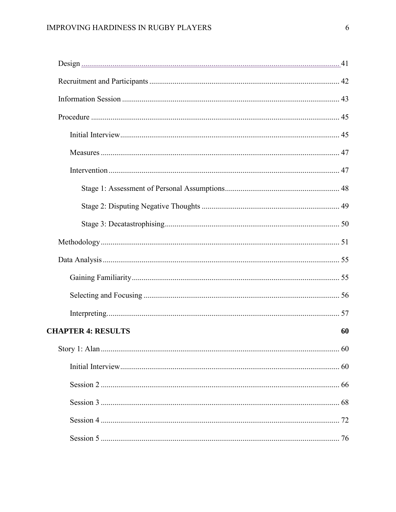| <b>CHAPTER 4: RESULTS</b> | 60 |
|---------------------------|----|
|                           |    |
|                           |    |
|                           |    |
|                           |    |
|                           |    |
|                           |    |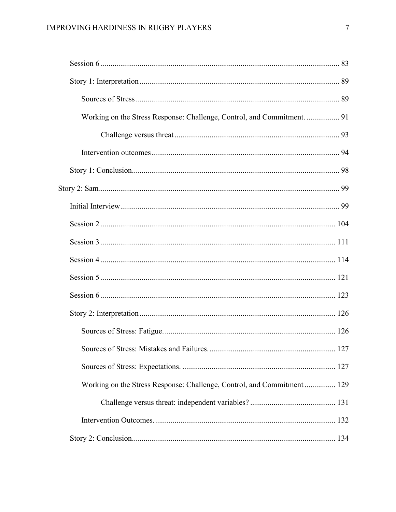| Working on the Stress Response: Challenge, Control, and Commitment.  91 |  |
|-------------------------------------------------------------------------|--|
|                                                                         |  |
|                                                                         |  |
|                                                                         |  |
|                                                                         |  |
|                                                                         |  |
|                                                                         |  |
|                                                                         |  |
|                                                                         |  |
|                                                                         |  |
|                                                                         |  |
|                                                                         |  |
|                                                                         |  |
|                                                                         |  |
|                                                                         |  |
| Working on the Stress Response: Challenge, Control, and Commitment  129 |  |
|                                                                         |  |
|                                                                         |  |
|                                                                         |  |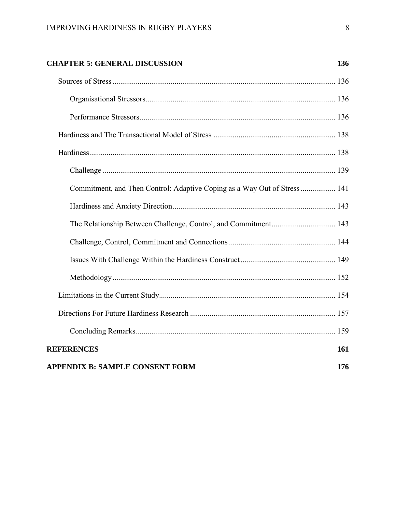# **CHAPTER 5: GENERAL DISCUSSION 136**

| Commitment, and Then Control: Adaptive Coping as a Way Out of Stress  141 |     |
|---------------------------------------------------------------------------|-----|
|                                                                           |     |
|                                                                           |     |
|                                                                           |     |
|                                                                           |     |
|                                                                           |     |
|                                                                           |     |
|                                                                           |     |
|                                                                           |     |
| <b>REFERENCES</b>                                                         | 161 |
| <b>APPENDIX B: SAMPLE CONSENT FORM</b>                                    | 176 |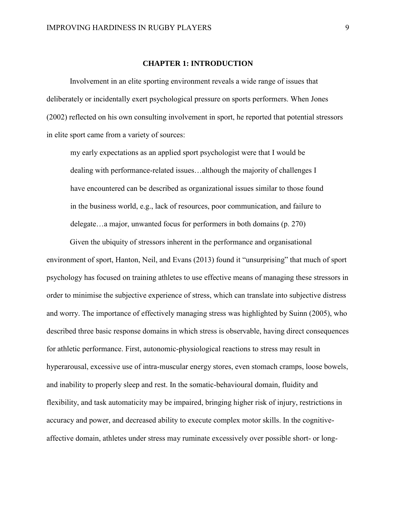## **CHAPTER 1: INTRODUCTION**

Involvement in an elite sporting environment reveals a wide range of issues that deliberately or incidentally exert psychological pressure on sports performers. When Jones (2002) reflected on his own consulting involvement in sport, he reported that potential stressors in elite sport came from a variety of sources:

my early expectations as an applied sport psychologist were that I would be dealing with performance-related issues…although the majority of challenges I have encountered can be described as organizational issues similar to those found in the business world, e.g., lack of resources, poor communication, and failure to delegate…a major, unwanted focus for performers in both domains (p. 270)

Given the ubiquity of stressors inherent in the performance and organisational environment of sport, Hanton, Neil, and Evans (2013) found it "unsurprising" that much of sport psychology has focused on training athletes to use effective means of managing these stressors in order to minimise the subjective experience of stress, which can translate into subjective distress and worry. The importance of effectively managing stress was highlighted by Suinn (2005), who described three basic response domains in which stress is observable, having direct consequences for athletic performance. First, autonomic-physiological reactions to stress may result in hyperarousal, excessive use of intra-muscular energy stores, even stomach cramps, loose bowels, and inability to properly sleep and rest. In the somatic-behavioural domain, fluidity and flexibility, and task automaticity may be impaired, bringing higher risk of injury, restrictions in accuracy and power, and decreased ability to execute complex motor skills. In the cognitiveaffective domain, athletes under stress may ruminate excessively over possible short- or long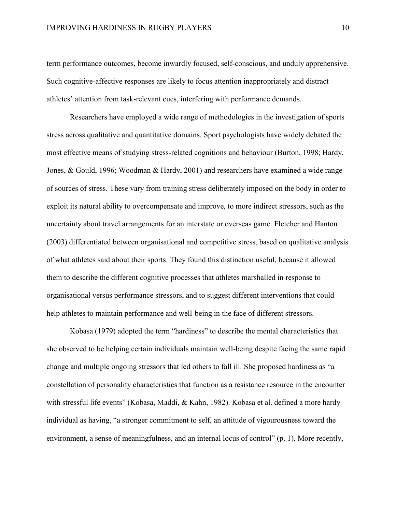term performance outcomes, become inwardly focused, self-conscious, and unduly apprehensive. Such cognitive-affective responses are likely to focus attention inappropriately and distract athletes' attention from task-relevant cues, interfering with performance demands.

Researchers have employed a wide range of methodologies in the investigation of sports stress across qualitative and quantitative domains. Sport psychologists have widely debated the most effective means of studying stress-related cognitions and behaviour (Burton, 1998; Hardy, Jones, & Gould, 1996; Woodman & Hardy, 2001) and researchers have examined a wide range of sources of stress. These vary from training stress deliberately imposed on the body in order to exploit its natural ability to overcompensate and improve, to more indirect stressors, such as the uncertainty about travel arrangements for an interstate or overseas game. Fletcher and Hanton (2003) differentiated between organisational and competitive stress, based on qualitative analysis of what athletes said about their sports. They found this distinction useful, because it allowed them to describe the different cognitive processes that athletes marshalled in response to organisational versus performance stressors, and to suggest different interventions that could help athletes to maintain performance and well-being in the face of different stressors.

Kobasa (1979) adopted the term "hardiness" to describe the mental characteristics that she observed to be helping certain individuals maintain well-being despite facing the same rapid change and multiple ongoing stressors that led others to fall ill. She proposed hardiness as "a constellation of personality characteristics that function as a resistance resource in the encounter with stressful life events" (Kobasa, Maddi, & Kahn, 1982). Kobasa et al. defined a more hardy individual as having, "a stronger commitment to self, an attitude of vigourousness toward the environment, a sense of meaningfulness, and an internal locus of control" (p. 1). More recently,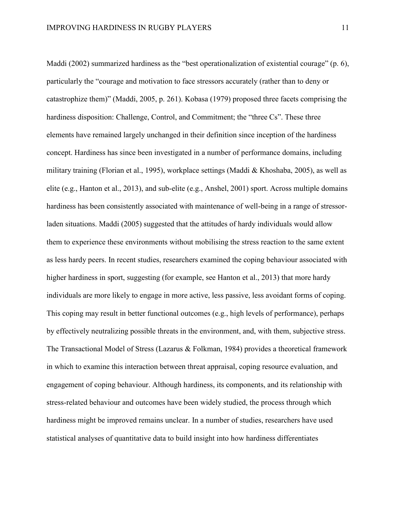Maddi (2002) summarized hardiness as the "best operationalization of existential courage" (p. 6), particularly the "courage and motivation to face stressors accurately (rather than to deny or catastrophize them)" (Maddi, 2005, p. 261). Kobasa (1979) proposed three facets comprising the hardiness disposition: Challenge, Control, and Commitment; the "three Cs". These three elements have remained largely unchanged in their definition since inception of the hardiness concept. Hardiness has since been investigated in a number of performance domains, including military training (Florian et al., 1995), workplace settings (Maddi & Khoshaba, 2005), as well as elite (e.g., Hanton et al., 2013), and sub-elite (e.g., Anshel, 2001) sport. Across multiple domains hardiness has been consistently associated with maintenance of well-being in a range of stressorladen situations. Maddi (2005) suggested that the attitudes of hardy individuals would allow them to experience these environments without mobilising the stress reaction to the same extent as less hardy peers. In recent studies, researchers examined the coping behaviour associated with higher hardiness in sport, suggesting (for example, see Hanton et al., 2013) that more hardy individuals are more likely to engage in more active, less passive, less avoidant forms of coping. This coping may result in better functional outcomes (e.g., high levels of performance), perhaps by effectively neutralizing possible threats in the environment, and, with them, subjective stress. The Transactional Model of Stress (Lazarus & Folkman, 1984) provides a theoretical framework in which to examine this interaction between threat appraisal, coping resource evaluation, and engagement of coping behaviour. Although hardiness, its components, and its relationship with stress-related behaviour and outcomes have been widely studied, the process through which hardiness might be improved remains unclear. In a number of studies, researchers have used statistical analyses of quantitative data to build insight into how hardiness differentiates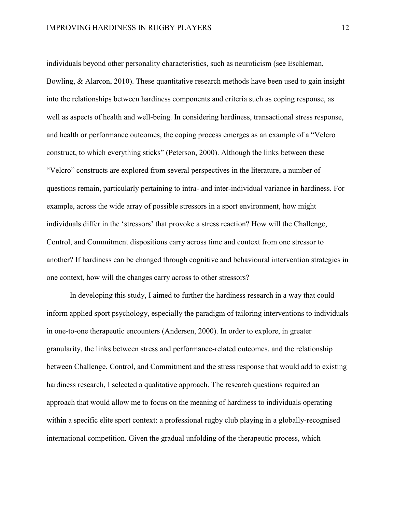individuals beyond other personality characteristics, such as neuroticism (see Eschleman, Bowling, & Alarcon, 2010). These quantitative research methods have been used to gain insight into the relationships between hardiness components and criteria such as coping response, as well as aspects of health and well-being. In considering hardiness, transactional stress response, and health or performance outcomes, the coping process emerges as an example of a "Velcro construct, to which everything sticks" (Peterson, 2000). Although the links between these "Velcro" constructs are explored from several perspectives in the literature, a number of questions remain, particularly pertaining to intra- and inter-individual variance in hardiness. For example, across the wide array of possible stressors in a sport environment, how might individuals differ in the 'stressors' that provoke a stress reaction? How will the Challenge, Control, and Commitment dispositions carry across time and context from one stressor to another? If hardiness can be changed through cognitive and behavioural intervention strategies in one context, how will the changes carry across to other stressors?

In developing this study, I aimed to further the hardiness research in a way that could inform applied sport psychology, especially the paradigm of tailoring interventions to individuals in one-to-one therapeutic encounters (Andersen, 2000). In order to explore, in greater granularity, the links between stress and performance-related outcomes, and the relationship between Challenge, Control, and Commitment and the stress response that would add to existing hardiness research, I selected a qualitative approach. The research questions required an approach that would allow me to focus on the meaning of hardiness to individuals operating within a specific elite sport context: a professional rugby club playing in a globally-recognised international competition. Given the gradual unfolding of the therapeutic process, which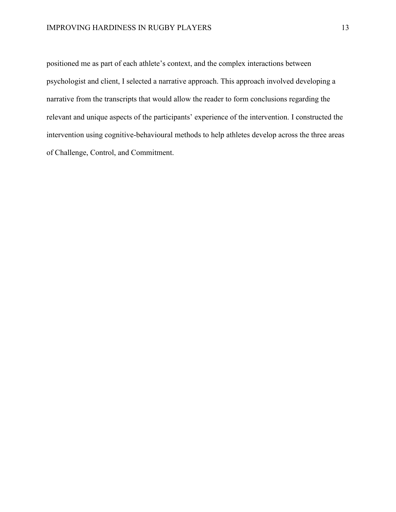positioned me as part of each athlete's context, and the complex interactions between psychologist and client, I selected a narrative approach. This approach involved developing a narrative from the transcripts that would allow the reader to form conclusions regarding the relevant and unique aspects of the participants' experience of the intervention. I constructed the intervention using cognitive-behavioural methods to help athletes develop across the three areas of Challenge, Control, and Commitment.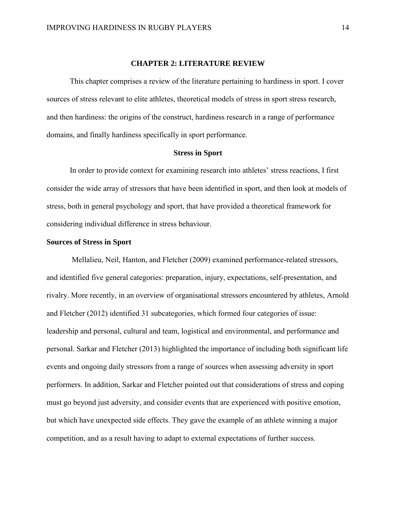#### **CHAPTER 2: LITERATURE REVIEW**

This chapter comprises a review of the literature pertaining to hardiness in sport. I cover sources of stress relevant to elite athletes, theoretical models of stress in sport stress research, and then hardiness: the origins of the construct, hardiness research in a range of performance domains, and finally hardiness specifically in sport performance.

## **Stress in Sport**

In order to provide context for examining research into athletes' stress reactions, I first consider the wide array of stressors that have been identified in sport, and then look at models of stress, both in general psychology and sport, that have provided a theoretical framework for considering individual difference in stress behaviour.

## **Sources of Stress in Sport**

Mellalieu, Neil, Hanton, and Fletcher (2009) examined performance-related stressors, and identified five general categories: preparation, injury, expectations, self-presentation, and rivalry. More recently, in an overview of organisational stressors encountered by athletes, Arnold and Fletcher (2012) identified 31 subcategories, which formed four categories of issue: leadership and personal, cultural and team, logistical and environmental, and performance and personal. Sarkar and Fletcher (2013) highlighted the importance of including both significant life events and ongoing daily stressors from a range of sources when assessing adversity in sport performers. In addition, Sarkar and Fletcher pointed out that considerations of stress and coping must go beyond just adversity, and consider events that are experienced with positive emotion, but which have unexpected side effects. They gave the example of an athlete winning a major competition, and as a result having to adapt to external expectations of further success.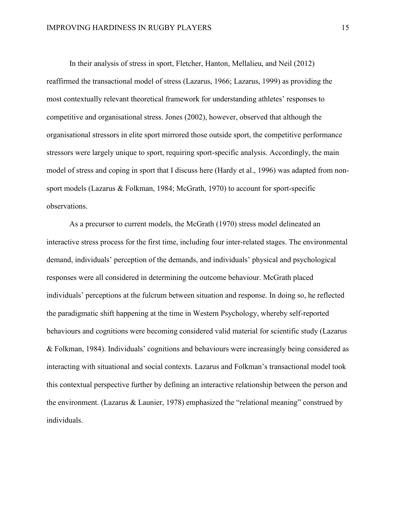In their analysis of stress in sport, Fletcher, Hanton, Mellalieu, and Neil (2012) reaffirmed the transactional model of stress (Lazarus, 1966; Lazarus, 1999) as providing the most contextually relevant theoretical framework for understanding athletes' responses to competitive and organisational stress. Jones (2002), however, observed that although the organisational stressors in elite sport mirrored those outside sport, the competitive performance stressors were largely unique to sport, requiring sport-specific analysis. Accordingly, the main model of stress and coping in sport that I discuss here (Hardy et al., 1996) was adapted from nonsport models (Lazarus & Folkman, 1984; McGrath, 1970) to account for sport-specific observations.

As a precursor to current models, the McGrath (1970) stress model delineated an interactive stress process for the first time, including four inter-related stages. The environmental demand, individuals' perception of the demands, and individuals' physical and psychological responses were all considered in determining the outcome behaviour. McGrath placed individuals' perceptions at the fulcrum between situation and response. In doing so, he reflected the paradigmatic shift happening at the time in Western Psychology, whereby self-reported behaviours and cognitions were becoming considered valid material for scientific study (Lazarus & Folkman, 1984). Individuals' cognitions and behaviours were increasingly being considered as interacting with situational and social contexts. Lazarus and Folkman's transactional model took this contextual perspective further by defining an interactive relationship between the person and the environment. (Lazarus & Launier, 1978) emphasized the "relational meaning" construed by individuals.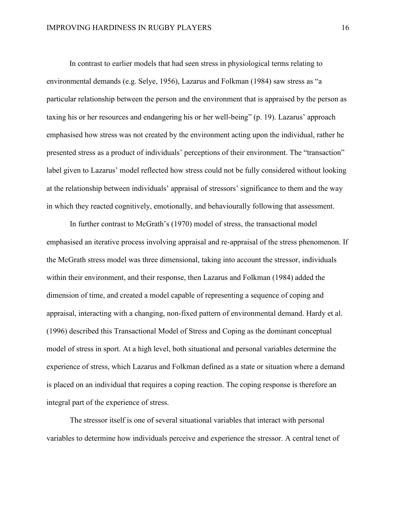In contrast to earlier models that had seen stress in physiological terms relating to environmental demands (e.g. Selye, 1956), Lazarus and Folkman (1984) saw stress as "a particular relationship between the person and the environment that is appraised by the person as taxing his or her resources and endangering his or her well-being" (p. 19). Lazarus' approach emphasised how stress was not created by the environment acting upon the individual, rather he presented stress as a product of individuals' perceptions of their environment. The "transaction" label given to Lazarus' model reflected how stress could not be fully considered without looking at the relationship between individuals' appraisal of stressors' significance to them and the way in which they reacted cognitively, emotionally, and behaviourally following that assessment.

In further contrast to McGrath's (1970) model of stress, the transactional model emphasised an iterative process involving appraisal and re-appraisal of the stress phenomenon. If the McGrath stress model was three dimensional, taking into account the stressor, individuals within their environment, and their response, then Lazarus and Folkman (1984) added the dimension of time, and created a model capable of representing a sequence of coping and appraisal, interacting with a changing, non-fixed pattern of environmental demand. Hardy et al. (1996) described this Transactional Model of Stress and Coping as the dominant conceptual model of stress in sport. At a high level, both situational and personal variables determine the experience of stress, which Lazarus and Folkman defined as a state or situation where a demand is placed on an individual that requires a coping reaction. The coping response is therefore an integral part of the experience of stress.

The stressor itself is one of several situational variables that interact with personal variables to determine how individuals perceive and experience the stressor. A central tenet of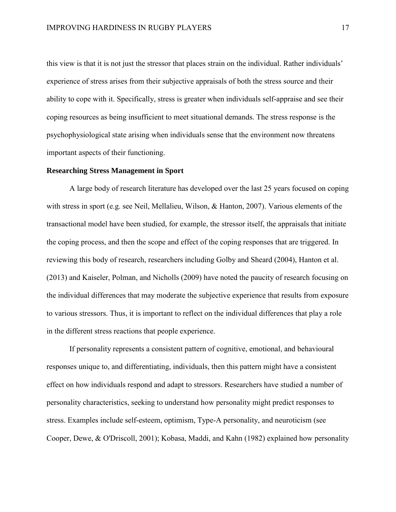this view is that it is not just the stressor that places strain on the individual. Rather individuals' experience of stress arises from their subjective appraisals of both the stress source and their ability to cope with it. Specifically, stress is greater when individuals self-appraise and see their coping resources as being insufficient to meet situational demands. The stress response is the psychophysiological state arising when individuals sense that the environment now threatens important aspects of their functioning.

## **Researching Stress Management in Sport**

A large body of research literature has developed over the last 25 years focused on coping with stress in sport (e.g. see Neil, Mellalieu, Wilson, & Hanton, 2007). Various elements of the transactional model have been studied, for example, the stressor itself, the appraisals that initiate the coping process, and then the scope and effect of the coping responses that are triggered. In reviewing this body of research, researchers including Golby and Sheard (2004), Hanton et al. (2013) and Kaiseler, Polman, and Nicholls (2009) have noted the paucity of research focusing on the individual differences that may moderate the subjective experience that results from exposure to various stressors. Thus, it is important to reflect on the individual differences that play a role in the different stress reactions that people experience.

If personality represents a consistent pattern of cognitive, emotional, and behavioural responses unique to, and differentiating, individuals, then this pattern might have a consistent effect on how individuals respond and adapt to stressors. Researchers have studied a number of personality characteristics, seeking to understand how personality might predict responses to stress. Examples include self-esteem, optimism, Type-A personality, and neuroticism (see Cooper, Dewe, & O'Driscoll, 2001); Kobasa, Maddi, and Kahn (1982) explained how personality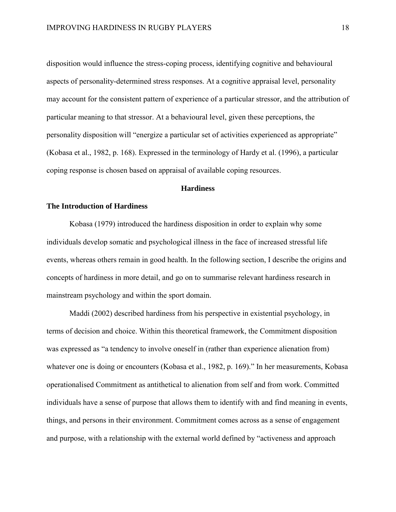disposition would influence the stress-coping process, identifying cognitive and behavioural aspects of personality-determined stress responses. At a cognitive appraisal level, personality may account for the consistent pattern of experience of a particular stressor, and the attribution of particular meaning to that stressor. At a behavioural level, given these perceptions, the personality disposition will "energize a particular set of activities experienced as appropriate" (Kobasa et al., 1982, p. 168). Expressed in the terminology of Hardy et al. (1996), a particular coping response is chosen based on appraisal of available coping resources.

### **Hardiness**

## **The Introduction of Hardiness**

Kobasa (1979) introduced the hardiness disposition in order to explain why some individuals develop somatic and psychological illness in the face of increased stressful life events, whereas others remain in good health. In the following section, I describe the origins and concepts of hardiness in more detail, and go on to summarise relevant hardiness research in mainstream psychology and within the sport domain.

Maddi (2002) described hardiness from his perspective in existential psychology, in terms of decision and choice. Within this theoretical framework, the Commitment disposition was expressed as "a tendency to involve oneself in (rather than experience alienation from) whatever one is doing or encounters (Kobasa et al., 1982, p. 169)." In her measurements, Kobasa operationalised Commitment as antithetical to alienation from self and from work. Committed individuals have a sense of purpose that allows them to identify with and find meaning in events, things, and persons in their environment. Commitment comes across as a sense of engagement and purpose, with a relationship with the external world defined by "activeness and approach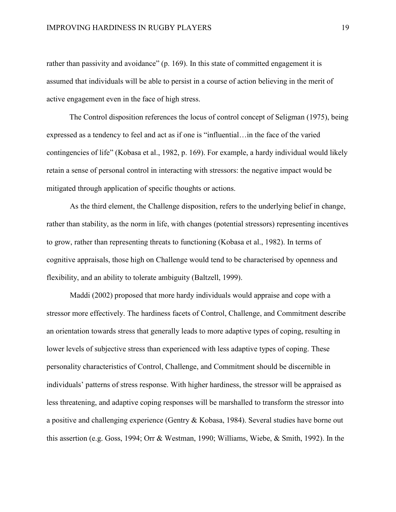rather than passivity and avoidance" (p. 169). In this state of committed engagement it is assumed that individuals will be able to persist in a course of action believing in the merit of active engagement even in the face of high stress.

The Control disposition references the locus of control concept of Seligman (1975), being expressed as a tendency to feel and act as if one is "influential…in the face of the varied contingencies of life" (Kobasa et al., 1982, p. 169). For example, a hardy individual would likely retain a sense of personal control in interacting with stressors: the negative impact would be mitigated through application of specific thoughts or actions.

As the third element, the Challenge disposition, refers to the underlying belief in change, rather than stability, as the norm in life, with changes (potential stressors) representing incentives to grow, rather than representing threats to functioning (Kobasa et al., 1982). In terms of cognitive appraisals, those high on Challenge would tend to be characterised by openness and flexibility, and an ability to tolerate ambiguity (Baltzell, 1999).

Maddi (2002) proposed that more hardy individuals would appraise and cope with a stressor more effectively. The hardiness facets of Control, Challenge, and Commitment describe an orientation towards stress that generally leads to more adaptive types of coping, resulting in lower levels of subjective stress than experienced with less adaptive types of coping. These personality characteristics of Control, Challenge, and Commitment should be discernible in individuals' patterns of stress response. With higher hardiness, the stressor will be appraised as less threatening, and adaptive coping responses will be marshalled to transform the stressor into a positive and challenging experience (Gentry & Kobasa, 1984). Several studies have borne out this assertion (e.g. Goss, 1994; Orr & Westman, 1990; Williams, Wiebe, & Smith, 1992). In the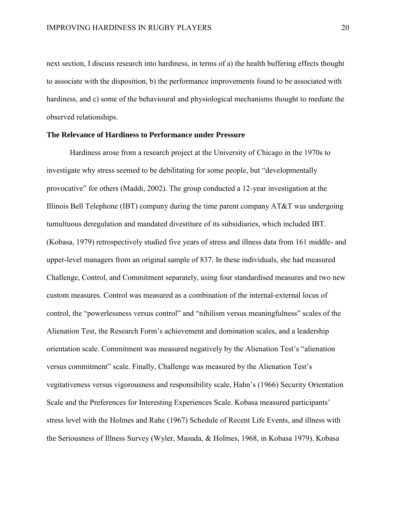next section, I discuss research into hardiness, in terms of a) the health buffering effects thought to associate with the disposition, b) the performance improvements found to be associated with hardiness, and c) some of the behavioural and physiological mechanisms thought to mediate the observed relationships.

## **The Relevance of Hardiness to Performance under Pressure**

Hardiness arose from a research project at the University of Chicago in the 1970s to investigate why stress seemed to be debilitating for some people, but "developmentally provocative" for others (Maddi, 2002). The group conducted a 12-year investigation at the Illinois Bell Telephone (IBT) company during the time parent company AT&T was undergoing tumultuous deregulation and mandated divestiture of its subsidiaries, which included IBT. (Kobasa, 1979) retrospectively studied five years of stress and illness data from 161 middle- and upper-level managers from an original sample of 837. In these individuals, she had measured Challenge, Control, and Commitment separately, using four standardised measures and two new custom measures. Control was measured as a combination of the internal-external locus of control, the "powerlessness versus control" and "nihilism versus meaningfulness" scales of the Alienation Test, the Research Form's achievement and domination scales, and a leadership orientation scale. Commitment was measured negatively by the Alienation Test's "alienation versus commitment" scale. Finally, Challenge was measured by the Alienation Test's vegitativeness versus vigorousness and responsibility scale, Hahn's (1966) Security Orientation Scale and the Preferences for Interesting Experiences Scale. Kobasa measured participants' stress level with the Holmes and Rahe (1967) Schedule of Recent Life Events, and illness with the Seriousness of Illness Survey (Wyler, Masuda, & Holmes, 1968, in Kobasa 1979). Kobasa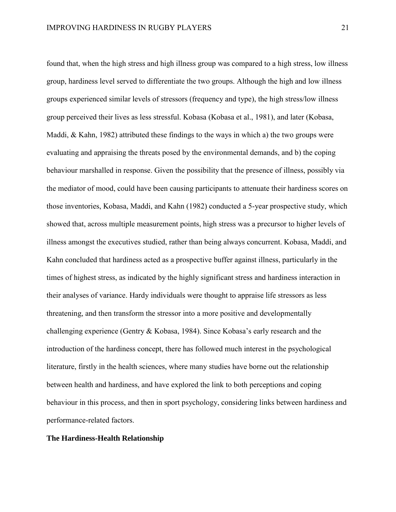found that, when the high stress and high illness group was compared to a high stress, low illness group, hardiness level served to differentiate the two groups. Although the high and low illness groups experienced similar levels of stressors (frequency and type), the high stress/low illness group perceived their lives as less stressful. Kobasa (Kobasa et al., 1981), and later (Kobasa, Maddi, & Kahn, 1982) attributed these findings to the ways in which a) the two groups were evaluating and appraising the threats posed by the environmental demands, and b) the coping behaviour marshalled in response. Given the possibility that the presence of illness, possibly via the mediator of mood, could have been causing participants to attenuate their hardiness scores on those inventories, Kobasa, Maddi, and Kahn (1982) conducted a 5-year prospective study, which showed that, across multiple measurement points, high stress was a precursor to higher levels of illness amongst the executives studied, rather than being always concurrent. Kobasa, Maddi, and Kahn concluded that hardiness acted as a prospective buffer against illness, particularly in the times of highest stress, as indicated by the highly significant stress and hardiness interaction in their analyses of variance. Hardy individuals were thought to appraise life stressors as less threatening, and then transform the stressor into a more positive and developmentally challenging experience (Gentry & Kobasa, 1984). Since Kobasa's early research and the introduction of the hardiness concept, there has followed much interest in the psychological literature, firstly in the health sciences, where many studies have borne out the relationship between health and hardiness, and have explored the link to both perceptions and coping behaviour in this process, and then in sport psychology, considering links between hardiness and performance-related factors.

#### **The Hardiness-Health Relationship**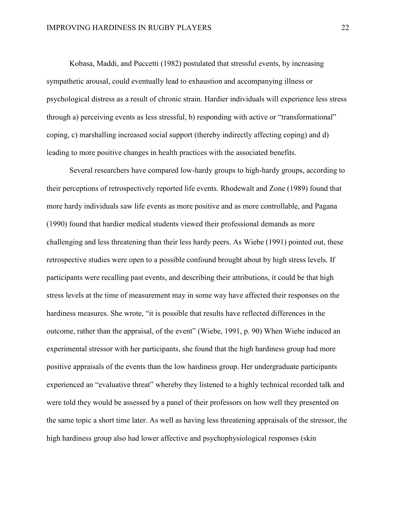Kobasa, Maddi, and Puccetti (1982) postulated that stressful events, by increasing sympathetic arousal, could eventually lead to exhaustion and accompanying illness or psychological distress as a result of chronic strain. Hardier individuals will experience less stress through a) perceiving events as less stressful, b) responding with active or "transformational" coping, c) marshalling increased social support (thereby indirectly affecting coping) and d) leading to more positive changes in health practices with the associated benefits.

Several researchers have compared low-hardy groups to high-hardy groups, according to their perceptions of retrospectively reported life events. Rhodewalt and Zone (1989) found that more hardy individuals saw life events as more positive and as more controllable, and Pagana (1990) found that hardier medical students viewed their professional demands as more challenging and less threatening than their less hardy peers. As Wiebe (1991) pointed out, these retrospective studies were open to a possible confound brought about by high stress levels. If participants were recalling past events, and describing their attributions, it could be that high stress levels at the time of measurement may in some way have affected their responses on the hardiness measures. She wrote, "it is possible that results have reflected differences in the outcome, rather than the appraisal, of the event" (Wiebe, 1991, p. 90) When Wiebe induced an experimental stressor with her participants, she found that the high hardiness group had more positive appraisals of the events than the low hardiness group. Her undergraduate participants experienced an "evaluative threat" whereby they listened to a highly technical recorded talk and were told they would be assessed by a panel of their professors on how well they presented on the same topic a short time later. As well as having less threatening appraisals of the stressor, the high hardiness group also had lower affective and psychophysiological responses (skin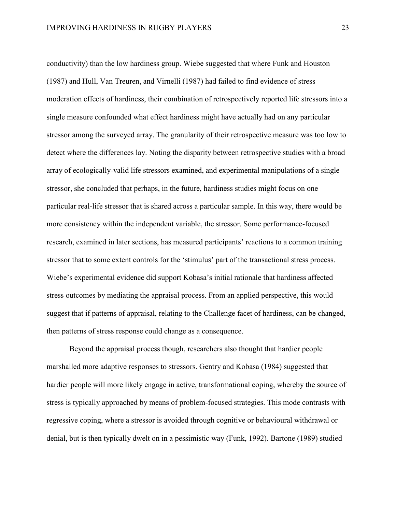conductivity) than the low hardiness group. Wiebe suggested that where Funk and Houston (1987) and Hull, Van Treuren, and Virnelli (1987) had failed to find evidence of stress moderation effects of hardiness, their combination of retrospectively reported life stressors into a single measure confounded what effect hardiness might have actually had on any particular stressor among the surveyed array. The granularity of their retrospective measure was too low to detect where the differences lay. Noting the disparity between retrospective studies with a broad array of ecologically-valid life stressors examined, and experimental manipulations of a single stressor, she concluded that perhaps, in the future, hardiness studies might focus on one particular real-life stressor that is shared across a particular sample. In this way, there would be more consistency within the independent variable, the stressor. Some performance-focused research, examined in later sections, has measured participants' reactions to a common training stressor that to some extent controls for the 'stimulus' part of the transactional stress process. Wiebe's experimental evidence did support Kobasa's initial rationale that hardiness affected stress outcomes by mediating the appraisal process. From an applied perspective, this would suggest that if patterns of appraisal, relating to the Challenge facet of hardiness, can be changed, then patterns of stress response could change as a consequence.

Beyond the appraisal process though, researchers also thought that hardier people marshalled more adaptive responses to stressors. Gentry and Kobasa (1984) suggested that hardier people will more likely engage in active, transformational coping, whereby the source of stress is typically approached by means of problem-focused strategies. This mode contrasts with regressive coping, where a stressor is avoided through cognitive or behavioural withdrawal or denial, but is then typically dwelt on in a pessimistic way (Funk, 1992). Bartone (1989) studied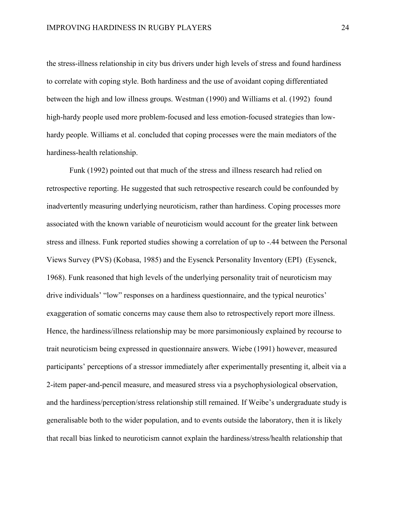the stress-illness relationship in city bus drivers under high levels of stress and found hardiness to correlate with coping style. Both hardiness and the use of avoidant coping differentiated between the high and low illness groups. Westman (1990) and Williams et al. (1992) found high-hardy people used more problem-focused and less emotion-focused strategies than lowhardy people. Williams et al. concluded that coping processes were the main mediators of the hardiness-health relationship.

Funk (1992) pointed out that much of the stress and illness research had relied on retrospective reporting. He suggested that such retrospective research could be confounded by inadvertently measuring underlying neuroticism, rather than hardiness. Coping processes more associated with the known variable of neuroticism would account for the greater link between stress and illness. Funk reported studies showing a correlation of up to -.44 between the Personal Views Survey (PVS) (Kobasa, 1985) and the Eysenck Personality Inventory (EPI) (Eysenck, 1968). Funk reasoned that high levels of the underlying personality trait of neuroticism may drive individuals' "low" responses on a hardiness questionnaire, and the typical neurotics' exaggeration of somatic concerns may cause them also to retrospectively report more illness. Hence, the hardiness/illness relationship may be more parsimoniously explained by recourse to trait neuroticism being expressed in questionnaire answers. Wiebe (1991) however, measured participants' perceptions of a stressor immediately after experimentally presenting it, albeit via a 2-item paper-and-pencil measure, and measured stress via a psychophysiological observation, and the hardiness/perception/stress relationship still remained. If Weibe's undergraduate study is generalisable both to the wider population, and to events outside the laboratory, then it is likely that recall bias linked to neuroticism cannot explain the hardiness/stress/health relationship that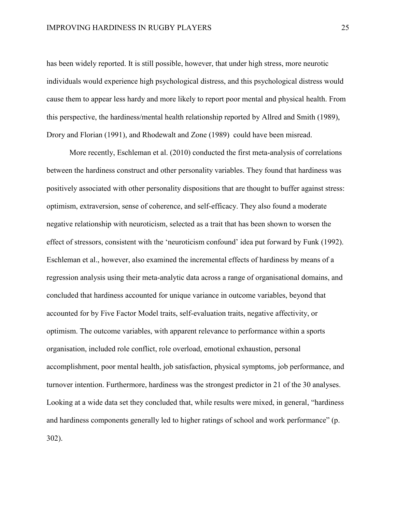has been widely reported. It is still possible, however, that under high stress, more neurotic individuals would experience high psychological distress, and this psychological distress would cause them to appear less hardy and more likely to report poor mental and physical health. From this perspective, the hardiness/mental health relationship reported by Allred and Smith (1989), Drory and Florian (1991), and Rhodewalt and Zone (1989) could have been misread.

More recently, Eschleman et al. (2010) conducted the first meta-analysis of correlations between the hardiness construct and other personality variables. They found that hardiness was positively associated with other personality dispositions that are thought to buffer against stress: optimism, extraversion, sense of coherence, and self-efficacy. They also found a moderate negative relationship with neuroticism, selected as a trait that has been shown to worsen the effect of stressors, consistent with the 'neuroticism confound' idea put forward by Funk (1992). Eschleman et al., however, also examined the incremental effects of hardiness by means of a regression analysis using their meta-analytic data across a range of organisational domains, and concluded that hardiness accounted for unique variance in outcome variables, beyond that accounted for by Five Factor Model traits, self-evaluation traits, negative affectivity, or optimism. The outcome variables, with apparent relevance to performance within a sports organisation, included role conflict, role overload, emotional exhaustion, personal accomplishment, poor mental health, job satisfaction, physical symptoms, job performance, and turnover intention. Furthermore, hardiness was the strongest predictor in 21 of the 30 analyses. Looking at a wide data set they concluded that, while results were mixed, in general, "hardiness and hardiness components generally led to higher ratings of school and work performance" (p. 302).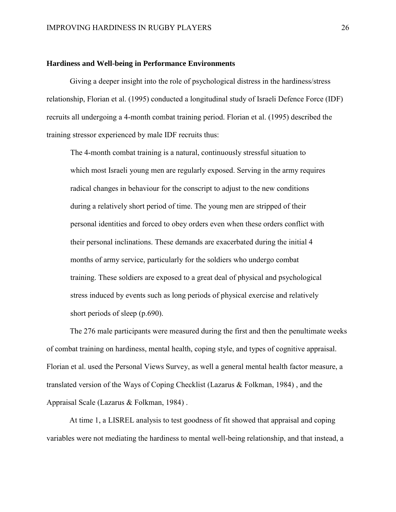#### **Hardiness and Well-being in Performance Environments**

Giving a deeper insight into the role of psychological distress in the hardiness/stress relationship, Florian et al. (1995) conducted a longitudinal study of Israeli Defence Force (IDF) recruits all undergoing a 4-month combat training period. Florian et al. (1995) described the training stressor experienced by male IDF recruits thus:

The 4-month combat training is a natural, continuously stressful situation to which most Israeli young men are regularly exposed. Serving in the army requires radical changes in behaviour for the conscript to adjust to the new conditions during a relatively short period of time. The young men are stripped of their personal identities and forced to obey orders even when these orders conflict with their personal inclinations. These demands are exacerbated during the initial 4 months of army service, particularly for the soldiers who undergo combat training. These soldiers are exposed to a great deal of physical and psychological stress induced by events such as long periods of physical exercise and relatively short periods of sleep (p.690).

The 276 male participants were measured during the first and then the penultimate weeks of combat training on hardiness, mental health, coping style, and types of cognitive appraisal. Florian et al. used the Personal Views Survey, as well a general mental health factor measure, a translated version of the Ways of Coping Checklist (Lazarus & Folkman, 1984) , and the Appraisal Scale (Lazarus & Folkman, 1984) .

At time 1, a LISREL analysis to test goodness of fit showed that appraisal and coping variables were not mediating the hardiness to mental well-being relationship, and that instead, a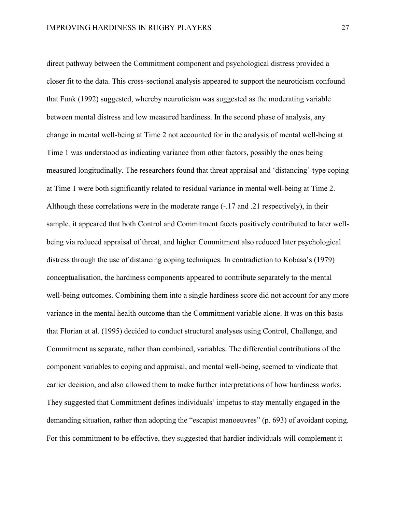direct pathway between the Commitment component and psychological distress provided a closer fit to the data. This cross-sectional analysis appeared to support the neuroticism confound that Funk (1992) suggested, whereby neuroticism was suggested as the moderating variable between mental distress and low measured hardiness. In the second phase of analysis, any change in mental well-being at Time 2 not accounted for in the analysis of mental well-being at Time 1 was understood as indicating variance from other factors, possibly the ones being measured longitudinally. The researchers found that threat appraisal and 'distancing'-type coping at Time 1 were both significantly related to residual variance in mental well-being at Time 2. Although these correlations were in the moderate range (-.17 and .21 respectively), in their sample, it appeared that both Control and Commitment facets positively contributed to later wellbeing via reduced appraisal of threat, and higher Commitment also reduced later psychological distress through the use of distancing coping techniques. In contradiction to Kobasa's (1979) conceptualisation, the hardiness components appeared to contribute separately to the mental well-being outcomes. Combining them into a single hardiness score did not account for any more variance in the mental health outcome than the Commitment variable alone. It was on this basis that Florian et al. (1995) decided to conduct structural analyses using Control, Challenge, and Commitment as separate, rather than combined, variables. The differential contributions of the component variables to coping and appraisal, and mental well-being, seemed to vindicate that earlier decision, and also allowed them to make further interpretations of how hardiness works. They suggested that Commitment defines individuals' impetus to stay mentally engaged in the demanding situation, rather than adopting the "escapist manoeuvres" (p. 693) of avoidant coping. For this commitment to be effective, they suggested that hardier individuals will complement it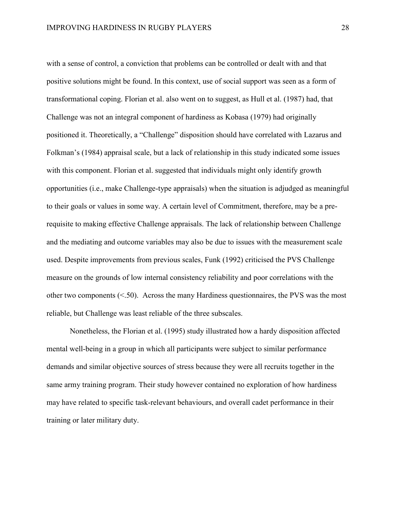with a sense of control, a conviction that problems can be controlled or dealt with and that positive solutions might be found. In this context, use of social support was seen as a form of transformational coping. Florian et al. also went on to suggest, as Hull et al. (1987) had, that Challenge was not an integral component of hardiness as Kobasa (1979) had originally positioned it. Theoretically, a "Challenge" disposition should have correlated with Lazarus and Folkman's (1984) appraisal scale, but a lack of relationship in this study indicated some issues with this component. Florian et al. suggested that individuals might only identify growth opportunities (i.e., make Challenge-type appraisals) when the situation is adjudged as meaningful to their goals or values in some way. A certain level of Commitment, therefore, may be a prerequisite to making effective Challenge appraisals. The lack of relationship between Challenge and the mediating and outcome variables may also be due to issues with the measurement scale used. Despite improvements from previous scales, Funk (1992) criticised the PVS Challenge measure on the grounds of low internal consistency reliability and poor correlations with the other two components  $(< 50$ ). Across the many Hardiness questionnaires, the PVS was the most reliable, but Challenge was least reliable of the three subscales.

Nonetheless, the Florian et al. (1995) study illustrated how a hardy disposition affected mental well-being in a group in which all participants were subject to similar performance demands and similar objective sources of stress because they were all recruits together in the same army training program. Their study however contained no exploration of how hardiness may have related to specific task-relevant behaviours, and overall cadet performance in their training or later military duty.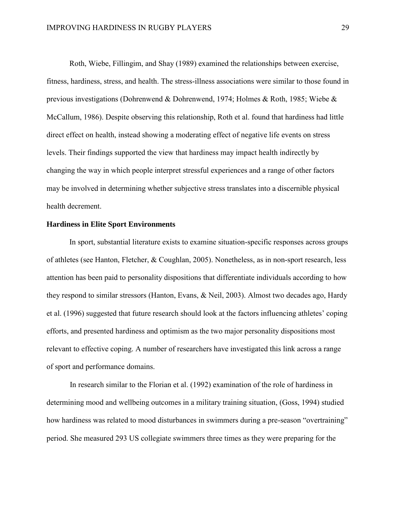Roth, Wiebe, Fillingim, and Shay (1989) examined the relationships between exercise, fitness, hardiness, stress, and health. The stress-illness associations were similar to those found in previous investigations (Dohrenwend & Dohrenwend, 1974; Holmes & Roth, 1985; Wiebe & McCallum, 1986). Despite observing this relationship, Roth et al. found that hardiness had little direct effect on health, instead showing a moderating effect of negative life events on stress levels. Their findings supported the view that hardiness may impact health indirectly by changing the way in which people interpret stressful experiences and a range of other factors may be involved in determining whether subjective stress translates into a discernible physical health decrement.

## **Hardiness in Elite Sport Environments**

In sport, substantial literature exists to examine situation-specific responses across groups of athletes (see Hanton, Fletcher, & Coughlan, 2005). Nonetheless, as in non-sport research, less attention has been paid to personality dispositions that differentiate individuals according to how they respond to similar stressors (Hanton, Evans, & Neil, 2003). Almost two decades ago, Hardy et al. (1996) suggested that future research should look at the factors influencing athletes' coping efforts, and presented hardiness and optimism as the two major personality dispositions most relevant to effective coping. A number of researchers have investigated this link across a range of sport and performance domains.

In research similar to the Florian et al. (1992) examination of the role of hardiness in determining mood and wellbeing outcomes in a military training situation, (Goss, 1994) studied how hardiness was related to mood disturbances in swimmers during a pre-season "overtraining" period. She measured 293 US collegiate swimmers three times as they were preparing for the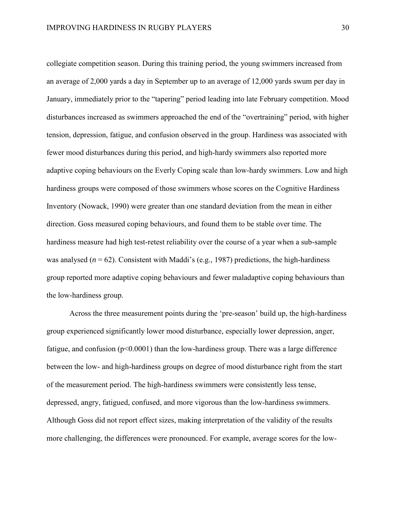collegiate competition season. During this training period, the young swimmers increased from an average of 2,000 yards a day in September up to an average of 12,000 yards swum per day in January, immediately prior to the "tapering" period leading into late February competition. Mood disturbances increased as swimmers approached the end of the "overtraining" period, with higher tension, depression, fatigue, and confusion observed in the group. Hardiness was associated with fewer mood disturbances during this period, and high-hardy swimmers also reported more adaptive coping behaviours on the Everly Coping scale than low-hardy swimmers. Low and high hardiness groups were composed of those swimmers whose scores on the Cognitive Hardiness Inventory (Nowack, 1990) were greater than one standard deviation from the mean in either direction. Goss measured coping behaviours, and found them to be stable over time. The hardiness measure had high test-retest reliability over the course of a year when a sub-sample was analysed ( $n = 62$ ). Consistent with Maddi's (e.g., 1987) predictions, the high-hardiness group reported more adaptive coping behaviours and fewer maladaptive coping behaviours than the low-hardiness group.

Across the three measurement points during the 'pre-season' build up, the high-hardiness group experienced significantly lower mood disturbance, especially lower depression, anger, fatigue, and confusion  $(p<0.0001)$  than the low-hardiness group. There was a large difference between the low- and high-hardiness groups on degree of mood disturbance right from the start of the measurement period. The high-hardiness swimmers were consistently less tense, depressed, angry, fatigued, confused, and more vigorous than the low-hardiness swimmers. Although Goss did not report effect sizes, making interpretation of the validity of the results more challenging, the differences were pronounced. For example, average scores for the low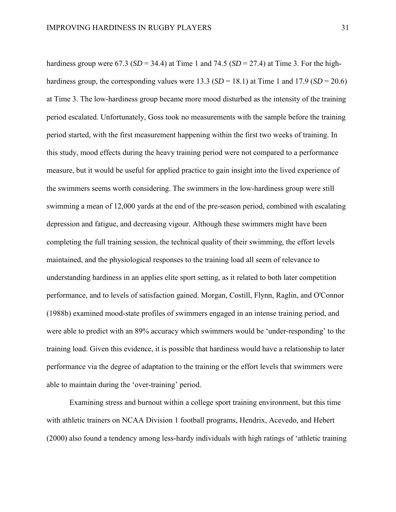hardiness group were 67.3 ( $SD = 34.4$ ) at Time 1 and 74.5 ( $SD = 27.4$ ) at Time 3. For the highhardiness group, the corresponding values were 13.3 ( $SD = 18.1$ ) at Time 1 and 17.9 ( $SD = 20.6$ ) at Time 3. The low-hardiness group became more mood disturbed as the intensity of the training period escalated. Unfortunately, Goss took no measurements with the sample before the training period started, with the first measurement happening within the first two weeks of training. In this study, mood effects during the heavy training period were not compared to a performance measure, but it would be useful for applied practice to gain insight into the lived experience of the swimmers seems worth considering. The swimmers in the low-hardiness group were still swimming a mean of 12,000 yards at the end of the pre-season period, combined with escalating depression and fatigue, and decreasing vigour. Although these swimmers might have been completing the full training session, the technical quality of their swimming, the effort levels maintained, and the physiological responses to the training load all seem of relevance to understanding hardiness in an applies elite sport setting, as it related to both later competition performance, and to levels of satisfaction gained. Morgan, Costill, Flynn, Raglin, and O'Connor (1988b) examined mood-state profiles of swimmers engaged in an intense training period, and were able to predict with an 89% accuracy which swimmers would be 'under-responding' to the training load. Given this evidence, it is possible that hardiness would have a relationship to later performance via the degree of adaptation to the training or the effort levels that swimmers were able to maintain during the 'over-training' period.

Examining stress and burnout within a college sport training environment, but this time with athletic trainers on NCAA Division 1 football programs, Hendrix, Acevedo, and Hebert (2000) also found a tendency among less-hardy individuals with high ratings of 'athletic training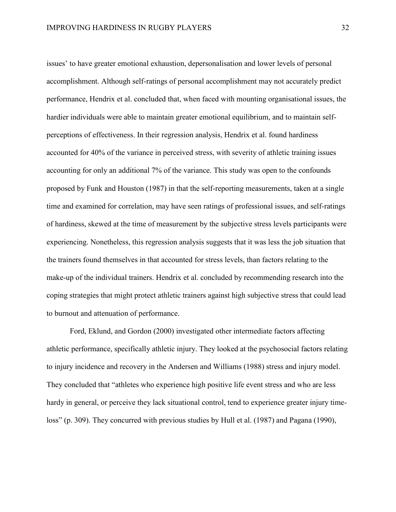issues' to have greater emotional exhaustion, depersonalisation and lower levels of personal accomplishment. Although self-ratings of personal accomplishment may not accurately predict performance, Hendrix et al. concluded that, when faced with mounting organisational issues, the hardier individuals were able to maintain greater emotional equilibrium, and to maintain selfperceptions of effectiveness. In their regression analysis, Hendrix et al. found hardiness accounted for 40% of the variance in perceived stress, with severity of athletic training issues accounting for only an additional 7% of the variance. This study was open to the confounds proposed by Funk and Houston (1987) in that the self-reporting measurements, taken at a single time and examined for correlation, may have seen ratings of professional issues, and self-ratings of hardiness, skewed at the time of measurement by the subjective stress levels participants were experiencing. Nonetheless, this regression analysis suggests that it was less the job situation that the trainers found themselves in that accounted for stress levels, than factors relating to the make-up of the individual trainers. Hendrix et al. concluded by recommending research into the coping strategies that might protect athletic trainers against high subjective stress that could lead to burnout and attenuation of performance.

Ford, Eklund, and Gordon (2000) investigated other intermediate factors affecting athletic performance, specifically athletic injury. They looked at the psychosocial factors relating to injury incidence and recovery in the Andersen and Williams (1988) stress and injury model. They concluded that "athletes who experience high positive life event stress and who are less hardy in general, or perceive they lack situational control, tend to experience greater injury timeloss" (p. 309). They concurred with previous studies by Hull et al. (1987) and Pagana (1990),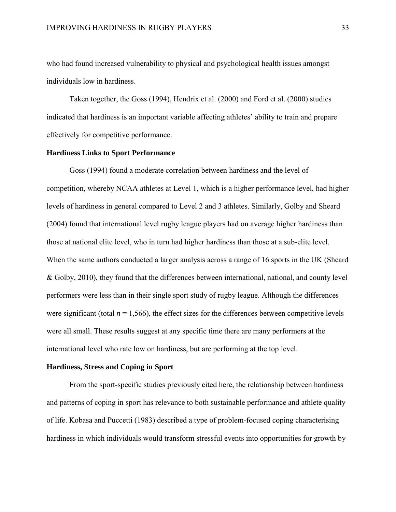who had found increased vulnerability to physical and psychological health issues amongst individuals low in hardiness.

Taken together, the Goss (1994), Hendrix et al. (2000) and Ford et al. (2000) studies indicated that hardiness is an important variable affecting athletes' ability to train and prepare effectively for competitive performance*.*

#### **Hardiness Links to Sport Performance**

Goss (1994) found a moderate correlation between hardiness and the level of competition, whereby NCAA athletes at Level 1, which is a higher performance level, had higher levels of hardiness in general compared to Level 2 and 3 athletes. Similarly, Golby and Sheard (2004) found that international level rugby league players had on average higher hardiness than those at national elite level, who in turn had higher hardiness than those at a sub-elite level. When the same authors conducted a larger analysis across a range of 16 sports in the UK (Sheard & Golby, 2010), they found that the differences between international, national, and county level performers were less than in their single sport study of rugby league. Although the differences were significant (total  $n = 1,566$ ), the effect sizes for the differences between competitive levels were all small. These results suggest at any specific time there are many performers at the international level who rate low on hardiness, but are performing at the top level.

#### **Hardiness, Stress and Coping in Sport**

From the sport-specific studies previously cited here, the relationship between hardiness and patterns of coping in sport has relevance to both sustainable performance and athlete quality of life. Kobasa and Puccetti (1983) described a type of problem-focused coping characterising hardiness in which individuals would transform stressful events into opportunities for growth by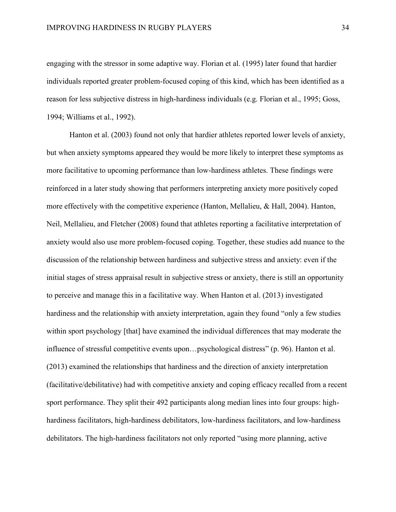engaging with the stressor in some adaptive way. Florian et al. (1995) later found that hardier individuals reported greater problem-focused coping of this kind, which has been identified as a reason for less subjective distress in high-hardiness individuals (e.g. Florian et al., 1995; Goss, 1994; Williams et al., 1992).

Hanton et al. (2003) found not only that hardier athletes reported lower levels of anxiety, but when anxiety symptoms appeared they would be more likely to interpret these symptoms as more facilitative to upcoming performance than low-hardiness athletes. These findings were reinforced in a later study showing that performers interpreting anxiety more positively coped more effectively with the competitive experience (Hanton, Mellalieu, & Hall, 2004). Hanton, Neil, Mellalieu, and Fletcher (2008) found that athletes reporting a facilitative interpretation of anxiety would also use more problem-focused coping. Together, these studies add nuance to the discussion of the relationship between hardiness and subjective stress and anxiety: even if the initial stages of stress appraisal result in subjective stress or anxiety, there is still an opportunity to perceive and manage this in a facilitative way. When Hanton et al. (2013) investigated hardiness and the relationship with anxiety interpretation, again they found "only a few studies within sport psychology [that] have examined the individual differences that may moderate the influence of stressful competitive events upon…psychological distress" (p. 96). Hanton et al. (2013) examined the relationships that hardiness and the direction of anxiety interpretation (facilitative/debilitative) had with competitive anxiety and coping efficacy recalled from a recent sport performance. They split their 492 participants along median lines into four groups: highhardiness facilitators, high-hardiness debilitators, low-hardiness facilitators, and low-hardiness debilitators. The high-hardiness facilitators not only reported "using more planning, active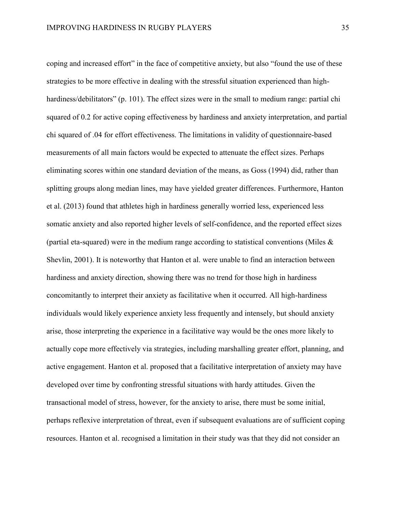coping and increased effort" in the face of competitive anxiety, but also "found the use of these strategies to be more effective in dealing with the stressful situation experienced than highhardiness/debilitators" (p. 101). The effect sizes were in the small to medium range: partial chi squared of 0.2 for active coping effectiveness by hardiness and anxiety interpretation, and partial chi squared of .04 for effort effectiveness. The limitations in validity of questionnaire-based measurements of all main factors would be expected to attenuate the effect sizes. Perhaps eliminating scores within one standard deviation of the means, as Goss (1994) did, rather than splitting groups along median lines, may have yielded greater differences. Furthermore, Hanton et al. (2013) found that athletes high in hardiness generally worried less, experienced less somatic anxiety and also reported higher levels of self-confidence, and the reported effect sizes (partial eta-squared) were in the medium range according to statistical conventions (Miles  $\&$ Shevlin, 2001). It is noteworthy that Hanton et al. were unable to find an interaction between hardiness and anxiety direction, showing there was no trend for those high in hardiness concomitantly to interpret their anxiety as facilitative when it occurred. All high-hardiness individuals would likely experience anxiety less frequently and intensely, but should anxiety arise, those interpreting the experience in a facilitative way would be the ones more likely to actually cope more effectively via strategies, including marshalling greater effort, planning, and active engagement. Hanton et al. proposed that a facilitative interpretation of anxiety may have developed over time by confronting stressful situations with hardy attitudes. Given the transactional model of stress, however, for the anxiety to arise, there must be some initial, perhaps reflexive interpretation of threat, even if subsequent evaluations are of sufficient coping resources. Hanton et al. recognised a limitation in their study was that they did not consider an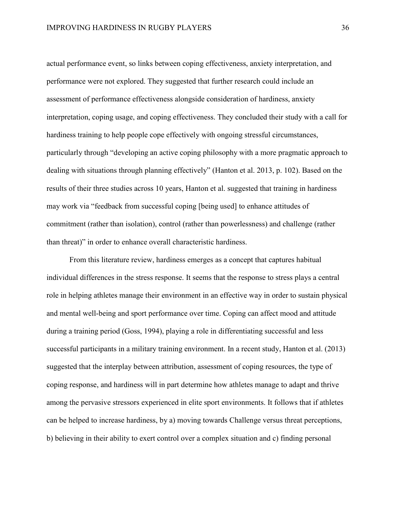actual performance event, so links between coping effectiveness, anxiety interpretation, and performance were not explored. They suggested that further research could include an assessment of performance effectiveness alongside consideration of hardiness, anxiety interpretation, coping usage, and coping effectiveness. They concluded their study with a call for hardiness training to help people cope effectively with ongoing stressful circumstances, particularly through "developing an active coping philosophy with a more pragmatic approach to dealing with situations through planning effectively" (Hanton et al. 2013, p. 102). Based on the results of their three studies across 10 years, Hanton et al. suggested that training in hardiness may work via "feedback from successful coping [being used] to enhance attitudes of commitment (rather than isolation), control (rather than powerlessness) and challenge (rather than threat)" in order to enhance overall characteristic hardiness.

From this literature review, hardiness emerges as a concept that captures habitual individual differences in the stress response. It seems that the response to stress plays a central role in helping athletes manage their environment in an effective way in order to sustain physical and mental well-being and sport performance over time. Coping can affect mood and attitude during a training period (Goss, 1994), playing a role in differentiating successful and less successful participants in a military training environment. In a recent study, Hanton et al. (2013) suggested that the interplay between attribution, assessment of coping resources, the type of coping response, and hardiness will in part determine how athletes manage to adapt and thrive among the pervasive stressors experienced in elite sport environments. It follows that if athletes can be helped to increase hardiness, by a) moving towards Challenge versus threat perceptions, b) believing in their ability to exert control over a complex situation and c) finding personal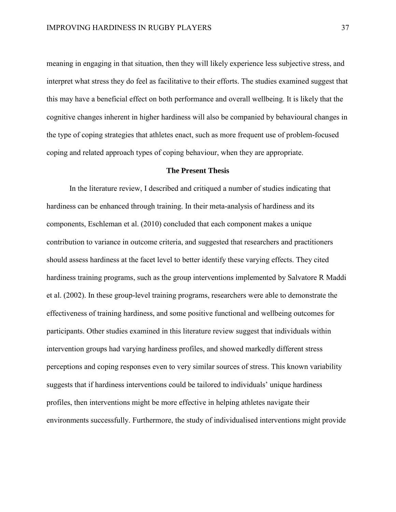meaning in engaging in that situation, then they will likely experience less subjective stress, and interpret what stress they do feel as facilitative to their efforts. The studies examined suggest that this may have a beneficial effect on both performance and overall wellbeing. It is likely that the cognitive changes inherent in higher hardiness will also be companied by behavioural changes in the type of coping strategies that athletes enact, such as more frequent use of problem-focused coping and related approach types of coping behaviour, when they are appropriate.

# **The Present Thesis**

In the literature review, I described and critiqued a number of studies indicating that hardiness can be enhanced through training. In their meta-analysis of hardiness and its components, Eschleman et al. (2010) concluded that each component makes a unique contribution to variance in outcome criteria, and suggested that researchers and practitioners should assess hardiness at the facet level to better identify these varying effects. They cited hardiness training programs, such as the group interventions implemented by Salvatore R Maddi et al. (2002). In these group-level training programs, researchers were able to demonstrate the effectiveness of training hardiness, and some positive functional and wellbeing outcomes for participants. Other studies examined in this literature review suggest that individuals within intervention groups had varying hardiness profiles, and showed markedly different stress perceptions and coping responses even to very similar sources of stress. This known variability suggests that if hardiness interventions could be tailored to individuals' unique hardiness profiles, then interventions might be more effective in helping athletes navigate their environments successfully. Furthermore, the study of individualised interventions might provide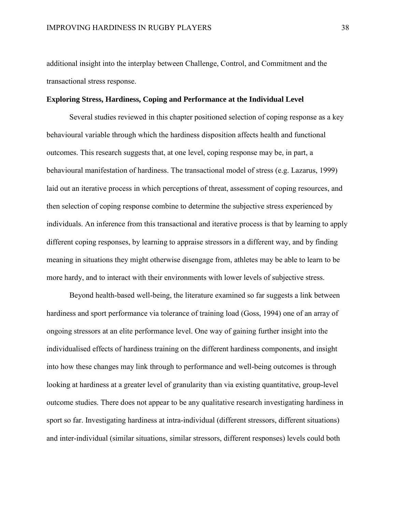additional insight into the interplay between Challenge, Control, and Commitment and the transactional stress response.

### **Exploring Stress, Hardiness, Coping and Performance at the Individual Level**

Several studies reviewed in this chapter positioned selection of coping response as a key behavioural variable through which the hardiness disposition affects health and functional outcomes. This research suggests that, at one level, coping response may be, in part, a behavioural manifestation of hardiness. The transactional model of stress (e.g. Lazarus, 1999) laid out an iterative process in which perceptions of threat, assessment of coping resources, and then selection of coping response combine to determine the subjective stress experienced by individuals. An inference from this transactional and iterative process is that by learning to apply different coping responses, by learning to appraise stressors in a different way, and by finding meaning in situations they might otherwise disengage from, athletes may be able to learn to be more hardy, and to interact with their environments with lower levels of subjective stress.

Beyond health-based well-being, the literature examined so far suggests a link between hardiness and sport performance via tolerance of training load (Goss, 1994) one of an array of ongoing stressors at an elite performance level. One way of gaining further insight into the individualised effects of hardiness training on the different hardiness components, and insight into how these changes may link through to performance and well-being outcomes is through looking at hardiness at a greater level of granularity than via existing quantitative, group-level outcome studies. There does not appear to be any qualitative research investigating hardiness in sport so far. Investigating hardiness at intra-individual (different stressors, different situations) and inter-individual (similar situations, similar stressors, different responses) levels could both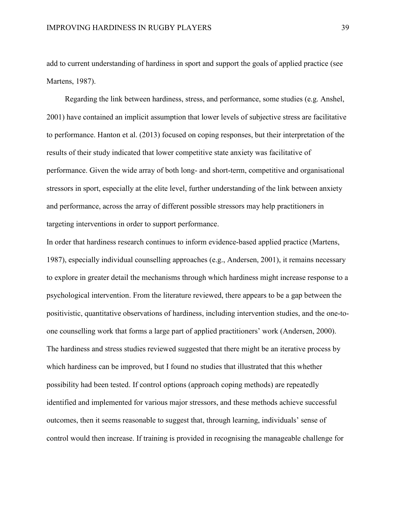add to current understanding of hardiness in sport and support the goals of applied practice (see Martens, 1987).

Regarding the link between hardiness, stress, and performance, some studies (e.g. Anshel, 2001) have contained an implicit assumption that lower levels of subjective stress are facilitative to performance. Hanton et al. (2013) focused on coping responses, but their interpretation of the results of their study indicated that lower competitive state anxiety was facilitative of performance. Given the wide array of both long- and short-term, competitive and organisational stressors in sport, especially at the elite level, further understanding of the link between anxiety and performance, across the array of different possible stressors may help practitioners in targeting interventions in order to support performance.

In order that hardiness research continues to inform evidence-based applied practice (Martens, 1987), especially individual counselling approaches (e.g., Andersen, 2001), it remains necessary to explore in greater detail the mechanisms through which hardiness might increase response to a psychological intervention. From the literature reviewed, there appears to be a gap between the positivistic, quantitative observations of hardiness, including intervention studies, and the one-toone counselling work that forms a large part of applied practitioners' work (Andersen, 2000). The hardiness and stress studies reviewed suggested that there might be an iterative process by which hardiness can be improved, but I found no studies that illustrated that this whether possibility had been tested. If control options (approach coping methods) are repeatedly identified and implemented for various major stressors, and these methods achieve successful outcomes, then it seems reasonable to suggest that, through learning, individuals' sense of control would then increase. If training is provided in recognising the manageable challenge for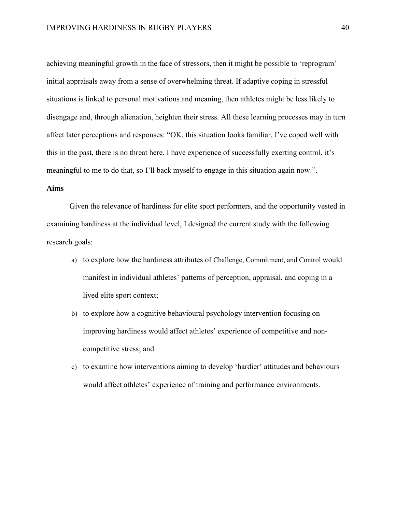achieving meaningful growth in the face of stressors, then it might be possible to 'reprogram' initial appraisals away from a sense of overwhelming threat. If adaptive coping in stressful situations is linked to personal motivations and meaning, then athletes might be less likely to disengage and, through alienation, heighten their stress. All these learning processes may in turn affect later perceptions and responses: "OK, this situation looks familiar, I've coped well with this in the past, there is no threat here. I have experience of successfully exerting control, it's meaningful to me to do that, so I'll back myself to engage in this situation again now.".

# **Aims**

Given the relevance of hardiness for elite sport performers, and the opportunity vested in examining hardiness at the individual level, I designed the current study with the following research goals:

- a) to explore how the hardiness attributes of Challenge, Commitment, and Control would manifest in individual athletes' patterns of perception, appraisal, and coping in a lived elite sport context;
- b) to explore how a cognitive behavioural psychology intervention focusing on improving hardiness would affect athletes' experience of competitive and noncompetitive stress; and
- c) to examine how interventions aiming to develop 'hardier' attitudes and behaviours would affect athletes' experience of training and performance environments.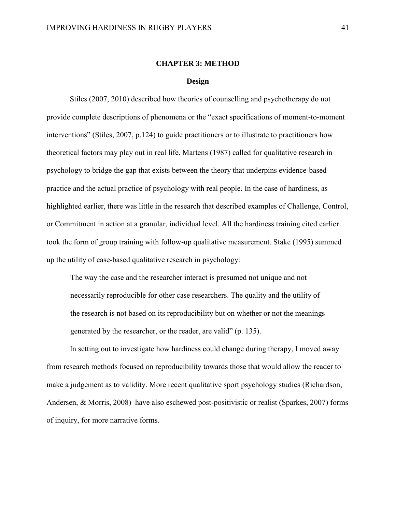### **CHAPTER 3: METHOD**

### **Design**

Stiles (2007, 2010) described how theories of counselling and psychotherapy do not provide complete descriptions of phenomena or the "exact specifications of moment-to-moment interventions" (Stiles, 2007, p.124) to guide practitioners or to illustrate to practitioners how theoretical factors may play out in real life. Martens (1987) called for qualitative research in psychology to bridge the gap that exists between the theory that underpins evidence-based practice and the actual practice of psychology with real people. In the case of hardiness, as highlighted earlier, there was little in the research that described examples of Challenge, Control, or Commitment in action at a granular, individual level. All the hardiness training cited earlier took the form of group training with follow-up qualitative measurement. Stake (1995) summed up the utility of case-based qualitative research in psychology:

The way the case and the researcher interact is presumed not unique and not necessarily reproducible for other case researchers. The quality and the utility of the research is not based on its reproducibility but on whether or not the meanings generated by the researcher, or the reader, are valid" (p. 135).

In setting out to investigate how hardiness could change during therapy, I moved away from research methods focused on reproducibility towards those that would allow the reader to make a judgement as to validity. More recent qualitative sport psychology studies (Richardson, Andersen, & Morris, 2008) have also eschewed post-positivistic or realist (Sparkes, 2007) forms of inquiry, for more narrative forms.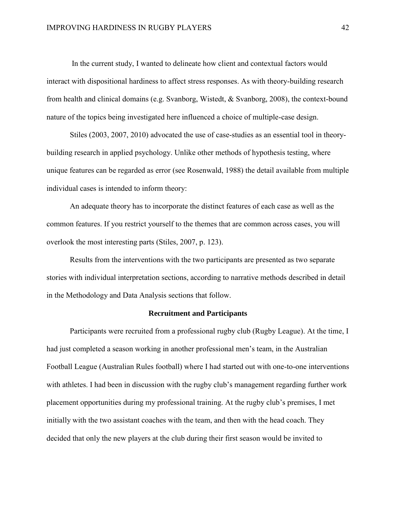In the current study, I wanted to delineate how client and contextual factors would interact with dispositional hardiness to affect stress responses. As with theory-building research from health and clinical domains (e.g. Svanborg, Wistedt, & Svanborg, 2008), the context-bound nature of the topics being investigated here influenced a choice of multiple-case design.

Stiles (2003, 2007, 2010) advocated the use of case-studies as an essential tool in theorybuilding research in applied psychology. Unlike other methods of hypothesis testing, where unique features can be regarded as error (see Rosenwald, 1988) the detail available from multiple individual cases is intended to inform theory:

An adequate theory has to incorporate the distinct features of each case as well as the common features. If you restrict yourself to the themes that are common across cases, you will overlook the most interesting parts (Stiles, 2007, p. 123).

Results from the interventions with the two participants are presented as two separate stories with individual interpretation sections, according to narrative methods described in detail in the Methodology and Data Analysis sections that follow.

# **Recruitment and Participants**

Participants were recruited from a professional rugby club (Rugby League). At the time, I had just completed a season working in another professional men's team, in the Australian Football League (Australian Rules football) where I had started out with one-to-one interventions with athletes. I had been in discussion with the rugby club's management regarding further work placement opportunities during my professional training. At the rugby club's premises, I met initially with the two assistant coaches with the team, and then with the head coach. They decided that only the new players at the club during their first season would be invited to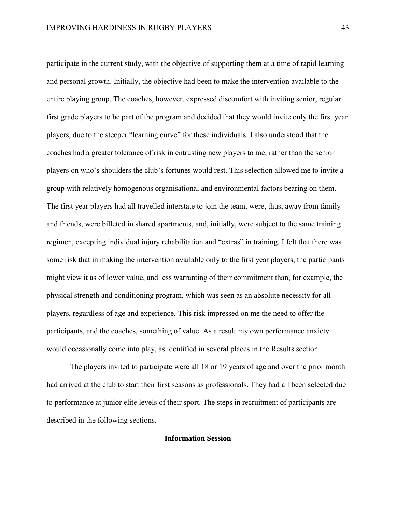participate in the current study, with the objective of supporting them at a time of rapid learning and personal growth. Initially, the objective had been to make the intervention available to the entire playing group. The coaches, however, expressed discomfort with inviting senior, regular first grade players to be part of the program and decided that they would invite only the first year players, due to the steeper "learning curve" for these individuals. I also understood that the coaches had a greater tolerance of risk in entrusting new players to me, rather than the senior players on who's shoulders the club's fortunes would rest. This selection allowed me to invite a group with relatively homogenous organisational and environmental factors bearing on them. The first year players had all travelled interstate to join the team, were, thus, away from family and friends, were billeted in shared apartments, and, initially, were subject to the same training regimen, excepting individual injury rehabilitation and "extras" in training. I felt that there was some risk that in making the intervention available only to the first year players, the participants might view it as of lower value, and less warranting of their commitment than, for example, the physical strength and conditioning program, which was seen as an absolute necessity for all players, regardless of age and experience. This risk impressed on me the need to offer the participants, and the coaches, something of value. As a result my own performance anxiety would occasionally come into play, as identified in several places in the Results section.

The players invited to participate were all 18 or 19 years of age and over the prior month had arrived at the club to start their first seasons as professionals. They had all been selected due to performance at junior elite levels of their sport. The steps in recruitment of participants are described in the following sections.

## **Information Session**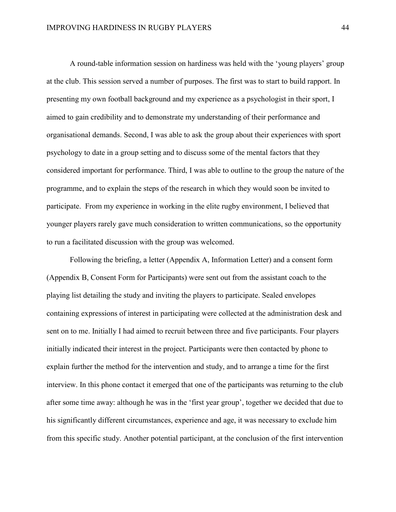A round-table information session on hardiness was held with the 'young players' group at the club. This session served a number of purposes. The first was to start to build rapport. In presenting my own football background and my experience as a psychologist in their sport, I aimed to gain credibility and to demonstrate my understanding of their performance and organisational demands. Second, I was able to ask the group about their experiences with sport psychology to date in a group setting and to discuss some of the mental factors that they considered important for performance. Third, I was able to outline to the group the nature of the programme, and to explain the steps of the research in which they would soon be invited to participate. From my experience in working in the elite rugby environment, I believed that younger players rarely gave much consideration to written communications, so the opportunity to run a facilitated discussion with the group was welcomed.

Following the briefing, a letter (Appendix A, Information Letter) and a consent form (Appendix B, Consent Form for Participants) were sent out from the assistant coach to the playing list detailing the study and inviting the players to participate. Sealed envelopes containing expressions of interest in participating were collected at the administration desk and sent on to me. Initially I had aimed to recruit between three and five participants. Four players initially indicated their interest in the project. Participants were then contacted by phone to explain further the method for the intervention and study, and to arrange a time for the first interview. In this phone contact it emerged that one of the participants was returning to the club after some time away: although he was in the 'first year group', together we decided that due to his significantly different circumstances, experience and age, it was necessary to exclude him from this specific study. Another potential participant, at the conclusion of the first intervention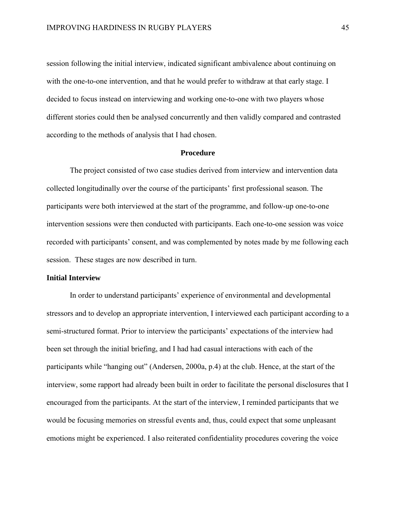session following the initial interview, indicated significant ambivalence about continuing on with the one-to-one intervention, and that he would prefer to withdraw at that early stage. I decided to focus instead on interviewing and working one-to-one with two players whose different stories could then be analysed concurrently and then validly compared and contrasted according to the methods of analysis that I had chosen.

#### **Procedure**

The project consisted of two case studies derived from interview and intervention data collected longitudinally over the course of the participants' first professional season. The participants were both interviewed at the start of the programme, and follow-up one-to-one intervention sessions were then conducted with participants. Each one-to-one session was voice recorded with participants' consent, and was complemented by notes made by me following each session. These stages are now described in turn.

# **Initial Interview**

In order to understand participants' experience of environmental and developmental stressors and to develop an appropriate intervention, I interviewed each participant according to a semi-structured format. Prior to interview the participants' expectations of the interview had been set through the initial briefing, and I had had casual interactions with each of the participants while "hanging out" (Andersen, 2000a, p.4) at the club. Hence, at the start of the interview, some rapport had already been built in order to facilitate the personal disclosures that I encouraged from the participants. At the start of the interview, I reminded participants that we would be focusing memories on stressful events and, thus, could expect that some unpleasant emotions might be experienced. I also reiterated confidentiality procedures covering the voice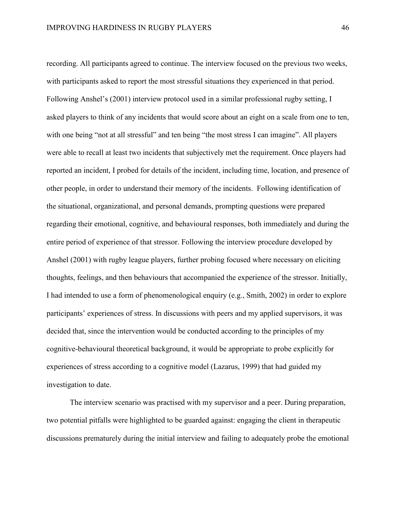recording. All participants agreed to continue. The interview focused on the previous two weeks, with participants asked to report the most stressful situations they experienced in that period. Following Anshel's (2001) interview protocol used in a similar professional rugby setting, I asked players to think of any incidents that would score about an eight on a scale from one to ten, with one being "not at all stressful" and ten being "the most stress I can imagine". All players were able to recall at least two incidents that subjectively met the requirement. Once players had reported an incident, I probed for details of the incident, including time, location, and presence of other people, in order to understand their memory of the incidents. Following identification of the situational, organizational, and personal demands, prompting questions were prepared regarding their emotional, cognitive, and behavioural responses, both immediately and during the entire period of experience of that stressor. Following the interview procedure developed by Anshel (2001) with rugby league players, further probing focused where necessary on eliciting thoughts, feelings, and then behaviours that accompanied the experience of the stressor. Initially, I had intended to use a form of phenomenological enquiry (e.g., Smith, 2002) in order to explore participants' experiences of stress. In discussions with peers and my applied supervisors, it was decided that, since the intervention would be conducted according to the principles of my cognitive-behavioural theoretical background, it would be appropriate to probe explicitly for experiences of stress according to a cognitive model (Lazarus, 1999) that had guided my investigation to date.

The interview scenario was practised with my supervisor and a peer. During preparation, two potential pitfalls were highlighted to be guarded against: engaging the client in therapeutic discussions prematurely during the initial interview and failing to adequately probe the emotional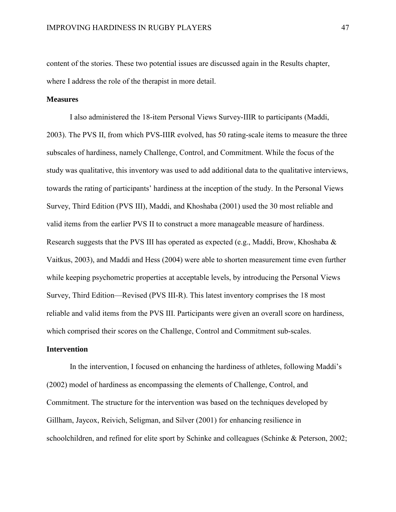content of the stories. These two potential issues are discussed again in the Results chapter, where I address the role of the therapist in more detail.

## **Measures**

I also administered the 18-item Personal Views Survey-IIIR to participants (Maddi, 2003). The PVS II, from which PVS-IIIR evolved, has 50 rating-scale items to measure the three subscales of hardiness, namely Challenge, Control, and Commitment. While the focus of the study was qualitative, this inventory was used to add additional data to the qualitative interviews, towards the rating of participants' hardiness at the inception of the study. In the Personal Views Survey, Third Edition (PVS III), Maddi, and Khoshaba (2001) used the 30 most reliable and valid items from the earlier PVS II to construct a more manageable measure of hardiness. Research suggests that the PVS III has operated as expected (e.g., Maddi, Brow, Khoshaba & Vaitkus, 2003), and Maddi and Hess (2004) were able to shorten measurement time even further while keeping psychometric properties at acceptable levels, by introducing the Personal Views Survey, Third Edition—Revised (PVS III-R). This latest inventory comprises the 18 most reliable and valid items from the PVS III. Participants were given an overall score on hardiness, which comprised their scores on the Challenge, Control and Commitment sub-scales.

## **Intervention**

In the intervention, I focused on enhancing the hardiness of athletes, following Maddi's (2002) model of hardiness as encompassing the elements of Challenge, Control, and Commitment. The structure for the intervention was based on the techniques developed by Gillham, Jaycox, Reivich, Seligman, and Silver (2001) for enhancing resilience in schoolchildren, and refined for elite sport by Schinke and colleagues (Schinke & Peterson, 2002;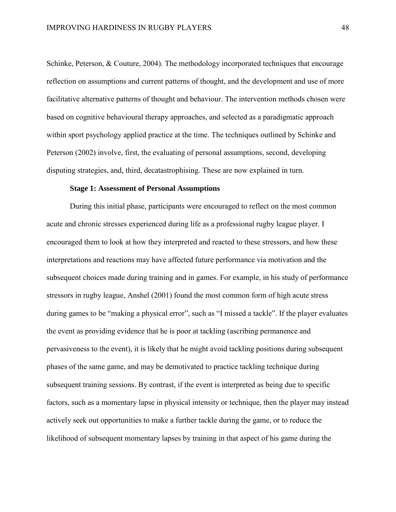Schinke, Peterson, & Couture, 2004). The methodology incorporated techniques that encourage reflection on assumptions and current patterns of thought, and the development and use of more facilitative alternative patterns of thought and behaviour. The intervention methods chosen were based on cognitive behavioural therapy approaches, and selected as a paradigmatic approach within sport psychology applied practice at the time. The techniques outlined by Schinke and Peterson (2002) involve, first, the evaluating of personal assumptions, second, developing disputing strategies, and, third, decatastrophising. These are now explained in turn.

## **Stage 1: Assessment of Personal Assumptions**

During this initial phase, participants were encouraged to reflect on the most common acute and chronic stresses experienced during life as a professional rugby league player. I encouraged them to look at how they interpreted and reacted to these stressors, and how these interpretations and reactions may have affected future performance via motivation and the subsequent choices made during training and in games. For example, in his study of performance stressors in rugby league, Anshel (2001) found the most common form of high acute stress during games to be "making a physical error", such as "I missed a tackle". If the player evaluates the event as providing evidence that he is poor at tackling (ascribing permanence and pervasiveness to the event), it is likely that he might avoid tackling positions during subsequent phases of the same game, and may be demotivated to practice tackling technique during subsequent training sessions. By contrast, if the event is interpreted as being due to specific factors, such as a momentary lapse in physical intensity or technique, then the player may instead actively seek out opportunities to make a further tackle during the game, or to reduce the likelihood of subsequent momentary lapses by training in that aspect of his game during the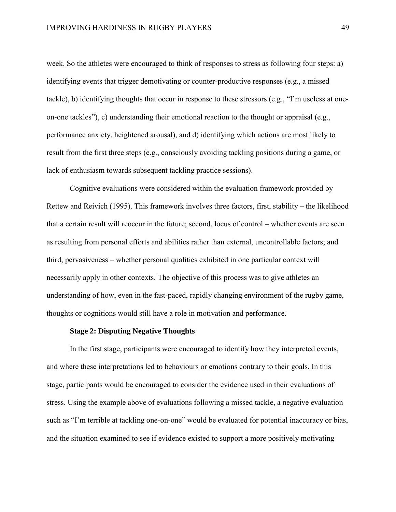week. So the athletes were encouraged to think of responses to stress as following four steps: a) identifying events that trigger demotivating or counter-productive responses (e.g., a missed tackle), b) identifying thoughts that occur in response to these stressors (e.g., "I'm useless at oneon-one tackles"), c) understanding their emotional reaction to the thought or appraisal (e.g., performance anxiety, heightened arousal), and d) identifying which actions are most likely to result from the first three steps (e.g., consciously avoiding tackling positions during a game, or lack of enthusiasm towards subsequent tackling practice sessions).

Cognitive evaluations were considered within the evaluation framework provided by Rettew and Reivich (1995). This framework involves three factors, first, stability – the likelihood that a certain result will reoccur in the future; second, locus of control – whether events are seen as resulting from personal efforts and abilities rather than external, uncontrollable factors; and third, pervasiveness – whether personal qualities exhibited in one particular context will necessarily apply in other contexts. The objective of this process was to give athletes an understanding of how, even in the fast-paced, rapidly changing environment of the rugby game, thoughts or cognitions would still have a role in motivation and performance.

## **Stage 2: Disputing Negative Thoughts**

In the first stage, participants were encouraged to identify how they interpreted events, and where these interpretations led to behaviours or emotions contrary to their goals. In this stage, participants would be encouraged to consider the evidence used in their evaluations of stress. Using the example above of evaluations following a missed tackle, a negative evaluation such as "I'm terrible at tackling one-on-one" would be evaluated for potential inaccuracy or bias, and the situation examined to see if evidence existed to support a more positively motivating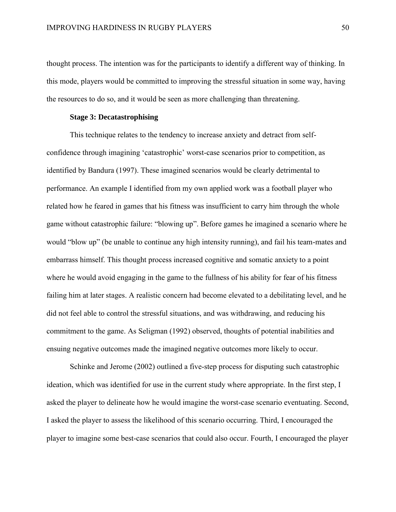thought process. The intention was for the participants to identify a different way of thinking. In this mode, players would be committed to improving the stressful situation in some way, having the resources to do so, and it would be seen as more challenging than threatening.

# **Stage 3: Decatastrophising**

This technique relates to the tendency to increase anxiety and detract from selfconfidence through imagining 'catastrophic' worst-case scenarios prior to competition, as identified by Bandura (1997). These imagined scenarios would be clearly detrimental to performance. An example I identified from my own applied work was a football player who related how he feared in games that his fitness was insufficient to carry him through the whole game without catastrophic failure: "blowing up". Before games he imagined a scenario where he would "blow up" (be unable to continue any high intensity running), and fail his team-mates and embarrass himself. This thought process increased cognitive and somatic anxiety to a point where he would avoid engaging in the game to the fullness of his ability for fear of his fitness failing him at later stages. A realistic concern had become elevated to a debilitating level, and he did not feel able to control the stressful situations, and was withdrawing, and reducing his commitment to the game. As Seligman (1992) observed, thoughts of potential inabilities and ensuing negative outcomes made the imagined negative outcomes more likely to occur.

Schinke and Jerome (2002) outlined a five-step process for disputing such catastrophic ideation, which was identified for use in the current study where appropriate. In the first step, I asked the player to delineate how he would imagine the worst-case scenario eventuating. Second, I asked the player to assess the likelihood of this scenario occurring. Third, I encouraged the player to imagine some best-case scenarios that could also occur. Fourth, I encouraged the player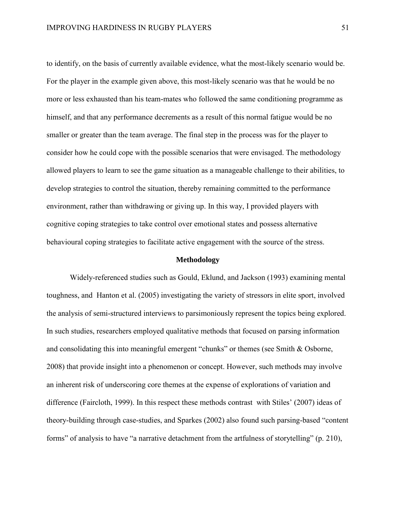to identify, on the basis of currently available evidence, what the most-likely scenario would be. For the player in the example given above, this most-likely scenario was that he would be no more or less exhausted than his team-mates who followed the same conditioning programme as himself, and that any performance decrements as a result of this normal fatigue would be no smaller or greater than the team average. The final step in the process was for the player to consider how he could cope with the possible scenarios that were envisaged. The methodology allowed players to learn to see the game situation as a manageable challenge to their abilities, to develop strategies to control the situation, thereby remaining committed to the performance environment, rather than withdrawing or giving up. In this way, I provided players with cognitive coping strategies to take control over emotional states and possess alternative behavioural coping strategies to facilitate active engagement with the source of the stress.

# **Methodology**

Widely-referenced studies such as Gould, Eklund, and Jackson (1993) examining mental toughness, and Hanton et al. (2005) investigating the variety of stressors in elite sport, involved the analysis of semi-structured interviews to parsimoniously represent the topics being explored. In such studies, researchers employed qualitative methods that focused on parsing information and consolidating this into meaningful emergent "chunks" or themes (see Smith & Osborne, 2008) that provide insight into a phenomenon or concept. However, such methods may involve an inherent risk of underscoring core themes at the expense of explorations of variation and difference (Faircloth, 1999). In this respect these methods contrast with Stiles' (2007) ideas of theory-building through case-studies, and Sparkes (2002) also found such parsing-based "content forms" of analysis to have "a narrative detachment from the artfulness of storytelling" (p. 210),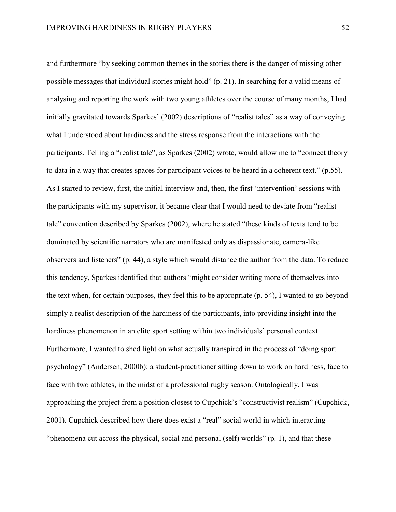and furthermore "by seeking common themes in the stories there is the danger of missing other possible messages that individual stories might hold" (p. 21). In searching for a valid means of analysing and reporting the work with two young athletes over the course of many months, I had initially gravitated towards Sparkes' (2002) descriptions of "realist tales" as a way of conveying what I understood about hardiness and the stress response from the interactions with the participants. Telling a "realist tale", as Sparkes (2002) wrote, would allow me to "connect theory to data in a way that creates spaces for participant voices to be heard in a coherent text." (p.55). As I started to review, first, the initial interview and, then, the first 'intervention' sessions with the participants with my supervisor, it became clear that I would need to deviate from "realist tale" convention described by Sparkes (2002), where he stated "these kinds of texts tend to be dominated by scientific narrators who are manifested only as dispassionate, camera-like observers and listeners" (p. 44), a style which would distance the author from the data. To reduce this tendency, Sparkes identified that authors "might consider writing more of themselves into the text when, for certain purposes, they feel this to be appropriate (p. 54), I wanted to go beyond simply a realist description of the hardiness of the participants, into providing insight into the hardiness phenomenon in an elite sport setting within two individuals' personal context. Furthermore, I wanted to shed light on what actually transpired in the process of "doing sport psychology" (Andersen, 2000b): a student-practitioner sitting down to work on hardiness, face to face with two athletes, in the midst of a professional rugby season. Ontologically, I was approaching the project from a position closest to Cupchick's "constructivist realism" (Cupchick, 2001). Cupchick described how there does exist a "real" social world in which interacting "phenomena cut across the physical, social and personal (self) worlds" (p. 1), and that these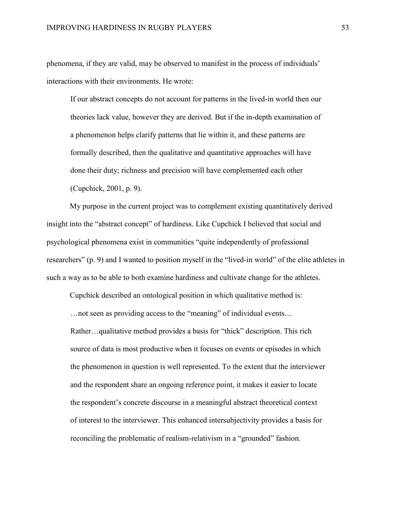phenomena, if they are valid, may be observed to manifest in the process of individuals' interactions with their environments. He wrote:

If our abstract concepts do not account for patterns in the lived-in world then our theories lack value, however they are derived. But if the in-depth examination of a phenomenon helps clarify patterns that lie within it, and these patterns are formally described, then the qualitative and quantitative approaches will have done their duty; richness and precision will have complemented each other (Cupchick, 2001, p. 9).

My purpose in the current project was to complement existing quantitatively derived insight into the "abstract concept" of hardiness. Like Cupchick I believed that social and psychological phenomena exist in communities "quite independently of professional researchers" (p. 9) and I wanted to position myself in the "lived-in world" of the elite athletes in such a way as to be able to both examine hardiness and cultivate change for the athletes.

Cupchick described an ontological position in which qualitative method is:

…not seen as providing access to the "meaning" of individual events…

Rather…qualitative method provides a basis for "thick" description. This rich source of data is most productive when it focuses on events or episodes in which the phenomenon in question is well represented. To the extent that the interviewer and the respondent share an ongoing reference point, it makes it easier to locate the respondent's concrete discourse in a meaningful abstract theoretical context of interest to the interviewer. This enhanced intersubjectivity provides a basis for reconciling the problematic of realism-relativism in a "grounded" fashion.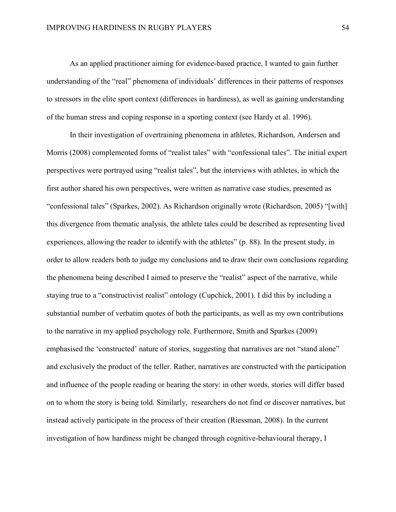As an applied practitioner aiming for evidence-based practice, I wanted to gain further understanding of the "real" phenomena of individuals' differences in their patterns of responses to stressors in the elite sport context (differences in hardiness), as well as gaining understanding of the human stress and coping response in a sporting context (see Hardy et al. 1996).

In their investigation of overtraining phenomena in athletes, Richardson, Andersen and Morris (2008) complemented forms of "realist tales" with "confessional tales". The initial expert perspectives were portrayed using "realist tales", but the interviews with athletes, in which the first author shared his own perspectives, were written as narrative case studies, presented as "confessional tales" (Sparkes, 2002). As Richardson originally wrote (Richardson, 2005) "[with] this divergence from thematic analysis, the athlete tales could be described as representing lived experiences, allowing the reader to identify with the athletes" (p. 88). In the present study, in order to allow readers both to judge my conclusions and to draw their own conclusions regarding the phenomena being described I aimed to preserve the "realist" aspect of the narrative, while staying true to a "constructivist realist" ontology (Cupchick, 2001). I did this by including a substantial number of verbatim quotes of both the participants, as well as my own contributions to the narrative in my applied psychology role. Furthermore, Smith and Sparkes (2009) emphasised the 'constructed' nature of stories, suggesting that narratives are not "stand alone" and exclusively the product of the teller. Rather, narratives are constructed with the participation and influence of the people reading or hearing the story: in other words, stories will differ based on to whom the story is being told. Similarly, researchers do not find or discover narratives, but instead actively participate in the process of their creation (Riessman, 2008). In the current investigation of how hardiness might be changed through cognitive-behavioural therapy, I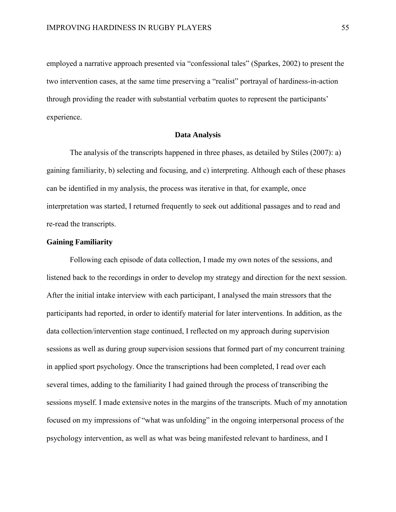employed a narrative approach presented via "confessional tales" (Sparkes, 2002) to present the two intervention cases, at the same time preserving a "realist" portrayal of hardiness-in-action through providing the reader with substantial verbatim quotes to represent the participants' experience.

### **Data Analysis**

The analysis of the transcripts happened in three phases, as detailed by Stiles (2007): a) gaining familiarity, b) selecting and focusing, and c) interpreting. Although each of these phases can be identified in my analysis, the process was iterative in that, for example, once interpretation was started, I returned frequently to seek out additional passages and to read and re-read the transcripts.

# **Gaining Familiarity**

Following each episode of data collection, I made my own notes of the sessions, and listened back to the recordings in order to develop my strategy and direction for the next session. After the initial intake interview with each participant, I analysed the main stressors that the participants had reported, in order to identify material for later interventions. In addition, as the data collection/intervention stage continued, I reflected on my approach during supervision sessions as well as during group supervision sessions that formed part of my concurrent training in applied sport psychology. Once the transcriptions had been completed, I read over each several times, adding to the familiarity I had gained through the process of transcribing the sessions myself. I made extensive notes in the margins of the transcripts. Much of my annotation focused on my impressions of "what was unfolding" in the ongoing interpersonal process of the psychology intervention, as well as what was being manifested relevant to hardiness, and I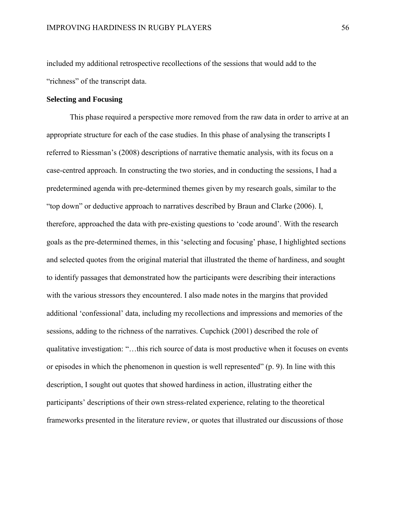included my additional retrospective recollections of the sessions that would add to the "richness" of the transcript data.

# **Selecting and Focusing**

This phase required a perspective more removed from the raw data in order to arrive at an appropriate structure for each of the case studies. In this phase of analysing the transcripts I referred to Riessman's (2008) descriptions of narrative thematic analysis, with its focus on a case-centred approach. In constructing the two stories, and in conducting the sessions, I had a predetermined agenda with pre-determined themes given by my research goals, similar to the "top down" or deductive approach to narratives described by Braun and Clarke (2006). I, therefore, approached the data with pre-existing questions to 'code around'. With the research goals as the pre-determined themes, in this 'selecting and focusing' phase, I highlighted sections and selected quotes from the original material that illustrated the theme of hardiness, and sought to identify passages that demonstrated how the participants were describing their interactions with the various stressors they encountered. I also made notes in the margins that provided additional 'confessional' data, including my recollections and impressions and memories of the sessions, adding to the richness of the narratives. Cupchick (2001) described the role of qualitative investigation: "…this rich source of data is most productive when it focuses on events or episodes in which the phenomenon in question is well represented" (p. 9). In line with this description, I sought out quotes that showed hardiness in action, illustrating either the participants' descriptions of their own stress-related experience, relating to the theoretical frameworks presented in the literature review, or quotes that illustrated our discussions of those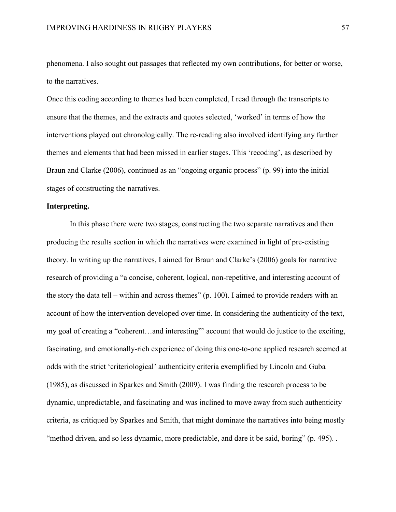phenomena. I also sought out passages that reflected my own contributions, for better or worse, to the narratives.

Once this coding according to themes had been completed, I read through the transcripts to ensure that the themes, and the extracts and quotes selected, 'worked' in terms of how the interventions played out chronologically. The re-reading also involved identifying any further themes and elements that had been missed in earlier stages. This 'recoding', as described by Braun and Clarke (2006), continued as an "ongoing organic process" (p. 99) into the initial stages of constructing the narratives.

# **Interpreting.**

In this phase there were two stages, constructing the two separate narratives and then producing the results section in which the narratives were examined in light of pre-existing theory. In writing up the narratives, I aimed for Braun and Clarke's (2006) goals for narrative research of providing a "a concise, coherent, logical, non-repetitive, and interesting account of the story the data tell – within and across themes" (p. 100). I aimed to provide readers with an account of how the intervention developed over time. In considering the authenticity of the text, my goal of creating a "coherent…and interesting"' account that would do justice to the exciting, fascinating, and emotionally-rich experience of doing this one-to-one applied research seemed at odds with the strict 'criteriological' authenticity criteria exemplified by Lincoln and Guba (1985), as discussed in Sparkes and Smith (2009). I was finding the research process to be dynamic, unpredictable, and fascinating and was inclined to move away from such authenticity criteria, as critiqued by Sparkes and Smith, that might dominate the narratives into being mostly "method driven, and so less dynamic, more predictable, and dare it be said, boring" (p. 495). .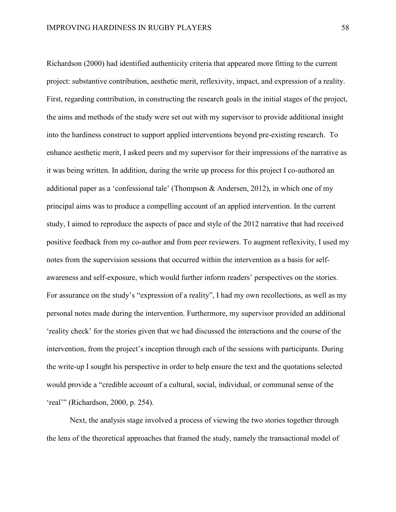Richardson (2000) had identified authenticity criteria that appeared more fitting to the current project: substantive contribution, aesthetic merit, reflexivity, impact, and expression of a reality. First, regarding contribution, in constructing the research goals in the initial stages of the project, the aims and methods of the study were set out with my supervisor to provide additional insight into the hardiness construct to support applied interventions beyond pre-existing research. To enhance aesthetic merit, I asked peers and my supervisor for their impressions of the narrative as it was being written. In addition, during the write up process for this project I co-authored an additional paper as a 'confessional tale' (Thompson & Andersen, 2012), in which one of my principal aims was to produce a compelling account of an applied intervention. In the current study, I aimed to reproduce the aspects of pace and style of the 2012 narrative that had received positive feedback from my co-author and from peer reviewers. To augment reflexivity, I used my notes from the supervision sessions that occurred within the intervention as a basis for selfawareness and self-exposure, which would further inform readers' perspectives on the stories. For assurance on the study's "expression of a reality", I had my own recollections, as well as my personal notes made during the intervention. Furthermore, my supervisor provided an additional 'reality check' for the stories given that we had discussed the interactions and the course of the intervention, from the project's inception through each of the sessions with participants. During the write-up I sought his perspective in order to help ensure the text and the quotations selected would provide a "credible account of a cultural, social, individual, or communal sense of the 'real'" (Richardson, 2000, p. 254).

Next, the analysis stage involved a process of viewing the two stories together through the lens of the theoretical approaches that framed the study, namely the transactional model of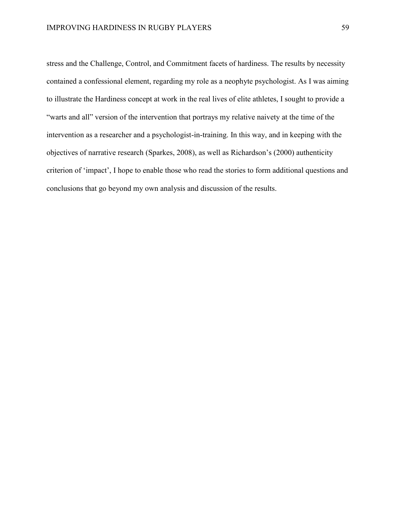stress and the Challenge, Control, and Commitment facets of hardiness. The results by necessity contained a confessional element, regarding my role as a neophyte psychologist. As I was aiming to illustrate the Hardiness concept at work in the real lives of elite athletes, I sought to provide a "warts and all" version of the intervention that portrays my relative naivety at the time of the intervention as a researcher and a psychologist-in-training. In this way, and in keeping with the objectives of narrative research (Sparkes, 2008), as well as Richardson's (2000) authenticity criterion of 'impact', I hope to enable those who read the stories to form additional questions and conclusions that go beyond my own analysis and discussion of the results.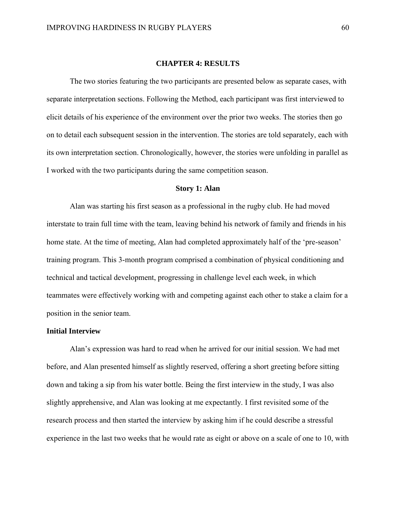#### **CHAPTER 4: RESULTS**

The two stories featuring the two participants are presented below as separate cases, with separate interpretation sections. Following the Method, each participant was first interviewed to elicit details of his experience of the environment over the prior two weeks. The stories then go on to detail each subsequent session in the intervention. The stories are told separately, each with its own interpretation section. Chronologically, however, the stories were unfolding in parallel as I worked with the two participants during the same competition season.

# **Story 1: Alan**

Alan was starting his first season as a professional in the rugby club. He had moved interstate to train full time with the team, leaving behind his network of family and friends in his home state. At the time of meeting, Alan had completed approximately half of the 'pre-season' training program. This 3-month program comprised a combination of physical conditioning and technical and tactical development, progressing in challenge level each week, in which teammates were effectively working with and competing against each other to stake a claim for a position in the senior team.

## **Initial Interview**

Alan's expression was hard to read when he arrived for our initial session. We had met before, and Alan presented himself as slightly reserved, offering a short greeting before sitting down and taking a sip from his water bottle. Being the first interview in the study, I was also slightly apprehensive, and Alan was looking at me expectantly. I first revisited some of the research process and then started the interview by asking him if he could describe a stressful experience in the last two weeks that he would rate as eight or above on a scale of one to 10, with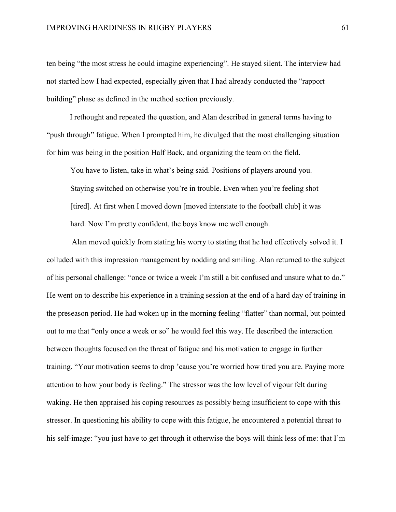ten being "the most stress he could imagine experiencing". He stayed silent. The interview had not started how I had expected, especially given that I had already conducted the "rapport building" phase as defined in the method section previously.

I rethought and repeated the question, and Alan described in general terms having to "push through" fatigue. When I prompted him, he divulged that the most challenging situation for him was being in the position Half Back, and organizing the team on the field.

You have to listen, take in what's being said. Positions of players around you. Staying switched on otherwise you're in trouble. Even when you're feeling shot [tired]. At first when I moved down [moved interstate to the football club] it was hard. Now I'm pretty confident, the boys know me well enough.

Alan moved quickly from stating his worry to stating that he had effectively solved it. I colluded with this impression management by nodding and smiling. Alan returned to the subject of his personal challenge: "once or twice a week I'm still a bit confused and unsure what to do." He went on to describe his experience in a training session at the end of a hard day of training in the preseason period. He had woken up in the morning feeling "flatter" than normal, but pointed out to me that "only once a week or so" he would feel this way. He described the interaction between thoughts focused on the threat of fatigue and his motivation to engage in further training. "Your motivation seems to drop 'cause you're worried how tired you are. Paying more attention to how your body is feeling." The stressor was the low level of vigour felt during waking. He then appraised his coping resources as possibly being insufficient to cope with this stressor. In questioning his ability to cope with this fatigue, he encountered a potential threat to his self-image: "you just have to get through it otherwise the boys will think less of me: that I'm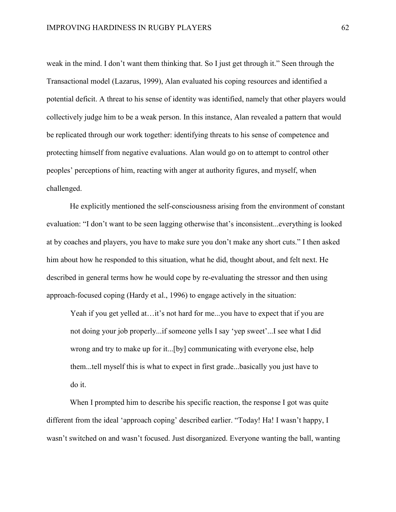weak in the mind. I don't want them thinking that. So I just get through it." Seen through the Transactional model (Lazarus, 1999), Alan evaluated his coping resources and identified a potential deficit. A threat to his sense of identity was identified, namely that other players would collectively judge him to be a weak person. In this instance, Alan revealed a pattern that would be replicated through our work together: identifying threats to his sense of competence and protecting himself from negative evaluations. Alan would go on to attempt to control other peoples' perceptions of him, reacting with anger at authority figures, and myself, when challenged.

He explicitly mentioned the self-consciousness arising from the environment of constant evaluation: "I don't want to be seen lagging otherwise that's inconsistent...everything is looked at by coaches and players, you have to make sure you don't make any short cuts." I then asked him about how he responded to this situation, what he did, thought about, and felt next. He described in general terms how he would cope by re-evaluating the stressor and then using approach-focused coping (Hardy et al., 1996) to engage actively in the situation:

Yeah if you get yelled at…it's not hard for me...you have to expect that if you are not doing your job properly...if someone yells I say 'yep sweet'...I see what I did wrong and try to make up for it...[by] communicating with everyone else, help them...tell myself this is what to expect in first grade...basically you just have to do it.

When I prompted him to describe his specific reaction, the response I got was quite different from the ideal 'approach coping' described earlier. "Today! Ha! I wasn't happy, I wasn't switched on and wasn't focused. Just disorganized. Everyone wanting the ball, wanting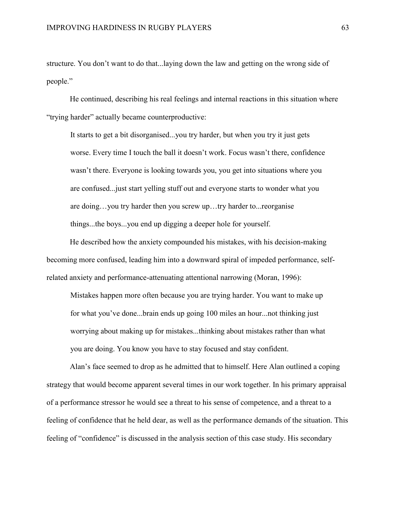structure. You don't want to do that...laying down the law and getting on the wrong side of people."

He continued, describing his real feelings and internal reactions in this situation where "trying harder" actually became counterproductive:

It starts to get a bit disorganised...you try harder, but when you try it just gets worse. Every time I touch the ball it doesn't work. Focus wasn't there, confidence wasn't there. Everyone is looking towards you, you get into situations where you are confused...just start yelling stuff out and everyone starts to wonder what you are doing…you try harder then you screw up…try harder to...reorganise things...the boys...you end up digging a deeper hole for yourself.

He described how the anxiety compounded his mistakes, with his decision-making becoming more confused, leading him into a downward spiral of impeded performance, selfrelated anxiety and performance-attenuating attentional narrowing (Moran, 1996):

Mistakes happen more often because you are trying harder. You want to make up for what you've done...brain ends up going 100 miles an hour...not thinking just worrying about making up for mistakes...thinking about mistakes rather than what you are doing. You know you have to stay focused and stay confident.

Alan's face seemed to drop as he admitted that to himself. Here Alan outlined a coping strategy that would become apparent several times in our work together. In his primary appraisal of a performance stressor he would see a threat to his sense of competence, and a threat to a feeling of confidence that he held dear, as well as the performance demands of the situation. This feeling of "confidence" is discussed in the analysis section of this case study. His secondary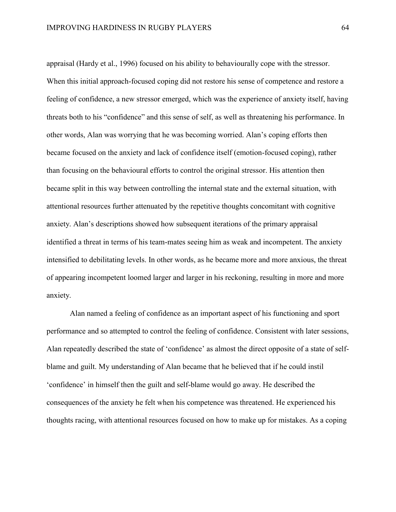appraisal (Hardy et al., 1996) focused on his ability to behaviourally cope with the stressor. When this initial approach-focused coping did not restore his sense of competence and restore a feeling of confidence, a new stressor emerged, which was the experience of anxiety itself, having threats both to his "confidence" and this sense of self, as well as threatening his performance. In other words, Alan was worrying that he was becoming worried. Alan's coping efforts then became focused on the anxiety and lack of confidence itself (emotion-focused coping), rather than focusing on the behavioural efforts to control the original stressor. His attention then became split in this way between controlling the internal state and the external situation, with attentional resources further attenuated by the repetitive thoughts concomitant with cognitive anxiety. Alan's descriptions showed how subsequent iterations of the primary appraisal identified a threat in terms of his team-mates seeing him as weak and incompetent. The anxiety intensified to debilitating levels. In other words, as he became more and more anxious, the threat of appearing incompetent loomed larger and larger in his reckoning, resulting in more and more anxiety.

Alan named a feeling of confidence as an important aspect of his functioning and sport performance and so attempted to control the feeling of confidence. Consistent with later sessions, Alan repeatedly described the state of 'confidence' as almost the direct opposite of a state of selfblame and guilt. My understanding of Alan became that he believed that if he could instil 'confidence' in himself then the guilt and self-blame would go away. He described the consequences of the anxiety he felt when his competence was threatened. He experienced his thoughts racing, with attentional resources focused on how to make up for mistakes. As a coping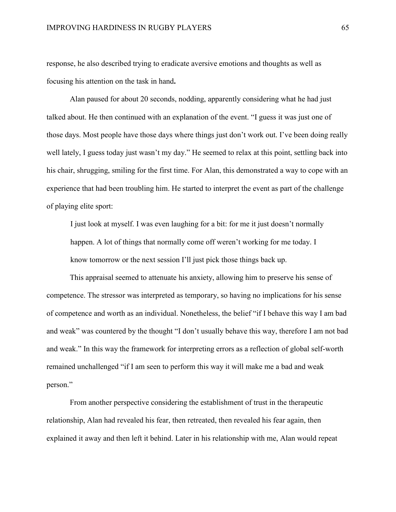response, he also described trying to eradicate aversive emotions and thoughts as well as focusing his attention on the task in hand**.** 

Alan paused for about 20 seconds, nodding, apparently considering what he had just talked about. He then continued with an explanation of the event. "I guess it was just one of those days. Most people have those days where things just don't work out. I've been doing really well lately, I guess today just wasn't my day." He seemed to relax at this point, settling back into his chair, shrugging, smiling for the first time. For Alan, this demonstrated a way to cope with an experience that had been troubling him. He started to interpret the event as part of the challenge of playing elite sport:

I just look at myself. I was even laughing for a bit: for me it just doesn't normally happen. A lot of things that normally come off weren't working for me today. I know tomorrow or the next session I'll just pick those things back up.

This appraisal seemed to attenuate his anxiety, allowing him to preserve his sense of competence. The stressor was interpreted as temporary, so having no implications for his sense of competence and worth as an individual. Nonetheless, the belief "if I behave this way I am bad and weak" was countered by the thought "I don't usually behave this way, therefore I am not bad and weak." In this way the framework for interpreting errors as a reflection of global self-worth remained unchallenged "if I am seen to perform this way it will make me a bad and weak person."

From another perspective considering the establishment of trust in the therapeutic relationship, Alan had revealed his fear, then retreated, then revealed his fear again, then explained it away and then left it behind. Later in his relationship with me, Alan would repeat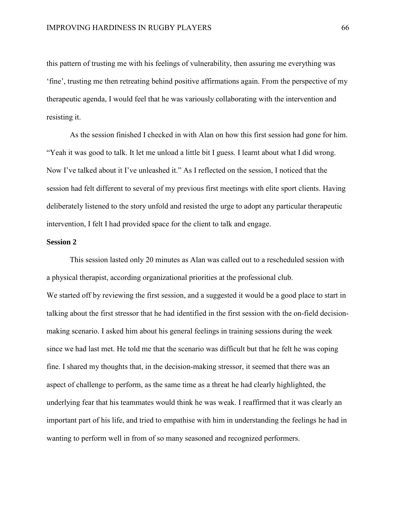this pattern of trusting me with his feelings of vulnerability, then assuring me everything was 'fine', trusting me then retreating behind positive affirmations again. From the perspective of my therapeutic agenda, I would feel that he was variously collaborating with the intervention and resisting it.

As the session finished I checked in with Alan on how this first session had gone for him. "Yeah it was good to talk. It let me unload a little bit I guess. I learnt about what I did wrong. Now I've talked about it I've unleashed it." As I reflected on the session, I noticed that the session had felt different to several of my previous first meetings with elite sport clients. Having deliberately listened to the story unfold and resisted the urge to adopt any particular therapeutic intervention, I felt I had provided space for the client to talk and engage.

# **Session 2**

This session lasted only 20 minutes as Alan was called out to a rescheduled session with a physical therapist, according organizational priorities at the professional club. We started off by reviewing the first session, and a suggested it would be a good place to start in talking about the first stressor that he had identified in the first session with the on-field decisionmaking scenario. I asked him about his general feelings in training sessions during the week since we had last met. He told me that the scenario was difficult but that he felt he was coping fine. I shared my thoughts that, in the decision-making stressor, it seemed that there was an aspect of challenge to perform, as the same time as a threat he had clearly highlighted, the underlying fear that his teammates would think he was weak. I reaffirmed that it was clearly an important part of his life, and tried to empathise with him in understanding the feelings he had in wanting to perform well in from of so many seasoned and recognized performers.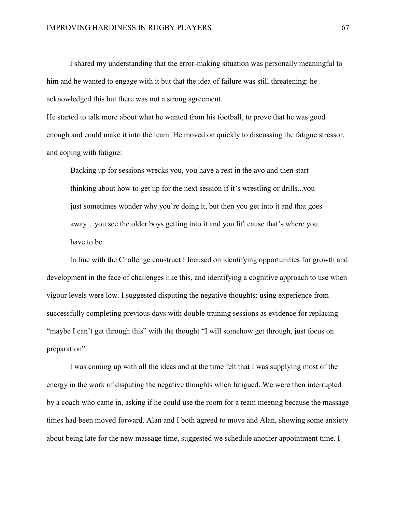I shared my understanding that the error-making situation was personally meaningful to him and he wanted to engage with it but that the idea of failure was still threatening: he acknowledged this but there was not a strong agreement.

He started to talk more about what he wanted from his football, to prove that he was good enough and could make it into the team. He moved on quickly to discussing the fatigue stressor, and coping with fatigue:

Backing up for sessions wrecks you, you have a rest in the avo and then start thinking about how to get up for the next session if it's wrestling or drills...you just sometimes wonder why you're doing it, but then you get into it and that goes away…you see the older boys getting into it and you lift cause that's where you have to be.

In line with the Challenge construct I focused on identifying opportunities for growth and development in the face of challenges like this, and identifying a cognitive approach to use when vigour levels were low. I suggested disputing the negative thoughts: using experience from successfully completing previous days with double training sessions as evidence for replacing "maybe I can't get through this" with the thought "I will somehow get through, just focus on preparation".

I was coming up with all the ideas and at the time felt that I was supplying most of the energy in the work of disputing the negative thoughts when fatigued. We were then interrupted by a coach who came in, asking if he could use the room for a team meeting because the massage times had been moved forward. Alan and I both agreed to move and Alan, showing some anxiety about being late for the new massage time, suggested we schedule another appointment time. I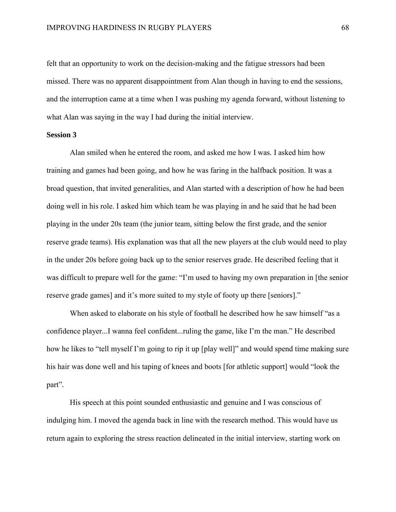felt that an opportunity to work on the decision-making and the fatigue stressors had been missed. There was no apparent disappointment from Alan though in having to end the sessions, and the interruption came at a time when I was pushing my agenda forward, without listening to what Alan was saying in the way I had during the initial interview.

## **Session 3**

Alan smiled when he entered the room, and asked me how I was. I asked him how training and games had been going, and how he was faring in the halfback position. It was a broad question, that invited generalities, and Alan started with a description of how he had been doing well in his role. I asked him which team he was playing in and he said that he had been playing in the under 20s team (the junior team, sitting below the first grade, and the senior reserve grade teams). His explanation was that all the new players at the club would need to play in the under 20s before going back up to the senior reserves grade. He described feeling that it was difficult to prepare well for the game: "I'm used to having my own preparation in [the senior reserve grade games] and it's more suited to my style of footy up there [seniors]."

When asked to elaborate on his style of football he described how he saw himself "as a confidence player...I wanna feel confident...ruling the game, like I'm the man." He described how he likes to "tell myself I'm going to rip it up [play well]" and would spend time making sure his hair was done well and his taping of knees and boots [for athletic support] would "look the part".

His speech at this point sounded enthusiastic and genuine and I was conscious of indulging him. I moved the agenda back in line with the research method. This would have us return again to exploring the stress reaction delineated in the initial interview, starting work on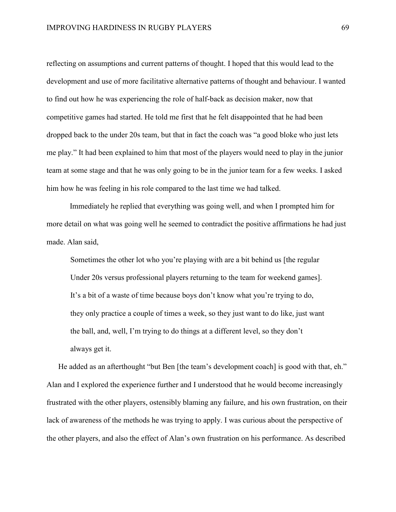reflecting on assumptions and current patterns of thought. I hoped that this would lead to the development and use of more facilitative alternative patterns of thought and behaviour. I wanted to find out how he was experiencing the role of half-back as decision maker, now that competitive games had started. He told me first that he felt disappointed that he had been dropped back to the under 20s team, but that in fact the coach was "a good bloke who just lets me play." It had been explained to him that most of the players would need to play in the junior team at some stage and that he was only going to be in the junior team for a few weeks. I asked him how he was feeling in his role compared to the last time we had talked.

Immediately he replied that everything was going well, and when I prompted him for more detail on what was going well he seemed to contradict the positive affirmations he had just made. Alan said,

Sometimes the other lot who you're playing with are a bit behind us [the regular Under 20s versus professional players returning to the team for weekend games]. It's a bit of a waste of time because boys don't know what you're trying to do, they only practice a couple of times a week, so they just want to do like, just want the ball, and, well, I'm trying to do things at a different level, so they don't always get it.

He added as an afterthought "but Ben [the team's development coach] is good with that, eh." Alan and I explored the experience further and I understood that he would become increasingly frustrated with the other players, ostensibly blaming any failure, and his own frustration, on their lack of awareness of the methods he was trying to apply. I was curious about the perspective of the other players, and also the effect of Alan's own frustration on his performance. As described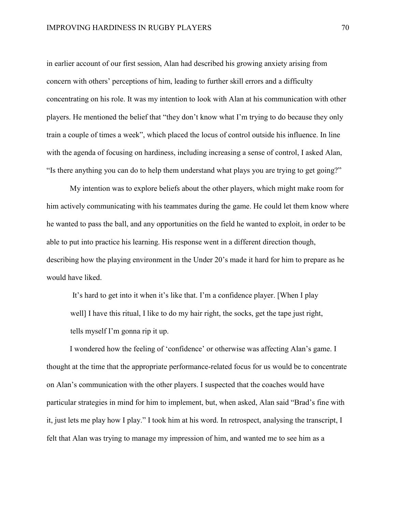in earlier account of our first session, Alan had described his growing anxiety arising from concern with others' perceptions of him, leading to further skill errors and a difficulty concentrating on his role. It was my intention to look with Alan at his communication with other players. He mentioned the belief that "they don't know what I'm trying to do because they only train a couple of times a week", which placed the locus of control outside his influence. In line with the agenda of focusing on hardiness, including increasing a sense of control, I asked Alan, "Is there anything you can do to help them understand what plays you are trying to get going?"

My intention was to explore beliefs about the other players, which might make room for him actively communicating with his teammates during the game. He could let them know where he wanted to pass the ball, and any opportunities on the field he wanted to exploit, in order to be able to put into practice his learning. His response went in a different direction though, describing how the playing environment in the Under 20's made it hard for him to prepare as he would have liked.

It's hard to get into it when it's like that. I'm a confidence player. [When I play well] I have this ritual, I like to do my hair right, the socks, get the tape just right, tells myself I'm gonna rip it up.

I wondered how the feeling of 'confidence' or otherwise was affecting Alan's game. I thought at the time that the appropriate performance-related focus for us would be to concentrate on Alan's communication with the other players. I suspected that the coaches would have particular strategies in mind for him to implement, but, when asked, Alan said "Brad's fine with it, just lets me play how I play." I took him at his word. In retrospect, analysing the transcript, I felt that Alan was trying to manage my impression of him, and wanted me to see him as a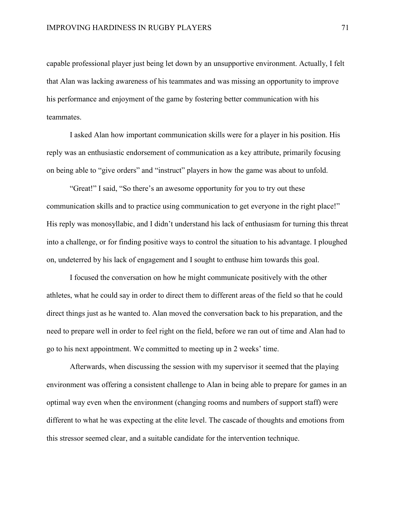capable professional player just being let down by an unsupportive environment. Actually, I felt that Alan was lacking awareness of his teammates and was missing an opportunity to improve his performance and enjoyment of the game by fostering better communication with his teammates.

I asked Alan how important communication skills were for a player in his position. His reply was an enthusiastic endorsement of communication as a key attribute, primarily focusing on being able to "give orders" and "instruct" players in how the game was about to unfold.

"Great!" I said, "So there's an awesome opportunity for you to try out these communication skills and to practice using communication to get everyone in the right place!" His reply was monosyllabic, and I didn't understand his lack of enthusiasm for turning this threat into a challenge, or for finding positive ways to control the situation to his advantage. I ploughed on, undeterred by his lack of engagement and I sought to enthuse him towards this goal.

I focused the conversation on how he might communicate positively with the other athletes, what he could say in order to direct them to different areas of the field so that he could direct things just as he wanted to. Alan moved the conversation back to his preparation, and the need to prepare well in order to feel right on the field, before we ran out of time and Alan had to go to his next appointment. We committed to meeting up in 2 weeks' time.

Afterwards, when discussing the session with my supervisor it seemed that the playing environment was offering a consistent challenge to Alan in being able to prepare for games in an optimal way even when the environment (changing rooms and numbers of support staff) were different to what he was expecting at the elite level. The cascade of thoughts and emotions from this stressor seemed clear, and a suitable candidate for the intervention technique.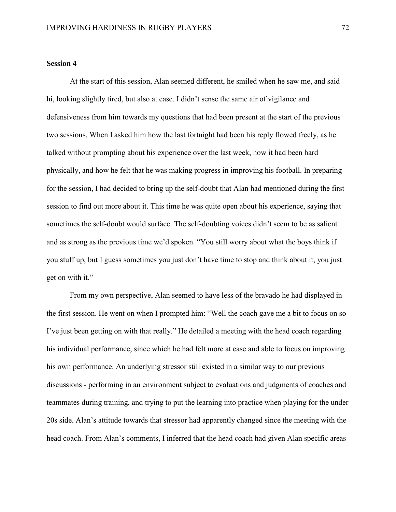### **Session 4**

At the start of this session, Alan seemed different, he smiled when he saw me, and said hi, looking slightly tired, but also at ease. I didn't sense the same air of vigilance and defensiveness from him towards my questions that had been present at the start of the previous two sessions. When I asked him how the last fortnight had been his reply flowed freely, as he talked without prompting about his experience over the last week, how it had been hard physically, and how he felt that he was making progress in improving his football. In preparing for the session, I had decided to bring up the self-doubt that Alan had mentioned during the first session to find out more about it. This time he was quite open about his experience, saying that sometimes the self-doubt would surface. The self-doubting voices didn't seem to be as salient and as strong as the previous time we'd spoken. "You still worry about what the boys think if you stuff up, but I guess sometimes you just don't have time to stop and think about it, you just get on with it."

From my own perspective, Alan seemed to have less of the bravado he had displayed in the first session. He went on when I prompted him: "Well the coach gave me a bit to focus on so I've just been getting on with that really." He detailed a meeting with the head coach regarding his individual performance, since which he had felt more at ease and able to focus on improving his own performance. An underlying stressor still existed in a similar way to our previous discussions - performing in an environment subject to evaluations and judgments of coaches and teammates during training, and trying to put the learning into practice when playing for the under 20s side. Alan's attitude towards that stressor had apparently changed since the meeting with the head coach. From Alan's comments, I inferred that the head coach had given Alan specific areas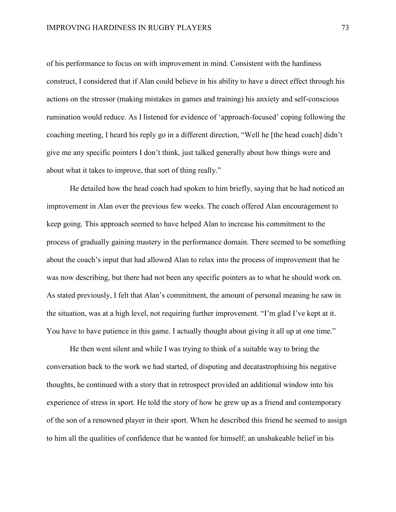of his performance to focus on with improvement in mind. Consistent with the hardiness construct, I considered that if Alan could believe in his ability to have a direct effect through his actions on the stressor (making mistakes in games and training) his anxiety and self-conscious rumination would reduce. As I listened for evidence of 'approach-focused' coping following the coaching meeting, I heard his reply go in a different direction, "Well he [the head coach] didn't give me any specific pointers I don't think, just talked generally about how things were and about what it takes to improve, that sort of thing really."

He detailed how the head coach had spoken to him briefly, saying that he had noticed an improvement in Alan over the previous few weeks. The coach offered Alan encouragement to keep going. This approach seemed to have helped Alan to increase his commitment to the process of gradually gaining mastery in the performance domain. There seemed to be something about the coach's input that had allowed Alan to relax into the process of improvement that he was now describing, but there had not been any specific pointers as to what he should work on. As stated previously, I felt that Alan's commitment, the amount of personal meaning he saw in the situation, was at a high level, not requiring further improvement. "I'm glad I've kept at it. You have to have patience in this game. I actually thought about giving it all up at one time."

He then went silent and while I was trying to think of a suitable way to bring the conversation back to the work we had started, of disputing and decatastrophising his negative thoughts, he continued with a story that in retrospect provided an additional window into his experience of stress in sport. He told the story of how he grew up as a friend and contemporary of the son of a renowned player in their sport. When he described this friend he seemed to assign to him all the qualities of confidence that he wanted for himself; an unshakeable belief in his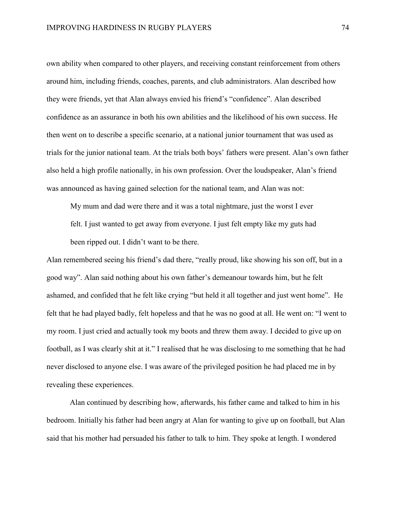own ability when compared to other players, and receiving constant reinforcement from others around him, including friends, coaches, parents, and club administrators. Alan described how they were friends, yet that Alan always envied his friend's "confidence". Alan described confidence as an assurance in both his own abilities and the likelihood of his own success. He then went on to describe a specific scenario, at a national junior tournament that was used as trials for the junior national team. At the trials both boys' fathers were present. Alan's own father also held a high profile nationally, in his own profession. Over the loudspeaker, Alan's friend was announced as having gained selection for the national team, and Alan was not:

My mum and dad were there and it was a total nightmare, just the worst I ever felt. I just wanted to get away from everyone. I just felt empty like my guts had been ripped out. I didn't want to be there.

Alan remembered seeing his friend's dad there, "really proud, like showing his son off, but in a good way". Alan said nothing about his own father's demeanour towards him, but he felt ashamed, and confided that he felt like crying "but held it all together and just went home". He felt that he had played badly, felt hopeless and that he was no good at all. He went on: "I went to my room. I just cried and actually took my boots and threw them away. I decided to give up on football, as I was clearly shit at it." I realised that he was disclosing to me something that he had never disclosed to anyone else. I was aware of the privileged position he had placed me in by revealing these experiences.

Alan continued by describing how, afterwards, his father came and talked to him in his bedroom. Initially his father had been angry at Alan for wanting to give up on football, but Alan said that his mother had persuaded his father to talk to him. They spoke at length. I wondered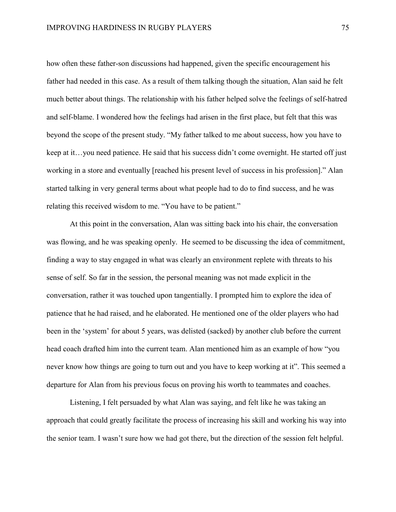how often these father-son discussions had happened, given the specific encouragement his father had needed in this case. As a result of them talking though the situation, Alan said he felt much better about things. The relationship with his father helped solve the feelings of self-hatred and self-blame. I wondered how the feelings had arisen in the first place, but felt that this was beyond the scope of the present study. "My father talked to me about success, how you have to keep at it…you need patience. He said that his success didn't come overnight. He started off just working in a store and eventually [reached his present level of success in his profession]." Alan started talking in very general terms about what people had to do to find success, and he was relating this received wisdom to me. "You have to be patient."

At this point in the conversation, Alan was sitting back into his chair, the conversation was flowing, and he was speaking openly. He seemed to be discussing the idea of commitment, finding a way to stay engaged in what was clearly an environment replete with threats to his sense of self. So far in the session, the personal meaning was not made explicit in the conversation, rather it was touched upon tangentially. I prompted him to explore the idea of patience that he had raised, and he elaborated. He mentioned one of the older players who had been in the 'system' for about 5 years, was delisted (sacked) by another club before the current head coach drafted him into the current team. Alan mentioned him as an example of how "you never know how things are going to turn out and you have to keep working at it". This seemed a departure for Alan from his previous focus on proving his worth to teammates and coaches.

Listening, I felt persuaded by what Alan was saying, and felt like he was taking an approach that could greatly facilitate the process of increasing his skill and working his way into the senior team. I wasn't sure how we had got there, but the direction of the session felt helpful.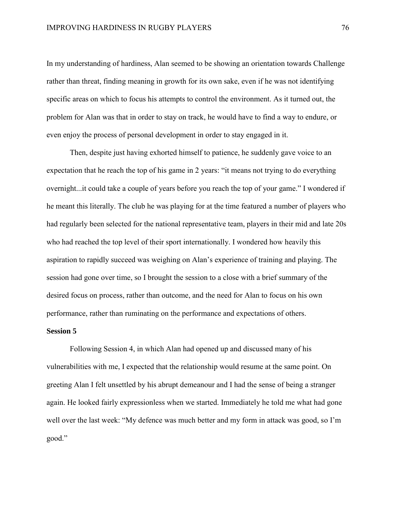In my understanding of hardiness, Alan seemed to be showing an orientation towards Challenge rather than threat, finding meaning in growth for its own sake, even if he was not identifying specific areas on which to focus his attempts to control the environment. As it turned out, the problem for Alan was that in order to stay on track, he would have to find a way to endure, or even enjoy the process of personal development in order to stay engaged in it.

Then, despite just having exhorted himself to patience, he suddenly gave voice to an expectation that he reach the top of his game in 2 years: "it means not trying to do everything overnight...it could take a couple of years before you reach the top of your game." I wondered if he meant this literally. The club he was playing for at the time featured a number of players who had regularly been selected for the national representative team, players in their mid and late 20s who had reached the top level of their sport internationally. I wondered how heavily this aspiration to rapidly succeed was weighing on Alan's experience of training and playing. The session had gone over time, so I brought the session to a close with a brief summary of the desired focus on process, rather than outcome, and the need for Alan to focus on his own performance, rather than ruminating on the performance and expectations of others.

## **Session 5**

Following Session 4, in which Alan had opened up and discussed many of his vulnerabilities with me, I expected that the relationship would resume at the same point. On greeting Alan I felt unsettled by his abrupt demeanour and I had the sense of being a stranger again. He looked fairly expressionless when we started. Immediately he told me what had gone well over the last week: "My defence was much better and my form in attack was good, so I'm good."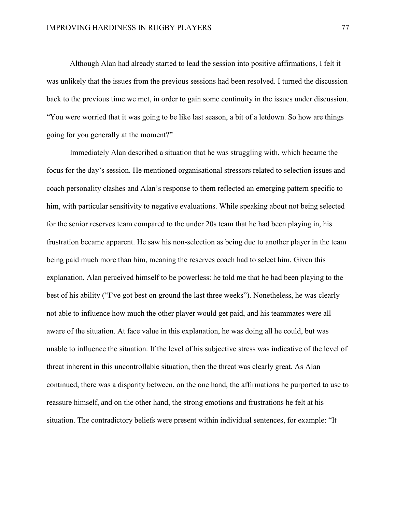Although Alan had already started to lead the session into positive affirmations, I felt it was unlikely that the issues from the previous sessions had been resolved. I turned the discussion back to the previous time we met, in order to gain some continuity in the issues under discussion. "You were worried that it was going to be like last season, a bit of a letdown. So how are things going for you generally at the moment?"

Immediately Alan described a situation that he was struggling with, which became the focus for the day's session. He mentioned organisational stressors related to selection issues and coach personality clashes and Alan's response to them reflected an emerging pattern specific to him, with particular sensitivity to negative evaluations. While speaking about not being selected for the senior reserves team compared to the under 20s team that he had been playing in, his frustration became apparent. He saw his non-selection as being due to another player in the team being paid much more than him, meaning the reserves coach had to select him. Given this explanation, Alan perceived himself to be powerless: he told me that he had been playing to the best of his ability ("I've got best on ground the last three weeks"). Nonetheless, he was clearly not able to influence how much the other player would get paid, and his teammates were all aware of the situation. At face value in this explanation, he was doing all he could, but was unable to influence the situation. If the level of his subjective stress was indicative of the level of threat inherent in this uncontrollable situation, then the threat was clearly great. As Alan continued, there was a disparity between, on the one hand, the affirmations he purported to use to reassure himself, and on the other hand, the strong emotions and frustrations he felt at his situation. The contradictory beliefs were present within individual sentences, for example: "It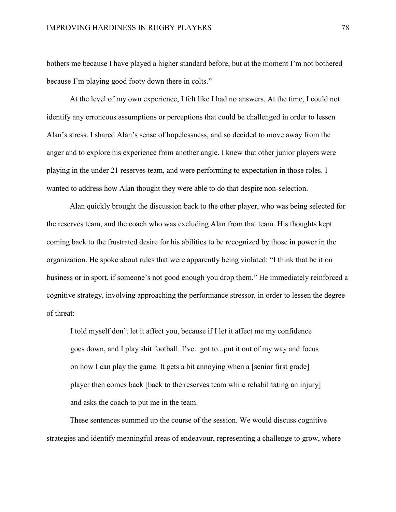bothers me because I have played a higher standard before, but at the moment I'm not bothered because I'm playing good footy down there in colts."

At the level of my own experience, I felt like I had no answers. At the time, I could not identify any erroneous assumptions or perceptions that could be challenged in order to lessen Alan's stress. I shared Alan's sense of hopelessness, and so decided to move away from the anger and to explore his experience from another angle. I knew that other junior players were playing in the under 21 reserves team, and were performing to expectation in those roles. I wanted to address how Alan thought they were able to do that despite non-selection.

Alan quickly brought the discussion back to the other player, who was being selected for the reserves team, and the coach who was excluding Alan from that team. His thoughts kept coming back to the frustrated desire for his abilities to be recognized by those in power in the organization. He spoke about rules that were apparently being violated: "I think that be it on business or in sport, if someone's not good enough you drop them." He immediately reinforced a cognitive strategy, involving approaching the performance stressor, in order to lessen the degree of threat:

I told myself don't let it affect you, because if I let it affect me my confidence goes down, and I play shit football. I've...got to...put it out of my way and focus on how I can play the game. It gets a bit annoying when a [senior first grade] player then comes back [back to the reserves team while rehabilitating an injury] and asks the coach to put me in the team.

These sentences summed up the course of the session. We would discuss cognitive strategies and identify meaningful areas of endeavour, representing a challenge to grow, where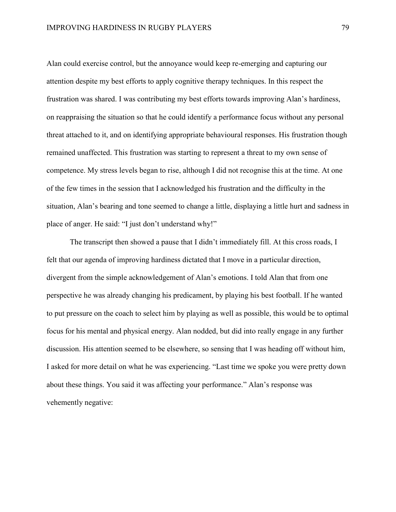Alan could exercise control, but the annoyance would keep re-emerging and capturing our attention despite my best efforts to apply cognitive therapy techniques. In this respect the frustration was shared. I was contributing my best efforts towards improving Alan's hardiness, on reappraising the situation so that he could identify a performance focus without any personal threat attached to it, and on identifying appropriate behavioural responses. His frustration though remained unaffected. This frustration was starting to represent a threat to my own sense of competence. My stress levels began to rise, although I did not recognise this at the time. At one of the few times in the session that I acknowledged his frustration and the difficulty in the situation, Alan's bearing and tone seemed to change a little, displaying a little hurt and sadness in place of anger. He said: "I just don't understand why!"

The transcript then showed a pause that I didn't immediately fill. At this cross roads, I felt that our agenda of improving hardiness dictated that I move in a particular direction, divergent from the simple acknowledgement of Alan's emotions. I told Alan that from one perspective he was already changing his predicament, by playing his best football. If he wanted to put pressure on the coach to select him by playing as well as possible, this would be to optimal focus for his mental and physical energy. Alan nodded, but did into really engage in any further discussion. His attention seemed to be elsewhere, so sensing that I was heading off without him, I asked for more detail on what he was experiencing. "Last time we spoke you were pretty down about these things. You said it was affecting your performance." Alan's response was vehemently negative: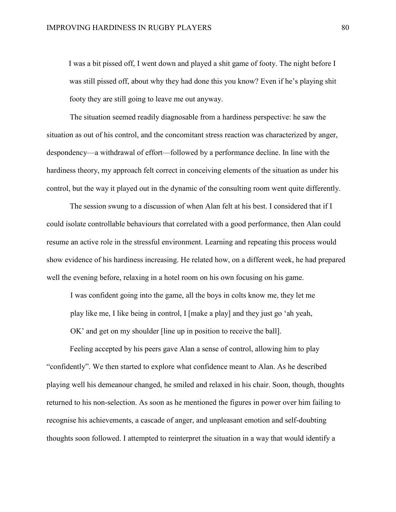I was a bit pissed off, I went down and played a shit game of footy. The night before I was still pissed off, about why they had done this you know? Even if he's playing shit footy they are still going to leave me out anyway.

The situation seemed readily diagnosable from a hardiness perspective: he saw the situation as out of his control, and the concomitant stress reaction was characterized by anger, despondency—a withdrawal of effort—followed by a performance decline. In line with the hardiness theory, my approach felt correct in conceiving elements of the situation as under his control, but the way it played out in the dynamic of the consulting room went quite differently.

The session swung to a discussion of when Alan felt at his best. I considered that if I could isolate controllable behaviours that correlated with a good performance, then Alan could resume an active role in the stressful environment. Learning and repeating this process would show evidence of his hardiness increasing. He related how, on a different week, he had prepared well the evening before, relaxing in a hotel room on his own focusing on his game.

I was confident going into the game, all the boys in colts know me, they let me play like me, I like being in control, I [make a play] and they just go 'ah yeah, OK' and get on my shoulder [line up in position to receive the ball].

Feeling accepted by his peers gave Alan a sense of control, allowing him to play "confidently". We then started to explore what confidence meant to Alan. As he described playing well his demeanour changed, he smiled and relaxed in his chair. Soon, though, thoughts returned to his non-selection. As soon as he mentioned the figures in power over him failing to recognise his achievements, a cascade of anger, and unpleasant emotion and self-doubting thoughts soon followed. I attempted to reinterpret the situation in a way that would identify a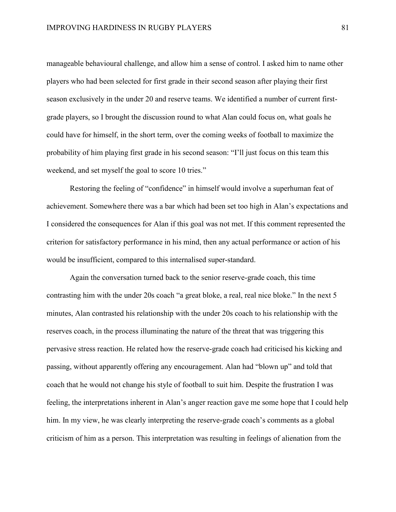manageable behavioural challenge, and allow him a sense of control. I asked him to name other players who had been selected for first grade in their second season after playing their first season exclusively in the under 20 and reserve teams. We identified a number of current firstgrade players, so I brought the discussion round to what Alan could focus on, what goals he could have for himself, in the short term, over the coming weeks of football to maximize the probability of him playing first grade in his second season: "I'll just focus on this team this weekend, and set myself the goal to score 10 tries."

Restoring the feeling of "confidence" in himself would involve a superhuman feat of achievement. Somewhere there was a bar which had been set too high in Alan's expectations and I considered the consequences for Alan if this goal was not met. If this comment represented the criterion for satisfactory performance in his mind, then any actual performance or action of his would be insufficient, compared to this internalised super-standard.

Again the conversation turned back to the senior reserve-grade coach, this time contrasting him with the under 20s coach "a great bloke, a real, real nice bloke." In the next 5 minutes, Alan contrasted his relationship with the under 20s coach to his relationship with the reserves coach, in the process illuminating the nature of the threat that was triggering this pervasive stress reaction. He related how the reserve-grade coach had criticised his kicking and passing, without apparently offering any encouragement. Alan had "blown up" and told that coach that he would not change his style of football to suit him. Despite the frustration I was feeling, the interpretations inherent in Alan's anger reaction gave me some hope that I could help him. In my view, he was clearly interpreting the reserve-grade coach's comments as a global criticism of him as a person. This interpretation was resulting in feelings of alienation from the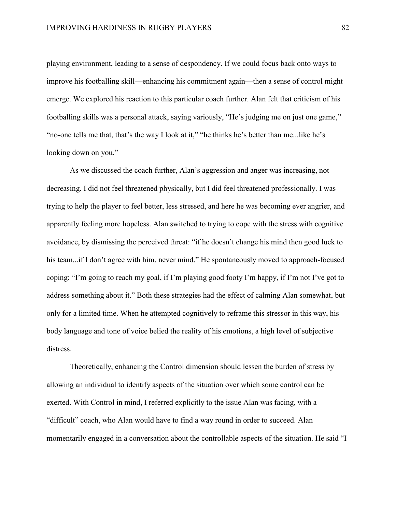playing environment, leading to a sense of despondency. If we could focus back onto ways to improve his footballing skill—enhancing his commitment again—then a sense of control might emerge. We explored his reaction to this particular coach further. Alan felt that criticism of his footballing skills was a personal attack, saying variously, "He's judging me on just one game," "no-one tells me that, that's the way I look at it," "he thinks he's better than me...like he's looking down on you."

As we discussed the coach further, Alan's aggression and anger was increasing, not decreasing. I did not feel threatened physically, but I did feel threatened professionally. I was trying to help the player to feel better, less stressed, and here he was becoming ever angrier, and apparently feeling more hopeless. Alan switched to trying to cope with the stress with cognitive avoidance, by dismissing the perceived threat: "if he doesn't change his mind then good luck to his team...if I don't agree with him, never mind." He spontaneously moved to approach-focused coping: "I'm going to reach my goal, if I'm playing good footy I'm happy, if I'm not I've got to address something about it." Both these strategies had the effect of calming Alan somewhat, but only for a limited time. When he attempted cognitively to reframe this stressor in this way, his body language and tone of voice belied the reality of his emotions, a high level of subjective distress.

Theoretically, enhancing the Control dimension should lessen the burden of stress by allowing an individual to identify aspects of the situation over which some control can be exerted. With Control in mind, I referred explicitly to the issue Alan was facing, with a "difficult" coach, who Alan would have to find a way round in order to succeed. Alan momentarily engaged in a conversation about the controllable aspects of the situation. He said "I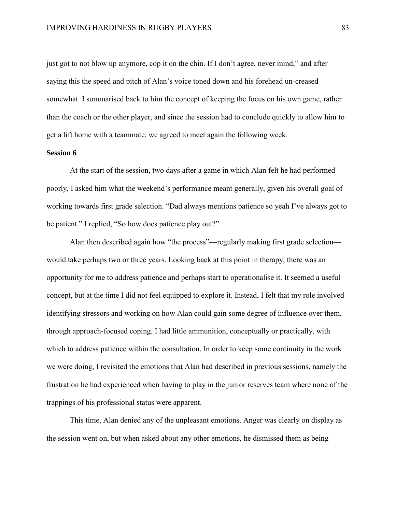just got to not blow up anymore, cop it on the chin. If I don't agree, never mind," and after saying this the speed and pitch of Alan's voice toned down and his forehead un-creased somewhat. I summarised back to him the concept of keeping the focus on his own game, rather than the coach or the other player, and since the session had to conclude quickly to allow him to get a lift home with a teammate, we agreed to meet again the following week.

#### **Session 6**

At the start of the session, two days after a game in which Alan felt he had performed poorly, I asked him what the weekend's performance meant generally, given his overall goal of working towards first grade selection. "Dad always mentions patience so yeah I've always got to be patient." I replied, "So how does patience play out?"

Alan then described again how "the process"—regularly making first grade selection would take perhaps two or three years. Looking back at this point in therapy, there was an opportunity for me to address patience and perhaps start to operationalise it. It seemed a useful concept, but at the time I did not feel equipped to explore it. Instead, I felt that my role involved identifying stressors and working on how Alan could gain some degree of influence over them, through approach-focused coping. I had little ammunition, conceptually or practically, with which to address patience within the consultation. In order to keep some continuity in the work we were doing, I revisited the emotions that Alan had described in previous sessions, namely the frustration he had experienced when having to play in the junior reserves team where none of the trappings of his professional status were apparent.

This time, Alan denied any of the unpleasant emotions. Anger was clearly on display as the session went on, but when asked about any other emotions, he dismissed them as being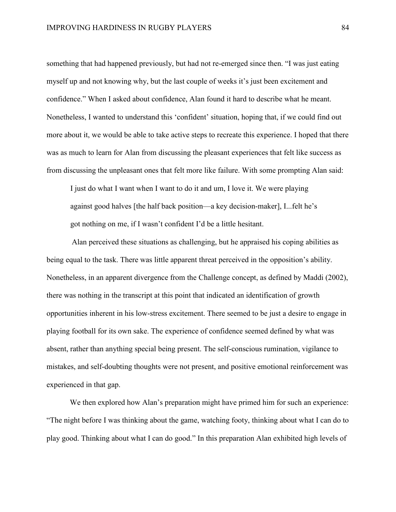something that had happened previously, but had not re-emerged since then. "I was just eating myself up and not knowing why, but the last couple of weeks it's just been excitement and confidence." When I asked about confidence, Alan found it hard to describe what he meant. Nonetheless, I wanted to understand this 'confident' situation, hoping that, if we could find out more about it, we would be able to take active steps to recreate this experience. I hoped that there was as much to learn for Alan from discussing the pleasant experiences that felt like success as from discussing the unpleasant ones that felt more like failure. With some prompting Alan said:

I just do what I want when I want to do it and um, I love it. We were playing against good halves [the half back position—a key decision-maker], I...felt he's got nothing on me, if I wasn't confident I'd be a little hesitant.

Alan perceived these situations as challenging, but he appraised his coping abilities as being equal to the task. There was little apparent threat perceived in the opposition's ability. Nonetheless, in an apparent divergence from the Challenge concept, as defined by Maddi (2002), there was nothing in the transcript at this point that indicated an identification of growth opportunities inherent in his low-stress excitement. There seemed to be just a desire to engage in playing football for its own sake. The experience of confidence seemed defined by what was absent, rather than anything special being present. The self-conscious rumination, vigilance to mistakes, and self-doubting thoughts were not present, and positive emotional reinforcement was experienced in that gap.

We then explored how Alan's preparation might have primed him for such an experience: "The night before I was thinking about the game, watching footy, thinking about what I can do to play good. Thinking about what I can do good." In this preparation Alan exhibited high levels of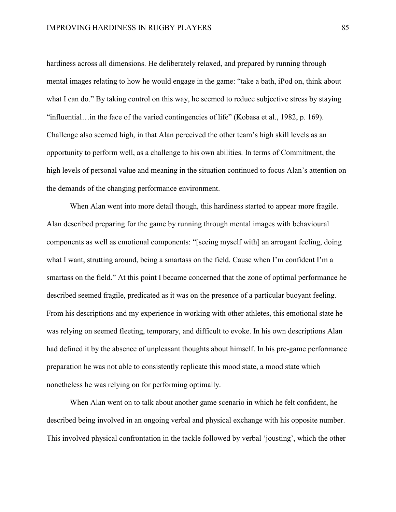hardiness across all dimensions. He deliberately relaxed, and prepared by running through mental images relating to how he would engage in the game: "take a bath, iPod on, think about what I can do." By taking control on this way, he seemed to reduce subjective stress by staying "influential…in the face of the varied contingencies of life" (Kobasa et al., 1982, p. 169). Challenge also seemed high, in that Alan perceived the other team's high skill levels as an opportunity to perform well, as a challenge to his own abilities. In terms of Commitment, the high levels of personal value and meaning in the situation continued to focus Alan's attention on the demands of the changing performance environment.

When Alan went into more detail though, this hardiness started to appear more fragile. Alan described preparing for the game by running through mental images with behavioural components as well as emotional components: "[seeing myself with] an arrogant feeling, doing what I want, strutting around, being a smartass on the field. Cause when I'm confident I'm a smartass on the field." At this point I became concerned that the zone of optimal performance he described seemed fragile, predicated as it was on the presence of a particular buoyant feeling. From his descriptions and my experience in working with other athletes, this emotional state he was relying on seemed fleeting, temporary, and difficult to evoke. In his own descriptions Alan had defined it by the absence of unpleasant thoughts about himself. In his pre-game performance preparation he was not able to consistently replicate this mood state, a mood state which nonetheless he was relying on for performing optimally.

When Alan went on to talk about another game scenario in which he felt confident, he described being involved in an ongoing verbal and physical exchange with his opposite number. This involved physical confrontation in the tackle followed by verbal 'jousting', which the other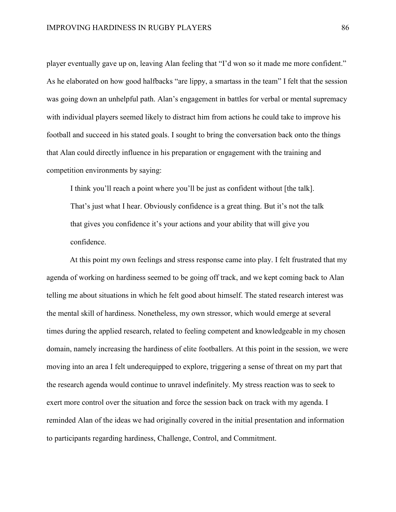player eventually gave up on, leaving Alan feeling that "I'd won so it made me more confident." As he elaborated on how good halfbacks "are lippy, a smartass in the team" I felt that the session was going down an unhelpful path. Alan's engagement in battles for verbal or mental supremacy with individual players seemed likely to distract him from actions he could take to improve his football and succeed in his stated goals. I sought to bring the conversation back onto the things that Alan could directly influence in his preparation or engagement with the training and competition environments by saying:

I think you'll reach a point where you'll be just as confident without [the talk]. That's just what I hear. Obviously confidence is a great thing. But it's not the talk that gives you confidence it's your actions and your ability that will give you confidence.

At this point my own feelings and stress response came into play. I felt frustrated that my agenda of working on hardiness seemed to be going off track, and we kept coming back to Alan telling me about situations in which he felt good about himself. The stated research interest was the mental skill of hardiness. Nonetheless, my own stressor, which would emerge at several times during the applied research, related to feeling competent and knowledgeable in my chosen domain, namely increasing the hardiness of elite footballers. At this point in the session, we were moving into an area I felt underequipped to explore, triggering a sense of threat on my part that the research agenda would continue to unravel indefinitely. My stress reaction was to seek to exert more control over the situation and force the session back on track with my agenda. I reminded Alan of the ideas we had originally covered in the initial presentation and information to participants regarding hardiness, Challenge, Control, and Commitment.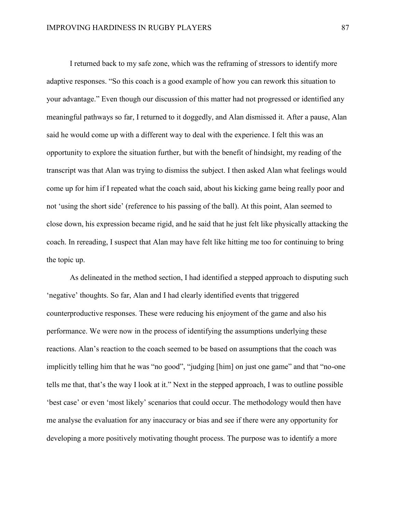I returned back to my safe zone, which was the reframing of stressors to identify more adaptive responses. "So this coach is a good example of how you can rework this situation to your advantage." Even though our discussion of this matter had not progressed or identified any meaningful pathways so far, I returned to it doggedly, and Alan dismissed it. After a pause, Alan said he would come up with a different way to deal with the experience. I felt this was an opportunity to explore the situation further, but with the benefit of hindsight, my reading of the transcript was that Alan was trying to dismiss the subject. I then asked Alan what feelings would come up for him if I repeated what the coach said, about his kicking game being really poor and not 'using the short side' (reference to his passing of the ball). At this point, Alan seemed to close down, his expression became rigid, and he said that he just felt like physically attacking the coach. In rereading, I suspect that Alan may have felt like hitting me too for continuing to bring the topic up.

As delineated in the method section, I had identified a stepped approach to disputing such 'negative' thoughts. So far, Alan and I had clearly identified events that triggered counterproductive responses. These were reducing his enjoyment of the game and also his performance. We were now in the process of identifying the assumptions underlying these reactions. Alan's reaction to the coach seemed to be based on assumptions that the coach was implicitly telling him that he was "no good", "judging [him] on just one game" and that "no-one tells me that, that's the way I look at it." Next in the stepped approach, I was to outline possible 'best case' or even 'most likely' scenarios that could occur. The methodology would then have me analyse the evaluation for any inaccuracy or bias and see if there were any opportunity for developing a more positively motivating thought process. The purpose was to identify a more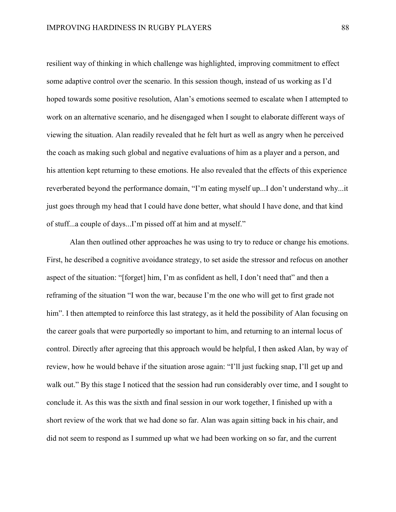resilient way of thinking in which challenge was highlighted, improving commitment to effect some adaptive control over the scenario. In this session though, instead of us working as I'd hoped towards some positive resolution, Alan's emotions seemed to escalate when I attempted to work on an alternative scenario, and he disengaged when I sought to elaborate different ways of viewing the situation. Alan readily revealed that he felt hurt as well as angry when he perceived the coach as making such global and negative evaluations of him as a player and a person, and his attention kept returning to these emotions. He also revealed that the effects of this experience reverberated beyond the performance domain, "I'm eating myself up...I don't understand why...it just goes through my head that I could have done better, what should I have done, and that kind of stuff...a couple of days...I'm pissed off at him and at myself."

Alan then outlined other approaches he was using to try to reduce or change his emotions. First, he described a cognitive avoidance strategy, to set aside the stressor and refocus on another aspect of the situation: "[forget] him, I'm as confident as hell, I don't need that" and then a reframing of the situation "I won the war, because I'm the one who will get to first grade not him". I then attempted to reinforce this last strategy, as it held the possibility of Alan focusing on the career goals that were purportedly so important to him, and returning to an internal locus of control. Directly after agreeing that this approach would be helpful, I then asked Alan, by way of review, how he would behave if the situation arose again: "I'll just fucking snap, I'll get up and walk out." By this stage I noticed that the session had run considerably over time, and I sought to conclude it. As this was the sixth and final session in our work together, I finished up with a short review of the work that we had done so far. Alan was again sitting back in his chair, and did not seem to respond as I summed up what we had been working on so far, and the current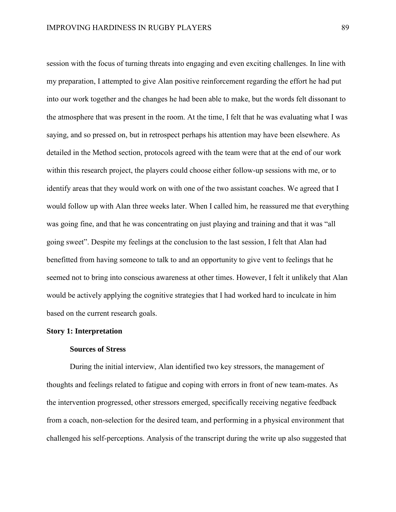session with the focus of turning threats into engaging and even exciting challenges. In line with my preparation, I attempted to give Alan positive reinforcement regarding the effort he had put into our work together and the changes he had been able to make, but the words felt dissonant to the atmosphere that was present in the room. At the time, I felt that he was evaluating what I was saying, and so pressed on, but in retrospect perhaps his attention may have been elsewhere. As detailed in the Method section, protocols agreed with the team were that at the end of our work within this research project, the players could choose either follow-up sessions with me, or to identify areas that they would work on with one of the two assistant coaches. We agreed that I would follow up with Alan three weeks later. When I called him, he reassured me that everything was going fine, and that he was concentrating on just playing and training and that it was "all going sweet". Despite my feelings at the conclusion to the last session, I felt that Alan had benefitted from having someone to talk to and an opportunity to give vent to feelings that he seemed not to bring into conscious awareness at other times. However, I felt it unlikely that Alan would be actively applying the cognitive strategies that I had worked hard to inculcate in him based on the current research goals.

#### **Story 1: Interpretation**

#### **Sources of Stress**

During the initial interview, Alan identified two key stressors, the management of thoughts and feelings related to fatigue and coping with errors in front of new team-mates. As the intervention progressed, other stressors emerged, specifically receiving negative feedback from a coach, non-selection for the desired team, and performing in a physical environment that challenged his self-perceptions. Analysis of the transcript during the write up also suggested that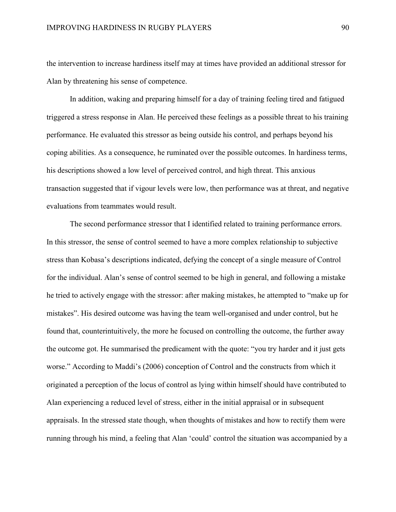the intervention to increase hardiness itself may at times have provided an additional stressor for Alan by threatening his sense of competence.

In addition, waking and preparing himself for a day of training feeling tired and fatigued triggered a stress response in Alan. He perceived these feelings as a possible threat to his training performance. He evaluated this stressor as being outside his control, and perhaps beyond his coping abilities. As a consequence, he ruminated over the possible outcomes. In hardiness terms, his descriptions showed a low level of perceived control, and high threat. This anxious transaction suggested that if vigour levels were low, then performance was at threat, and negative evaluations from teammates would result.

The second performance stressor that I identified related to training performance errors. In this stressor, the sense of control seemed to have a more complex relationship to subjective stress than Kobasa's descriptions indicated, defying the concept of a single measure of Control for the individual. Alan's sense of control seemed to be high in general, and following a mistake he tried to actively engage with the stressor: after making mistakes, he attempted to "make up for mistakes". His desired outcome was having the team well-organised and under control, but he found that, counterintuitively, the more he focused on controlling the outcome, the further away the outcome got. He summarised the predicament with the quote: "you try harder and it just gets worse." According to Maddi's (2006) conception of Control and the constructs from which it originated a perception of the locus of control as lying within himself should have contributed to Alan experiencing a reduced level of stress, either in the initial appraisal or in subsequent appraisals. In the stressed state though, when thoughts of mistakes and how to rectify them were running through his mind, a feeling that Alan 'could' control the situation was accompanied by a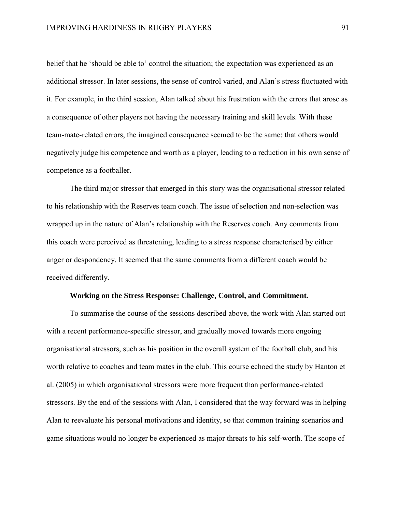belief that he 'should be able to' control the situation; the expectation was experienced as an additional stressor. In later sessions, the sense of control varied, and Alan's stress fluctuated with it. For example, in the third session, Alan talked about his frustration with the errors that arose as a consequence of other players not having the necessary training and skill levels. With these team-mate-related errors, the imagined consequence seemed to be the same: that others would negatively judge his competence and worth as a player, leading to a reduction in his own sense of competence as a footballer.

The third major stressor that emerged in this story was the organisational stressor related to his relationship with the Reserves team coach. The issue of selection and non-selection was wrapped up in the nature of Alan's relationship with the Reserves coach. Any comments from this coach were perceived as threatening, leading to a stress response characterised by either anger or despondency. It seemed that the same comments from a different coach would be received differently.

#### **Working on the Stress Response: Challenge, Control, and Commitment.**

To summarise the course of the sessions described above, the work with Alan started out with a recent performance-specific stressor, and gradually moved towards more ongoing organisational stressors, such as his position in the overall system of the football club, and his worth relative to coaches and team mates in the club. This course echoed the study by Hanton et al. (2005) in which organisational stressors were more frequent than performance-related stressors. By the end of the sessions with Alan, I considered that the way forward was in helping Alan to reevaluate his personal motivations and identity, so that common training scenarios and game situations would no longer be experienced as major threats to his self-worth. The scope of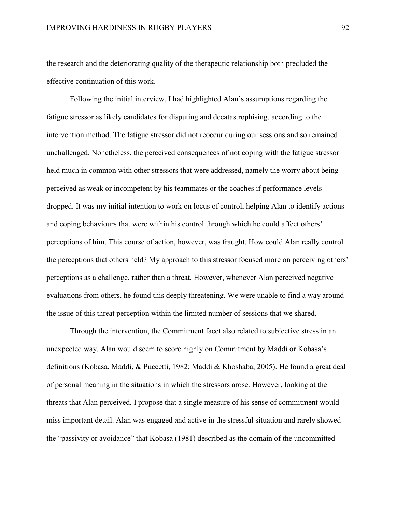the research and the deteriorating quality of the therapeutic relationship both precluded the effective continuation of this work.

Following the initial interview, I had highlighted Alan's assumptions regarding the fatigue stressor as likely candidates for disputing and decatastrophising, according to the intervention method. The fatigue stressor did not reoccur during our sessions and so remained unchallenged. Nonetheless, the perceived consequences of not coping with the fatigue stressor held much in common with other stressors that were addressed, namely the worry about being perceived as weak or incompetent by his teammates or the coaches if performance levels dropped. It was my initial intention to work on locus of control, helping Alan to identify actions and coping behaviours that were within his control through which he could affect others' perceptions of him. This course of action, however, was fraught. How could Alan really control the perceptions that others held? My approach to this stressor focused more on perceiving others' perceptions as a challenge, rather than a threat. However, whenever Alan perceived negative evaluations from others, he found this deeply threatening. We were unable to find a way around the issue of this threat perception within the limited number of sessions that we shared.

Through the intervention, the Commitment facet also related to subjective stress in an unexpected way. Alan would seem to score highly on Commitment by Maddi or Kobasa's definitions (Kobasa, Maddi, & Puccetti, 1982; Maddi & Khoshaba, 2005). He found a great deal of personal meaning in the situations in which the stressors arose. However, looking at the threats that Alan perceived, I propose that a single measure of his sense of commitment would miss important detail. Alan was engaged and active in the stressful situation and rarely showed the "passivity or avoidance" that Kobasa (1981) described as the domain of the uncommitted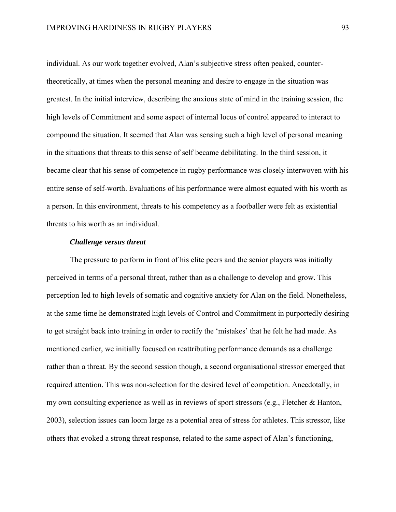individual. As our work together evolved, Alan's subjective stress often peaked, countertheoretically, at times when the personal meaning and desire to engage in the situation was greatest. In the initial interview, describing the anxious state of mind in the training session, the high levels of Commitment and some aspect of internal locus of control appeared to interact to compound the situation. It seemed that Alan was sensing such a high level of personal meaning in the situations that threats to this sense of self became debilitating. In the third session, it became clear that his sense of competence in rugby performance was closely interwoven with his entire sense of self-worth. Evaluations of his performance were almost equated with his worth as a person. In this environment, threats to his competency as a footballer were felt as existential threats to his worth as an individual.

## *Challenge versus threat*

The pressure to perform in front of his elite peers and the senior players was initially perceived in terms of a personal threat, rather than as a challenge to develop and grow. This perception led to high levels of somatic and cognitive anxiety for Alan on the field. Nonetheless, at the same time he demonstrated high levels of Control and Commitment in purportedly desiring to get straight back into training in order to rectify the 'mistakes' that he felt he had made. As mentioned earlier, we initially focused on reattributing performance demands as a challenge rather than a threat. By the second session though, a second organisational stressor emerged that required attention. This was non-selection for the desired level of competition. Anecdotally, in my own consulting experience as well as in reviews of sport stressors (e.g., Fletcher & Hanton, 2003), selection issues can loom large as a potential area of stress for athletes. This stressor, like others that evoked a strong threat response, related to the same aspect of Alan's functioning,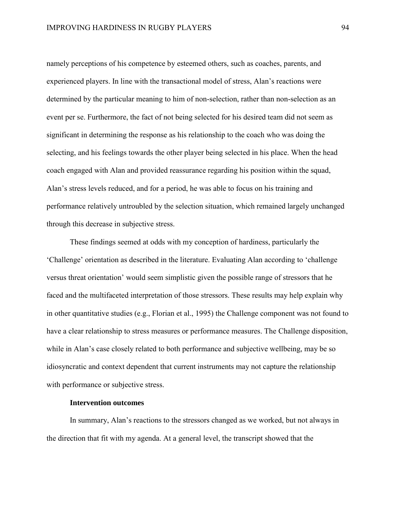namely perceptions of his competence by esteemed others, such as coaches, parents, and experienced players. In line with the transactional model of stress, Alan's reactions were determined by the particular meaning to him of non-selection, rather than non-selection as an event per se. Furthermore, the fact of not being selected for his desired team did not seem as significant in determining the response as his relationship to the coach who was doing the selecting, and his feelings towards the other player being selected in his place. When the head coach engaged with Alan and provided reassurance regarding his position within the squad, Alan's stress levels reduced, and for a period, he was able to focus on his training and performance relatively untroubled by the selection situation, which remained largely unchanged through this decrease in subjective stress.

These findings seemed at odds with my conception of hardiness, particularly the 'Challenge' orientation as described in the literature. Evaluating Alan according to 'challenge versus threat orientation' would seem simplistic given the possible range of stressors that he faced and the multifaceted interpretation of those stressors. These results may help explain why in other quantitative studies (e.g., Florian et al., 1995) the Challenge component was not found to have a clear relationship to stress measures or performance measures. The Challenge disposition, while in Alan's case closely related to both performance and subjective wellbeing, may be so idiosyncratic and context dependent that current instruments may not capture the relationship with performance or subjective stress.

## **Intervention outcomes**

In summary, Alan's reactions to the stressors changed as we worked, but not always in the direction that fit with my agenda. At a general level, the transcript showed that the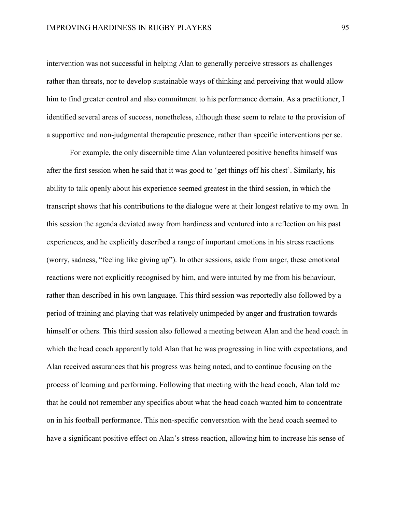intervention was not successful in helping Alan to generally perceive stressors as challenges rather than threats, nor to develop sustainable ways of thinking and perceiving that would allow him to find greater control and also commitment to his performance domain. As a practitioner, I identified several areas of success, nonetheless, although these seem to relate to the provision of a supportive and non-judgmental therapeutic presence, rather than specific interventions per se.

For example, the only discernible time Alan volunteered positive benefits himself was after the first session when he said that it was good to 'get things off his chest'. Similarly, his ability to talk openly about his experience seemed greatest in the third session, in which the transcript shows that his contributions to the dialogue were at their longest relative to my own. In this session the agenda deviated away from hardiness and ventured into a reflection on his past experiences, and he explicitly described a range of important emotions in his stress reactions (worry, sadness, "feeling like giving up"). In other sessions, aside from anger, these emotional reactions were not explicitly recognised by him, and were intuited by me from his behaviour, rather than described in his own language. This third session was reportedly also followed by a period of training and playing that was relatively unimpeded by anger and frustration towards himself or others. This third session also followed a meeting between Alan and the head coach in which the head coach apparently told Alan that he was progressing in line with expectations, and Alan received assurances that his progress was being noted, and to continue focusing on the process of learning and performing. Following that meeting with the head coach, Alan told me that he could not remember any specifics about what the head coach wanted him to concentrate on in his football performance. This non-specific conversation with the head coach seemed to have a significant positive effect on Alan's stress reaction, allowing him to increase his sense of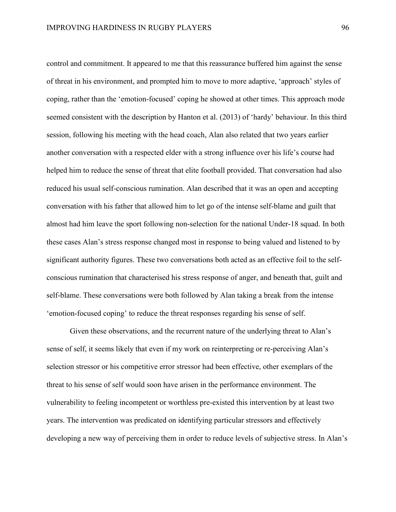control and commitment. It appeared to me that this reassurance buffered him against the sense of threat in his environment, and prompted him to move to more adaptive, 'approach' styles of coping, rather than the 'emotion-focused' coping he showed at other times. This approach mode seemed consistent with the description by Hanton et al. (2013) of 'hardy' behaviour. In this third session, following his meeting with the head coach, Alan also related that two years earlier another conversation with a respected elder with a strong influence over his life's course had helped him to reduce the sense of threat that elite football provided. That conversation had also reduced his usual self-conscious rumination. Alan described that it was an open and accepting conversation with his father that allowed him to let go of the intense self-blame and guilt that almost had him leave the sport following non-selection for the national Under-18 squad. In both these cases Alan's stress response changed most in response to being valued and listened to by significant authority figures. These two conversations both acted as an effective foil to the selfconscious rumination that characterised his stress response of anger, and beneath that, guilt and self-blame. These conversations were both followed by Alan taking a break from the intense 'emotion-focused coping' to reduce the threat responses regarding his sense of self.

Given these observations, and the recurrent nature of the underlying threat to Alan's sense of self, it seems likely that even if my work on reinterpreting or re-perceiving Alan's selection stressor or his competitive error stressor had been effective, other exemplars of the threat to his sense of self would soon have arisen in the performance environment. The vulnerability to feeling incompetent or worthless pre-existed this intervention by at least two years. The intervention was predicated on identifying particular stressors and effectively developing a new way of perceiving them in order to reduce levels of subjective stress. In Alan's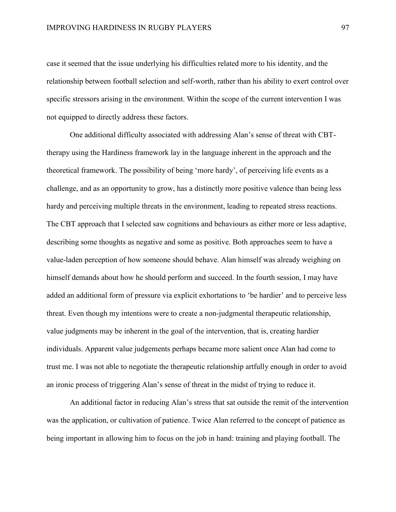case it seemed that the issue underlying his difficulties related more to his identity, and the relationship between football selection and self-worth, rather than his ability to exert control over specific stressors arising in the environment. Within the scope of the current intervention I was not equipped to directly address these factors.

One additional difficulty associated with addressing Alan's sense of threat with CBTtherapy using the Hardiness framework lay in the language inherent in the approach and the theoretical framework. The possibility of being 'more hardy', of perceiving life events as a challenge, and as an opportunity to grow, has a distinctly more positive valence than being less hardy and perceiving multiple threats in the environment, leading to repeated stress reactions. The CBT approach that I selected saw cognitions and behaviours as either more or less adaptive, describing some thoughts as negative and some as positive. Both approaches seem to have a value-laden perception of how someone should behave. Alan himself was already weighing on himself demands about how he should perform and succeed. In the fourth session, I may have added an additional form of pressure via explicit exhortations to 'be hardier' and to perceive less threat. Even though my intentions were to create a non-judgmental therapeutic relationship, value judgments may be inherent in the goal of the intervention, that is, creating hardier individuals. Apparent value judgements perhaps became more salient once Alan had come to trust me. I was not able to negotiate the therapeutic relationship artfully enough in order to avoid an ironic process of triggering Alan's sense of threat in the midst of trying to reduce it.

An additional factor in reducing Alan's stress that sat outside the remit of the intervention was the application, or cultivation of patience. Twice Alan referred to the concept of patience as being important in allowing him to focus on the job in hand: training and playing football. The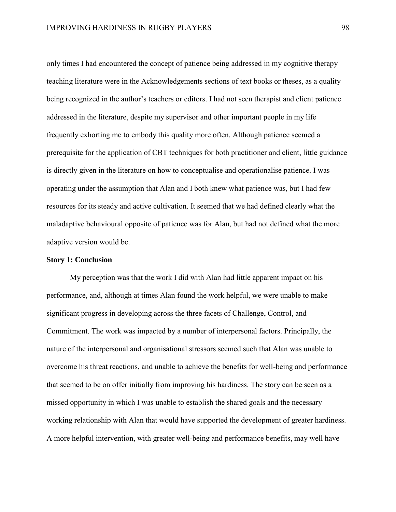only times I had encountered the concept of patience being addressed in my cognitive therapy teaching literature were in the Acknowledgements sections of text books or theses, as a quality being recognized in the author's teachers or editors. I had not seen therapist and client patience addressed in the literature, despite my supervisor and other important people in my life frequently exhorting me to embody this quality more often. Although patience seemed a prerequisite for the application of CBT techniques for both practitioner and client, little guidance is directly given in the literature on how to conceptualise and operationalise patience. I was operating under the assumption that Alan and I both knew what patience was, but I had few resources for its steady and active cultivation. It seemed that we had defined clearly what the maladaptive behavioural opposite of patience was for Alan, but had not defined what the more adaptive version would be.

## **Story 1: Conclusion**

My perception was that the work I did with Alan had little apparent impact on his performance, and, although at times Alan found the work helpful, we were unable to make significant progress in developing across the three facets of Challenge, Control, and Commitment. The work was impacted by a number of interpersonal factors. Principally, the nature of the interpersonal and organisational stressors seemed such that Alan was unable to overcome his threat reactions, and unable to achieve the benefits for well-being and performance that seemed to be on offer initially from improving his hardiness. The story can be seen as a missed opportunity in which I was unable to establish the shared goals and the necessary working relationship with Alan that would have supported the development of greater hardiness. A more helpful intervention, with greater well-being and performance benefits, may well have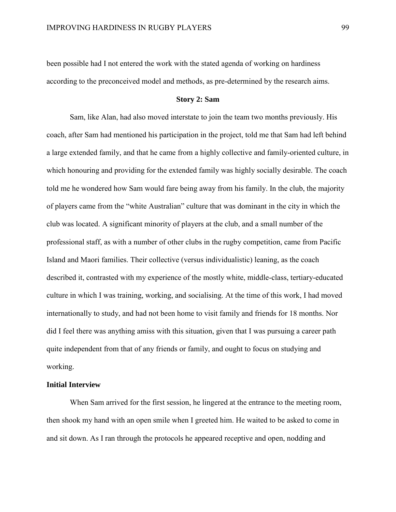been possible had I not entered the work with the stated agenda of working on hardiness according to the preconceived model and methods, as pre-determined by the research aims.

#### **Story 2: Sam**

Sam, like Alan, had also moved interstate to join the team two months previously. His coach, after Sam had mentioned his participation in the project, told me that Sam had left behind a large extended family, and that he came from a highly collective and family-oriented culture, in which honouring and providing for the extended family was highly socially desirable. The coach told me he wondered how Sam would fare being away from his family. In the club, the majority of players came from the "white Australian" culture that was dominant in the city in which the club was located. A significant minority of players at the club, and a small number of the professional staff, as with a number of other clubs in the rugby competition, came from Pacific Island and Maori families. Their collective (versus individualistic) leaning, as the coach described it, contrasted with my experience of the mostly white, middle-class, tertiary-educated culture in which I was training, working, and socialising. At the time of this work, I had moved internationally to study, and had not been home to visit family and friends for 18 months. Nor did I feel there was anything amiss with this situation, given that I was pursuing a career path quite independent from that of any friends or family, and ought to focus on studying and working.

# **Initial Interview**

When Sam arrived for the first session, he lingered at the entrance to the meeting room, then shook my hand with an open smile when I greeted him. He waited to be asked to come in and sit down. As I ran through the protocols he appeared receptive and open, nodding and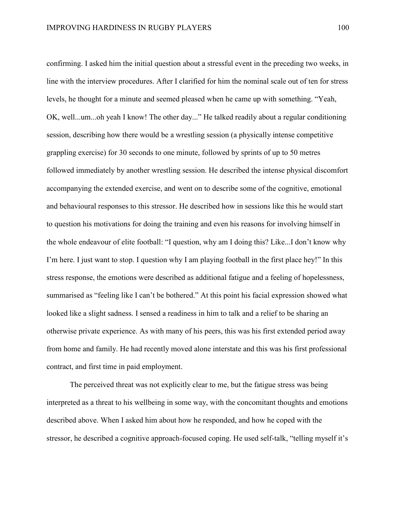confirming. I asked him the initial question about a stressful event in the preceding two weeks, in line with the interview procedures. After I clarified for him the nominal scale out of ten for stress levels, he thought for a minute and seemed pleased when he came up with something. "Yeah, OK, well...um...oh yeah I know! The other day..." He talked readily about a regular conditioning session, describing how there would be a wrestling session (a physically intense competitive grappling exercise) for 30 seconds to one minute, followed by sprints of up to 50 metres followed immediately by another wrestling session. He described the intense physical discomfort accompanying the extended exercise, and went on to describe some of the cognitive, emotional and behavioural responses to this stressor. He described how in sessions like this he would start to question his motivations for doing the training and even his reasons for involving himself in the whole endeavour of elite football: "I question, why am I doing this? Like...I don't know why I'm here. I just want to stop. I question why I am playing football in the first place hey!" In this stress response, the emotions were described as additional fatigue and a feeling of hopelessness, summarised as "feeling like I can't be bothered." At this point his facial expression showed what looked like a slight sadness. I sensed a readiness in him to talk and a relief to be sharing an otherwise private experience. As with many of his peers, this was his first extended period away from home and family. He had recently moved alone interstate and this was his first professional contract, and first time in paid employment.

The perceived threat was not explicitly clear to me, but the fatigue stress was being interpreted as a threat to his wellbeing in some way, with the concomitant thoughts and emotions described above. When I asked him about how he responded, and how he coped with the stressor, he described a cognitive approach-focused coping. He used self-talk, "telling myself it's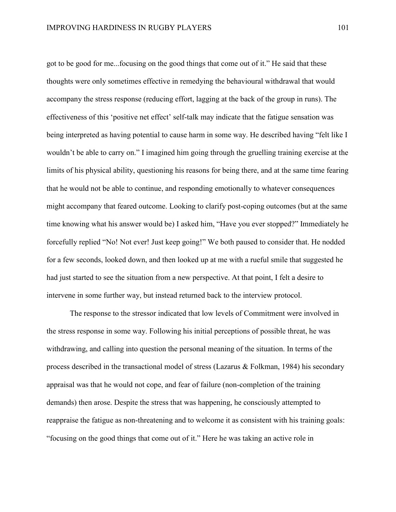got to be good for me...focusing on the good things that come out of it." He said that these thoughts were only sometimes effective in remedying the behavioural withdrawal that would accompany the stress response (reducing effort, lagging at the back of the group in runs). The effectiveness of this 'positive net effect' self-talk may indicate that the fatigue sensation was being interpreted as having potential to cause harm in some way. He described having "felt like I wouldn't be able to carry on." I imagined him going through the gruelling training exercise at the limits of his physical ability, questioning his reasons for being there, and at the same time fearing that he would not be able to continue, and responding emotionally to whatever consequences might accompany that feared outcome. Looking to clarify post-coping outcomes (but at the same time knowing what his answer would be) I asked him, "Have you ever stopped?" Immediately he forcefully replied "No! Not ever! Just keep going!" We both paused to consider that. He nodded for a few seconds, looked down, and then looked up at me with a rueful smile that suggested he had just started to see the situation from a new perspective. At that point, I felt a desire to intervene in some further way, but instead returned back to the interview protocol.

The response to the stressor indicated that low levels of Commitment were involved in the stress response in some way. Following his initial perceptions of possible threat, he was withdrawing, and calling into question the personal meaning of the situation. In terms of the process described in the transactional model of stress (Lazarus & Folkman, 1984) his secondary appraisal was that he would not cope, and fear of failure (non-completion of the training demands) then arose. Despite the stress that was happening, he consciously attempted to reappraise the fatigue as non-threatening and to welcome it as consistent with his training goals: "focusing on the good things that come out of it." Here he was taking an active role in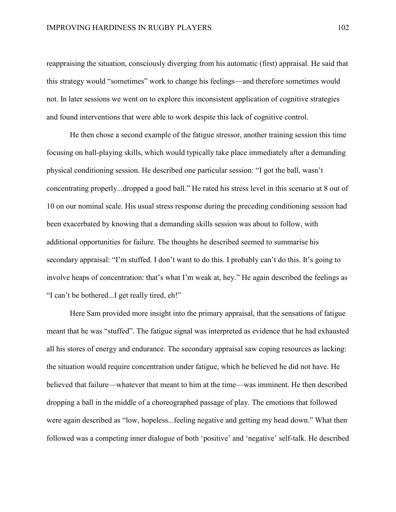reappraising the situation, consciously diverging from his automatic (first) appraisal. He said that this strategy would "sometimes" work to change his feelings—and therefore sometimes would not. In later sessions we went on to explore this inconsistent application of cognitive strategies and found interventions that were able to work despite this lack of cognitive control.

He then chose a second example of the fatigue stressor, another training session this time focusing on ball-playing skills, which would typically take place immediately after a demanding physical conditioning session. He described one particular session: "I got the ball, wasn't concentrating properly...dropped a good ball." He rated his stress level in this scenario at 8 out of 10 on our nominal scale. His usual stress response during the preceding conditioning session had been exacerbated by knowing that a demanding skills session was about to follow, with additional opportunities for failure. The thoughts he described seemed to summarise his secondary appraisal: "I'm stuffed. I don't want to do this. I probably can't do this. It's going to involve heaps of concentration: that's what I'm weak at, hey." He again described the feelings as "I can't be bothered...I get really tired, eh!"

Here Sam provided more insight into the primary appraisal, that the sensations of fatigue meant that he was "stuffed". The fatigue signal was interpreted as evidence that he had exhausted all his stores of energy and endurance. The secondary appraisal saw coping resources as lacking: the situation would require concentration under fatigue, which he believed he did not have. He believed that failure—whatever that meant to him at the time—was imminent. He then described dropping a ball in the middle of a choreographed passage of play. The emotions that followed were again described as "low, hopeless...feeling negative and getting my head down." What then followed was a competing inner dialogue of both 'positive' and 'negative' self-talk. He described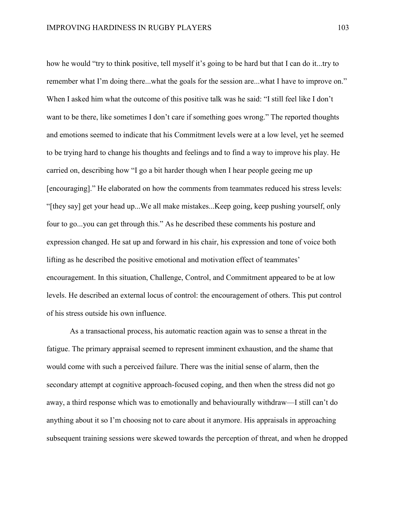how he would "try to think positive, tell myself it's going to be hard but that I can do it...try to remember what I'm doing there...what the goals for the session are...what I have to improve on." When I asked him what the outcome of this positive talk was he said: "I still feel like I don't want to be there, like sometimes I don't care if something goes wrong." The reported thoughts and emotions seemed to indicate that his Commitment levels were at a low level, yet he seemed to be trying hard to change his thoughts and feelings and to find a way to improve his play. He carried on, describing how "I go a bit harder though when I hear people geeing me up [encouraging]." He elaborated on how the comments from teammates reduced his stress levels: "[they say] get your head up...We all make mistakes...Keep going, keep pushing yourself, only four to go...you can get through this." As he described these comments his posture and expression changed. He sat up and forward in his chair, his expression and tone of voice both lifting as he described the positive emotional and motivation effect of teammates' encouragement. In this situation, Challenge, Control, and Commitment appeared to be at low levels. He described an external locus of control: the encouragement of others. This put control of his stress outside his own influence.

As a transactional process, his automatic reaction again was to sense a threat in the fatigue. The primary appraisal seemed to represent imminent exhaustion, and the shame that would come with such a perceived failure. There was the initial sense of alarm, then the secondary attempt at cognitive approach-focused coping, and then when the stress did not go away, a third response which was to emotionally and behaviourally withdraw—I still can't do anything about it so I'm choosing not to care about it anymore. His appraisals in approaching subsequent training sessions were skewed towards the perception of threat, and when he dropped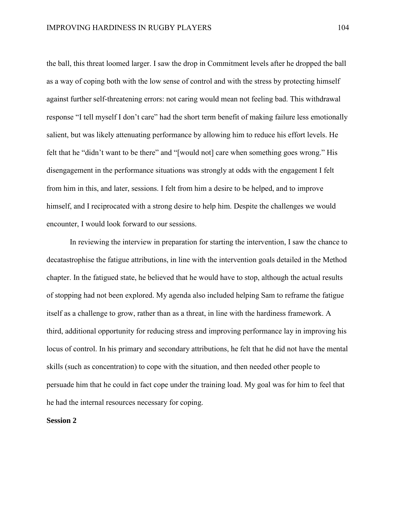the ball, this threat loomed larger. I saw the drop in Commitment levels after he dropped the ball as a way of coping both with the low sense of control and with the stress by protecting himself against further self-threatening errors: not caring would mean not feeling bad. This withdrawal response "I tell myself I don't care" had the short term benefit of making failure less emotionally salient, but was likely attenuating performance by allowing him to reduce his effort levels. He felt that he "didn't want to be there" and "[would not] care when something goes wrong." His disengagement in the performance situations was strongly at odds with the engagement I felt from him in this, and later, sessions. I felt from him a desire to be helped, and to improve himself, and I reciprocated with a strong desire to help him. Despite the challenges we would encounter, I would look forward to our sessions.

In reviewing the interview in preparation for starting the intervention, I saw the chance to decatastrophise the fatigue attributions, in line with the intervention goals detailed in the Method chapter. In the fatigued state, he believed that he would have to stop, although the actual results of stopping had not been explored. My agenda also included helping Sam to reframe the fatigue itself as a challenge to grow, rather than as a threat, in line with the hardiness framework. A third, additional opportunity for reducing stress and improving performance lay in improving his locus of control. In his primary and secondary attributions, he felt that he did not have the mental skills (such as concentration) to cope with the situation, and then needed other people to persuade him that he could in fact cope under the training load. My goal was for him to feel that he had the internal resources necessary for coping.

## **Session 2**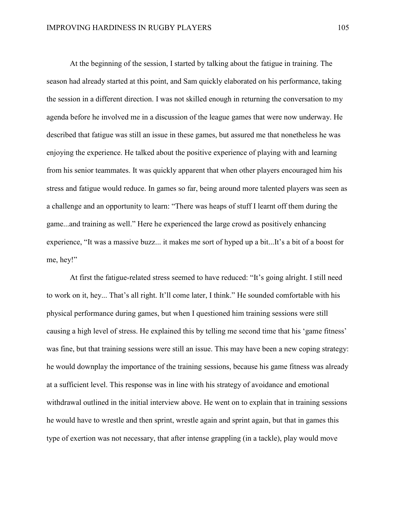At the beginning of the session, I started by talking about the fatigue in training. The season had already started at this point, and Sam quickly elaborated on his performance, taking the session in a different direction. I was not skilled enough in returning the conversation to my agenda before he involved me in a discussion of the league games that were now underway. He described that fatigue was still an issue in these games, but assured me that nonetheless he was enjoying the experience. He talked about the positive experience of playing with and learning from his senior teammates. It was quickly apparent that when other players encouraged him his stress and fatigue would reduce. In games so far, being around more talented players was seen as a challenge and an opportunity to learn: "There was heaps of stuff I learnt off them during the game...and training as well." Here he experienced the large crowd as positively enhancing experience, "It was a massive buzz... it makes me sort of hyped up a bit...It's a bit of a boost for me, hey!"

At first the fatigue-related stress seemed to have reduced: "It's going alright. I still need to work on it, hey... That's all right. It'll come later, I think." He sounded comfortable with his physical performance during games, but when I questioned him training sessions were still causing a high level of stress. He explained this by telling me second time that his 'game fitness' was fine, but that training sessions were still an issue. This may have been a new coping strategy: he would downplay the importance of the training sessions, because his game fitness was already at a sufficient level. This response was in line with his strategy of avoidance and emotional withdrawal outlined in the initial interview above. He went on to explain that in training sessions he would have to wrestle and then sprint, wrestle again and sprint again, but that in games this type of exertion was not necessary, that after intense grappling (in a tackle), play would move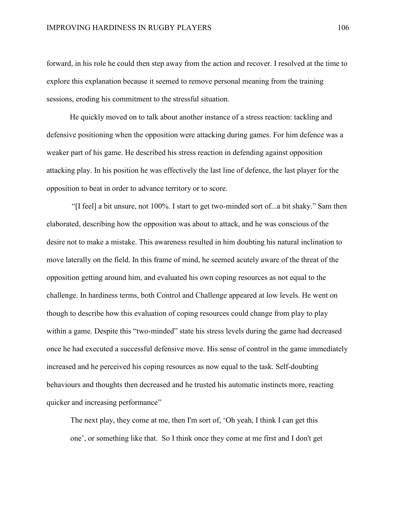forward, in his role he could then step away from the action and recover. I resolved at the time to explore this explanation because it seemed to remove personal meaning from the training sessions, eroding his commitment to the stressful situation.

He quickly moved on to talk about another instance of a stress reaction: tackling and defensive positioning when the opposition were attacking during games. For him defence was a weaker part of his game. He described his stress reaction in defending against opposition attacking play. In his position he was effectively the last line of defence, the last player for the opposition to beat in order to advance territory or to score.

"[I feel] a bit unsure, not 100%. I start to get two-minded sort of...a bit shaky." Sam then elaborated, describing how the opposition was about to attack, and he was conscious of the desire not to make a mistake. This awareness resulted in him doubting his natural inclination to move laterally on the field. In this frame of mind, he seemed acutely aware of the threat of the opposition getting around him, and evaluated his own coping resources as not equal to the challenge. In hardiness terms, both Control and Challenge appeared at low levels. He went on though to describe how this evaluation of coping resources could change from play to play within a game. Despite this "two-minded" state his stress levels during the game had decreased once he had executed a successful defensive move. His sense of control in the game immediately increased and he perceived his coping resources as now equal to the task. Self-doubting behaviours and thoughts then decreased and he trusted his automatic instincts more, reacting quicker and increasing performance"

The next play, they come at me, then I'm sort of, 'Oh yeah, I think I can get this one', or something like that. So I think once they come at me first and I don't get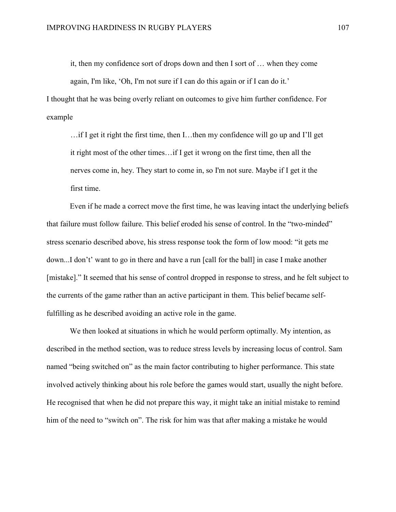it, then my confidence sort of drops down and then I sort of … when they come

again, I'm like, 'Oh, I'm not sure if I can do this again or if I can do it.'

I thought that he was being overly reliant on outcomes to give him further confidence. For example

 $\ldots$  if I get it right the first time, then I $\ldots$  then my confidence will go up and I'll get it right most of the other times…if I get it wrong on the first time, then all the nerves come in, hey. They start to come in, so I'm not sure. Maybe if I get it the first time.

Even if he made a correct move the first time, he was leaving intact the underlying beliefs that failure must follow failure. This belief eroded his sense of control. In the "two-minded" stress scenario described above, his stress response took the form of low mood: "it gets me down...I don't' want to go in there and have a run [call for the ball] in case I make another [mistake]." It seemed that his sense of control dropped in response to stress, and he felt subject to the currents of the game rather than an active participant in them. This belief became selffulfilling as he described avoiding an active role in the game.

We then looked at situations in which he would perform optimally. My intention, as described in the method section, was to reduce stress levels by increasing locus of control. Sam named "being switched on" as the main factor contributing to higher performance. This state involved actively thinking about his role before the games would start, usually the night before. He recognised that when he did not prepare this way, it might take an initial mistake to remind him of the need to "switch on". The risk for him was that after making a mistake he would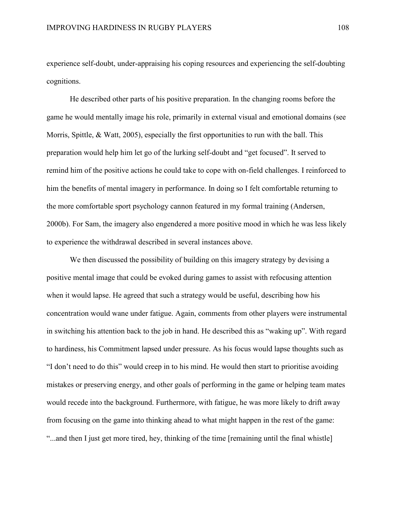experience self-doubt, under-appraising his coping resources and experiencing the self-doubting cognitions.

He described other parts of his positive preparation. In the changing rooms before the game he would mentally image his role, primarily in external visual and emotional domains (see Morris, Spittle, & Watt, 2005), especially the first opportunities to run with the ball. This preparation would help him let go of the lurking self-doubt and "get focused". It served to remind him of the positive actions he could take to cope with on-field challenges. I reinforced to him the benefits of mental imagery in performance. In doing so I felt comfortable returning to the more comfortable sport psychology cannon featured in my formal training (Andersen, 2000b). For Sam, the imagery also engendered a more positive mood in which he was less likely to experience the withdrawal described in several instances above.

We then discussed the possibility of building on this imagery strategy by devising a positive mental image that could be evoked during games to assist with refocusing attention when it would lapse. He agreed that such a strategy would be useful, describing how his concentration would wane under fatigue. Again, comments from other players were instrumental in switching his attention back to the job in hand. He described this as "waking up". With regard to hardiness, his Commitment lapsed under pressure. As his focus would lapse thoughts such as "I don't need to do this" would creep in to his mind. He would then start to prioritise avoiding mistakes or preserving energy, and other goals of performing in the game or helping team mates would recede into the background. Furthermore, with fatigue, he was more likely to drift away from focusing on the game into thinking ahead to what might happen in the rest of the game: "...and then I just get more tired, hey, thinking of the time [remaining until the final whistle]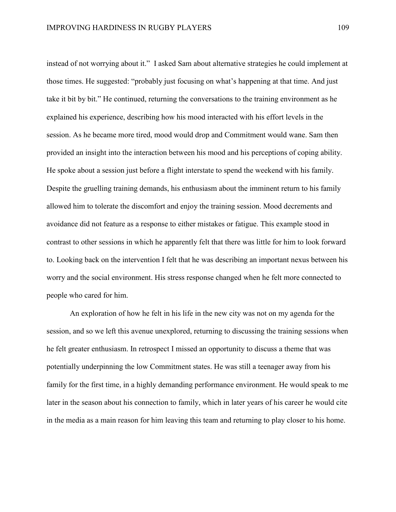instead of not worrying about it." I asked Sam about alternative strategies he could implement at those times. He suggested: "probably just focusing on what's happening at that time. And just take it bit by bit." He continued, returning the conversations to the training environment as he explained his experience, describing how his mood interacted with his effort levels in the session. As he became more tired, mood would drop and Commitment would wane. Sam then provided an insight into the interaction between his mood and his perceptions of coping ability. He spoke about a session just before a flight interstate to spend the weekend with his family. Despite the gruelling training demands, his enthusiasm about the imminent return to his family allowed him to tolerate the discomfort and enjoy the training session. Mood decrements and avoidance did not feature as a response to either mistakes or fatigue. This example stood in contrast to other sessions in which he apparently felt that there was little for him to look forward to. Looking back on the intervention I felt that he was describing an important nexus between his worry and the social environment. His stress response changed when he felt more connected to people who cared for him.

An exploration of how he felt in his life in the new city was not on my agenda for the session, and so we left this avenue unexplored, returning to discussing the training sessions when he felt greater enthusiasm. In retrospect I missed an opportunity to discuss a theme that was potentially underpinning the low Commitment states. He was still a teenager away from his family for the first time, in a highly demanding performance environment. He would speak to me later in the season about his connection to family, which in later years of his career he would cite in the media as a main reason for him leaving this team and returning to play closer to his home.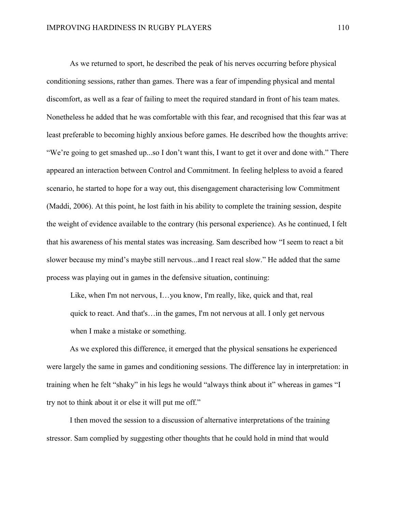As we returned to sport, he described the peak of his nerves occurring before physical conditioning sessions, rather than games. There was a fear of impending physical and mental discomfort, as well as a fear of failing to meet the required standard in front of his team mates. Nonetheless he added that he was comfortable with this fear, and recognised that this fear was at least preferable to becoming highly anxious before games. He described how the thoughts arrive: "We're going to get smashed up...so I don't want this, I want to get it over and done with." There appeared an interaction between Control and Commitment. In feeling helpless to avoid a feared scenario, he started to hope for a way out, this disengagement characterising low Commitment (Maddi, 2006). At this point, he lost faith in his ability to complete the training session, despite the weight of evidence available to the contrary (his personal experience). As he continued, I felt that his awareness of his mental states was increasing. Sam described how "I seem to react a bit slower because my mind's maybe still nervous...and I react real slow." He added that the same process was playing out in games in the defensive situation, continuing:

Like, when I'm not nervous, I…you know, I'm really, like, quick and that, real quick to react. And that's…in the games, I'm not nervous at all. I only get nervous when I make a mistake or something.

As we explored this difference, it emerged that the physical sensations he experienced were largely the same in games and conditioning sessions. The difference lay in interpretation: in training when he felt "shaky" in his legs he would "always think about it" whereas in games "I try not to think about it or else it will put me off."

I then moved the session to a discussion of alternative interpretations of the training stressor. Sam complied by suggesting other thoughts that he could hold in mind that would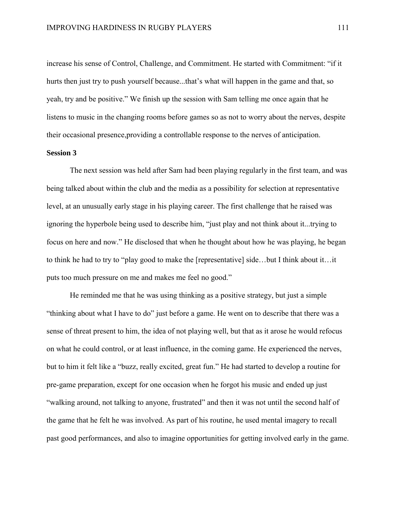increase his sense of Control, Challenge, and Commitment. He started with Commitment: "if it hurts then just try to push yourself because...that's what will happen in the game and that, so yeah, try and be positive." We finish up the session with Sam telling me once again that he listens to music in the changing rooms before games so as not to worry about the nerves, despite their occasional presence,providing a controllable response to the nerves of anticipation.

#### **Session 3**

The next session was held after Sam had been playing regularly in the first team, and was being talked about within the club and the media as a possibility for selection at representative level, at an unusually early stage in his playing career. The first challenge that he raised was ignoring the hyperbole being used to describe him, "just play and not think about it...trying to focus on here and now." He disclosed that when he thought about how he was playing, he began to think he had to try to "play good to make the [representative] side…but I think about it…it puts too much pressure on me and makes me feel no good."

He reminded me that he was using thinking as a positive strategy, but just a simple "thinking about what I have to do" just before a game. He went on to describe that there was a sense of threat present to him, the idea of not playing well, but that as it arose he would refocus on what he could control, or at least influence, in the coming game. He experienced the nerves, but to him it felt like a "buzz, really excited, great fun." He had started to develop a routine for pre-game preparation, except for one occasion when he forgot his music and ended up just "walking around, not talking to anyone, frustrated" and then it was not until the second half of the game that he felt he was involved. As part of his routine, he used mental imagery to recall past good performances, and also to imagine opportunities for getting involved early in the game.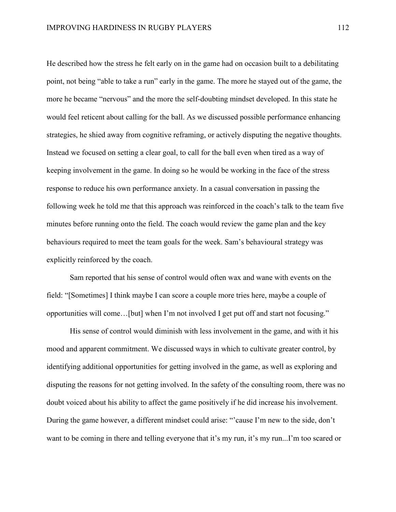He described how the stress he felt early on in the game had on occasion built to a debilitating point, not being "able to take a run" early in the game. The more he stayed out of the game, the more he became "nervous" and the more the self-doubting mindset developed. In this state he would feel reticent about calling for the ball. As we discussed possible performance enhancing strategies, he shied away from cognitive reframing, or actively disputing the negative thoughts. Instead we focused on setting a clear goal, to call for the ball even when tired as a way of keeping involvement in the game. In doing so he would be working in the face of the stress response to reduce his own performance anxiety. In a casual conversation in passing the following week he told me that this approach was reinforced in the coach's talk to the team five minutes before running onto the field. The coach would review the game plan and the key behaviours required to meet the team goals for the week. Sam's behavioural strategy was explicitly reinforced by the coach.

Sam reported that his sense of control would often wax and wane with events on the field: "[Sometimes] I think maybe I can score a couple more tries here, maybe a couple of opportunities will come…[but] when I'm not involved I get put off and start not focusing."

His sense of control would diminish with less involvement in the game, and with it his mood and apparent commitment. We discussed ways in which to cultivate greater control, by identifying additional opportunities for getting involved in the game, as well as exploring and disputing the reasons for not getting involved. In the safety of the consulting room, there was no doubt voiced about his ability to affect the game positively if he did increase his involvement. During the game however, a different mindset could arise: "'cause I'm new to the side, don't want to be coming in there and telling everyone that it's my run, it's my run...I'm too scared or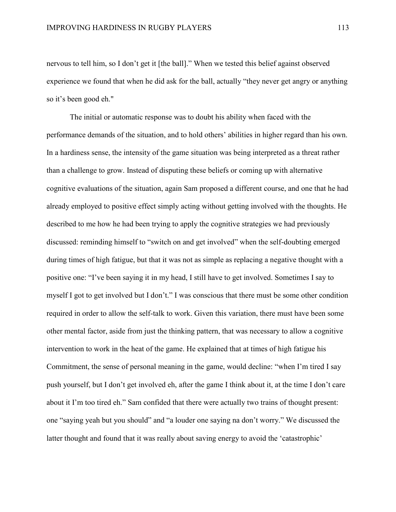nervous to tell him, so I don't get it [the ball]." When we tested this belief against observed experience we found that when he did ask for the ball, actually "they never get angry or anything so it's been good eh."

The initial or automatic response was to doubt his ability when faced with the performance demands of the situation, and to hold others' abilities in higher regard than his own. In a hardiness sense, the intensity of the game situation was being interpreted as a threat rather than a challenge to grow. Instead of disputing these beliefs or coming up with alternative cognitive evaluations of the situation, again Sam proposed a different course, and one that he had already employed to positive effect simply acting without getting involved with the thoughts. He described to me how he had been trying to apply the cognitive strategies we had previously discussed: reminding himself to "switch on and get involved" when the self-doubting emerged during times of high fatigue, but that it was not as simple as replacing a negative thought with a positive one: "I've been saying it in my head, I still have to get involved. Sometimes I say to myself I got to get involved but I don't." I was conscious that there must be some other condition required in order to allow the self-talk to work. Given this variation, there must have been some other mental factor, aside from just the thinking pattern, that was necessary to allow a cognitive intervention to work in the heat of the game. He explained that at times of high fatigue his Commitment, the sense of personal meaning in the game, would decline: "when I'm tired I say push yourself, but I don't get involved eh, after the game I think about it, at the time I don't care about it I'm too tired eh." Sam confided that there were actually two trains of thought present: one "saying yeah but you should" and "a louder one saying na don't worry." We discussed the latter thought and found that it was really about saving energy to avoid the 'catastrophic'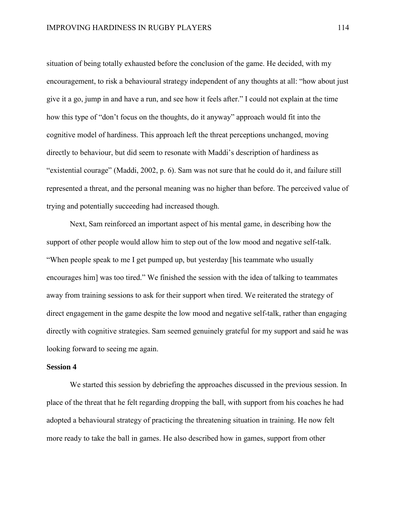situation of being totally exhausted before the conclusion of the game. He decided, with my encouragement, to risk a behavioural strategy independent of any thoughts at all: "how about just give it a go, jump in and have a run, and see how it feels after." I could not explain at the time how this type of "don't focus on the thoughts, do it anyway" approach would fit into the cognitive model of hardiness. This approach left the threat perceptions unchanged, moving directly to behaviour, but did seem to resonate with Maddi's description of hardiness as "existential courage" (Maddi, 2002, p. 6). Sam was not sure that he could do it, and failure still represented a threat, and the personal meaning was no higher than before. The perceived value of trying and potentially succeeding had increased though.

Next, Sam reinforced an important aspect of his mental game, in describing how the support of other people would allow him to step out of the low mood and negative self-talk. "When people speak to me I get pumped up, but yesterday [his teammate who usually encourages him] was too tired." We finished the session with the idea of talking to teammates away from training sessions to ask for their support when tired. We reiterated the strategy of direct engagement in the game despite the low mood and negative self-talk, rather than engaging directly with cognitive strategies. Sam seemed genuinely grateful for my support and said he was looking forward to seeing me again.

### **Session 4**

We started this session by debriefing the approaches discussed in the previous session. In place of the threat that he felt regarding dropping the ball, with support from his coaches he had adopted a behavioural strategy of practicing the threatening situation in training. He now felt more ready to take the ball in games. He also described how in games, support from other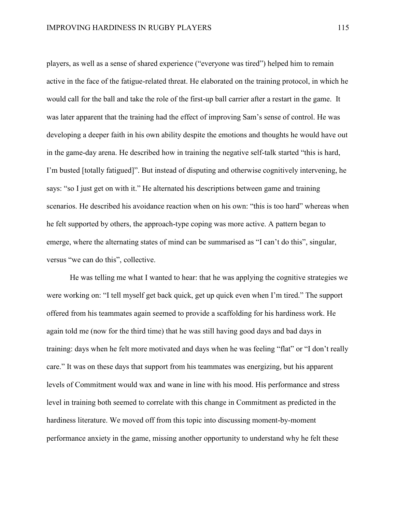players, as well as a sense of shared experience ("everyone was tired") helped him to remain active in the face of the fatigue-related threat. He elaborated on the training protocol, in which he would call for the ball and take the role of the first-up ball carrier after a restart in the game. It was later apparent that the training had the effect of improving Sam's sense of control. He was developing a deeper faith in his own ability despite the emotions and thoughts he would have out in the game-day arena. He described how in training the negative self-talk started "this is hard, I'm busted [totally fatigued]". But instead of disputing and otherwise cognitively intervening, he says: "so I just get on with it." He alternated his descriptions between game and training scenarios. He described his avoidance reaction when on his own: "this is too hard" whereas when he felt supported by others, the approach-type coping was more active. A pattern began to emerge, where the alternating states of mind can be summarised as "I can't do this", singular, versus "we can do this", collective.

He was telling me what I wanted to hear: that he was applying the cognitive strategies we were working on: "I tell myself get back quick, get up quick even when I'm tired." The support offered from his teammates again seemed to provide a scaffolding for his hardiness work. He again told me (now for the third time) that he was still having good days and bad days in training: days when he felt more motivated and days when he was feeling "flat" or "I don't really care." It was on these days that support from his teammates was energizing, but his apparent levels of Commitment would wax and wane in line with his mood. His performance and stress level in training both seemed to correlate with this change in Commitment as predicted in the hardiness literature. We moved off from this topic into discussing moment-by-moment performance anxiety in the game, missing another opportunity to understand why he felt these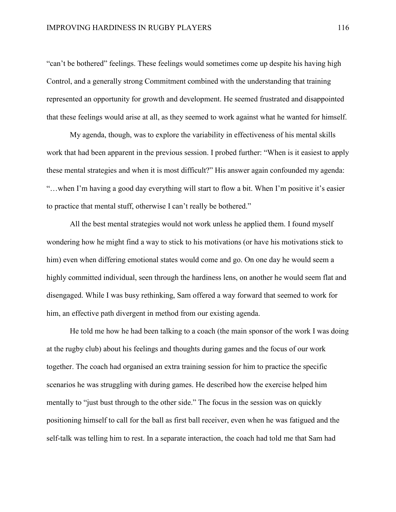"can't be bothered" feelings. These feelings would sometimes come up despite his having high Control, and a generally strong Commitment combined with the understanding that training represented an opportunity for growth and development. He seemed frustrated and disappointed that these feelings would arise at all, as they seemed to work against what he wanted for himself.

My agenda, though, was to explore the variability in effectiveness of his mental skills work that had been apparent in the previous session. I probed further: "When is it easiest to apply these mental strategies and when it is most difficult?" His answer again confounded my agenda: "…when I'm having a good day everything will start to flow a bit. When I'm positive it's easier to practice that mental stuff, otherwise I can't really be bothered."

All the best mental strategies would not work unless he applied them. I found myself wondering how he might find a way to stick to his motivations (or have his motivations stick to him) even when differing emotional states would come and go. On one day he would seem a highly committed individual, seen through the hardiness lens, on another he would seem flat and disengaged. While I was busy rethinking, Sam offered a way forward that seemed to work for him, an effective path divergent in method from our existing agenda.

He told me how he had been talking to a coach (the main sponsor of the work I was doing at the rugby club) about his feelings and thoughts during games and the focus of our work together. The coach had organised an extra training session for him to practice the specific scenarios he was struggling with during games. He described how the exercise helped him mentally to "just bust through to the other side." The focus in the session was on quickly positioning himself to call for the ball as first ball receiver, even when he was fatigued and the self-talk was telling him to rest. In a separate interaction, the coach had told me that Sam had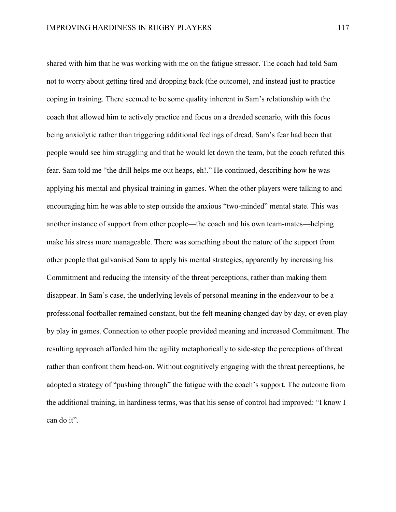shared with him that he was working with me on the fatigue stressor. The coach had told Sam not to worry about getting tired and dropping back (the outcome), and instead just to practice coping in training. There seemed to be some quality inherent in Sam's relationship with the coach that allowed him to actively practice and focus on a dreaded scenario, with this focus being anxiolytic rather than triggering additional feelings of dread. Sam's fear had been that people would see him struggling and that he would let down the team, but the coach refuted this fear. Sam told me "the drill helps me out heaps, eh!." He continued, describing how he was applying his mental and physical training in games. When the other players were talking to and encouraging him he was able to step outside the anxious "two-minded" mental state. This was another instance of support from other people—the coach and his own team-mates—helping make his stress more manageable. There was something about the nature of the support from other people that galvanised Sam to apply his mental strategies, apparently by increasing his Commitment and reducing the intensity of the threat perceptions, rather than making them disappear. In Sam's case, the underlying levels of personal meaning in the endeavour to be a professional footballer remained constant, but the felt meaning changed day by day, or even play by play in games. Connection to other people provided meaning and increased Commitment. The resulting approach afforded him the agility metaphorically to side-step the perceptions of threat rather than confront them head-on. Without cognitively engaging with the threat perceptions, he adopted a strategy of "pushing through" the fatigue with the coach's support. The outcome from the additional training, in hardiness terms, was that his sense of control had improved: "I know I can do it".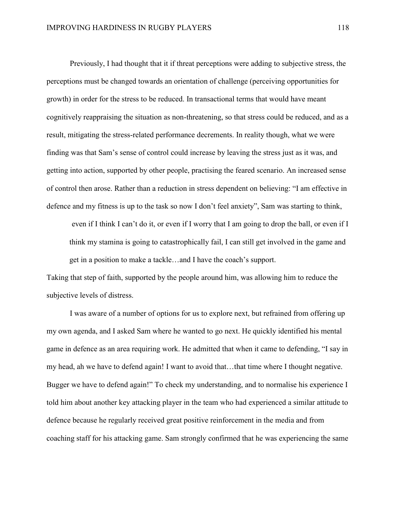Previously, I had thought that it if threat perceptions were adding to subjective stress, the perceptions must be changed towards an orientation of challenge (perceiving opportunities for growth) in order for the stress to be reduced. In transactional terms that would have meant cognitively reappraising the situation as non-threatening, so that stress could be reduced, and as a result, mitigating the stress-related performance decrements. In reality though, what we were finding was that Sam's sense of control could increase by leaving the stress just as it was, and getting into action, supported by other people, practising the feared scenario. An increased sense of control then arose. Rather than a reduction in stress dependent on believing: "I am effective in defence and my fitness is up to the task so now I don't feel anxiety", Sam was starting to think,

even if I think I can't do it, or even if I worry that I am going to drop the ball, or even if I think my stamina is going to catastrophically fail, I can still get involved in the game and get in a position to make a tackle…and I have the coach's support.

Taking that step of faith, supported by the people around him, was allowing him to reduce the subjective levels of distress.

I was aware of a number of options for us to explore next, but refrained from offering up my own agenda, and I asked Sam where he wanted to go next. He quickly identified his mental game in defence as an area requiring work. He admitted that when it came to defending, "I say in my head, ah we have to defend again! I want to avoid that…that time where I thought negative. Bugger we have to defend again!" To check my understanding, and to normalise his experience I told him about another key attacking player in the team who had experienced a similar attitude to defence because he regularly received great positive reinforcement in the media and from coaching staff for his attacking game. Sam strongly confirmed that he was experiencing the same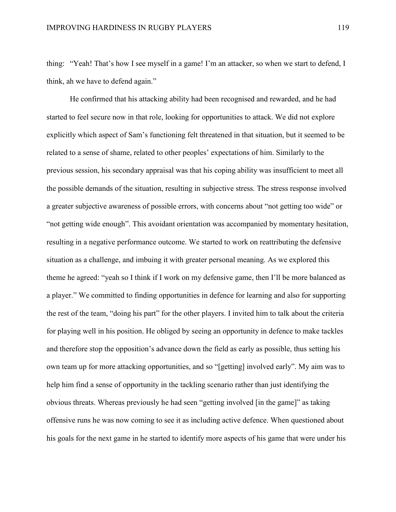thing: "Yeah! That's how I see myself in a game! I'm an attacker, so when we start to defend, I think, ah we have to defend again."

He confirmed that his attacking ability had been recognised and rewarded, and he had started to feel secure now in that role, looking for opportunities to attack. We did not explore explicitly which aspect of Sam's functioning felt threatened in that situation, but it seemed to be related to a sense of shame, related to other peoples' expectations of him. Similarly to the previous session, his secondary appraisal was that his coping ability was insufficient to meet all the possible demands of the situation, resulting in subjective stress. The stress response involved a greater subjective awareness of possible errors, with concerns about "not getting too wide" or "not getting wide enough". This avoidant orientation was accompanied by momentary hesitation, resulting in a negative performance outcome. We started to work on reattributing the defensive situation as a challenge, and imbuing it with greater personal meaning. As we explored this theme he agreed: "yeah so I think if I work on my defensive game, then I'll be more balanced as a player." We committed to finding opportunities in defence for learning and also for supporting the rest of the team, "doing his part" for the other players. I invited him to talk about the criteria for playing well in his position. He obliged by seeing an opportunity in defence to make tackles and therefore stop the opposition's advance down the field as early as possible, thus setting his own team up for more attacking opportunities, and so "[getting] involved early". My aim was to help him find a sense of opportunity in the tackling scenario rather than just identifying the obvious threats. Whereas previously he had seen "getting involved [in the game]" as taking offensive runs he was now coming to see it as including active defence. When questioned about his goals for the next game in he started to identify more aspects of his game that were under his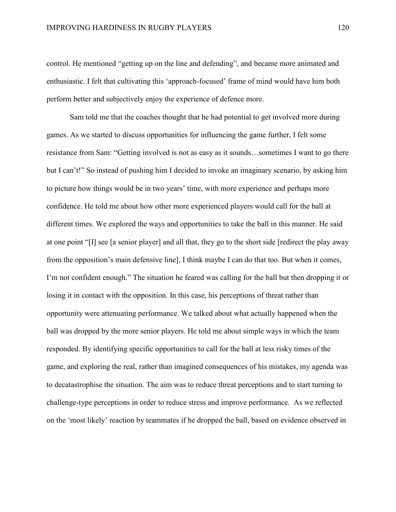control. He mentioned "getting up on the line and defending", and became more animated and enthusiastic. I felt that cultivating this 'approach-focused' frame of mind would have him both perform better and subjectively enjoy the experience of defence more.

Sam told me that the coaches thought that he had potential to get involved more during games. As we started to discuss opportunities for influencing the game further, I felt some resistance from Sam: "Getting involved is not as easy as it sounds…sometimes I want to go there but I can't!" So instead of pushing him I decided to invoke an imaginary scenario, by asking him to picture how things would be in two years' time, with more experience and perhaps more confidence. He told me about how other more experienced players would call for the ball at different times. We explored the ways and opportunities to take the ball in this manner. He said at one point "[I] see [a senior player] and all that, they go to the short side [redirect the play away from the opposition's main defensive line], I think maybe I can do that too. But when it comes, I'm not confident enough." The situation he feared was calling for the ball but then dropping it or losing it in contact with the opposition. In this case, his perceptions of threat rather than opportunity were attenuating performance. We talked about what actually happened when the ball was dropped by the more senior players. He told me about simple ways in which the team responded. By identifying specific opportunities to call for the ball at less risky times of the game, and exploring the real, rather than imagined consequences of his mistakes, my agenda was to decatastrophise the situation. The aim was to reduce threat perceptions and to start turning to challenge-type perceptions in order to reduce stress and improve performance. As we reflected on the 'most likely' reaction by teammates if he dropped the ball, based on evidence observed in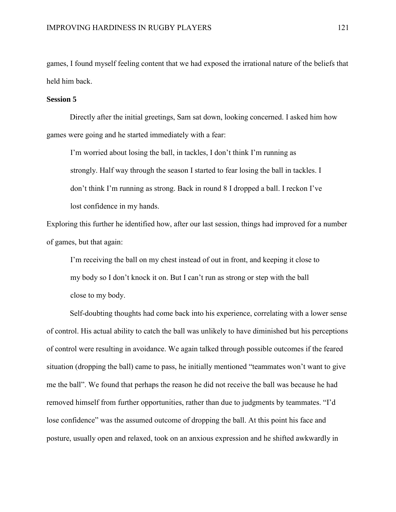games, I found myself feeling content that we had exposed the irrational nature of the beliefs that held him back.

#### **Session 5**

Directly after the initial greetings, Sam sat down, looking concerned. I asked him how games were going and he started immediately with a fear:

I'm worried about losing the ball, in tackles, I don't think I'm running as strongly. Half way through the season I started to fear losing the ball in tackles. I don't think I'm running as strong. Back in round 8 I dropped a ball. I reckon I've lost confidence in my hands.

Exploring this further he identified how, after our last session, things had improved for a number of games, but that again:

I'm receiving the ball on my chest instead of out in front, and keeping it close to my body so I don't knock it on. But I can't run as strong or step with the ball close to my body.

Self-doubting thoughts had come back into his experience, correlating with a lower sense of control. His actual ability to catch the ball was unlikely to have diminished but his perceptions of control were resulting in avoidance. We again talked through possible outcomes if the feared situation (dropping the ball) came to pass, he initially mentioned "teammates won't want to give me the ball". We found that perhaps the reason he did not receive the ball was because he had removed himself from further opportunities, rather than due to judgments by teammates. "I'd lose confidence" was the assumed outcome of dropping the ball. At this point his face and posture, usually open and relaxed, took on an anxious expression and he shifted awkwardly in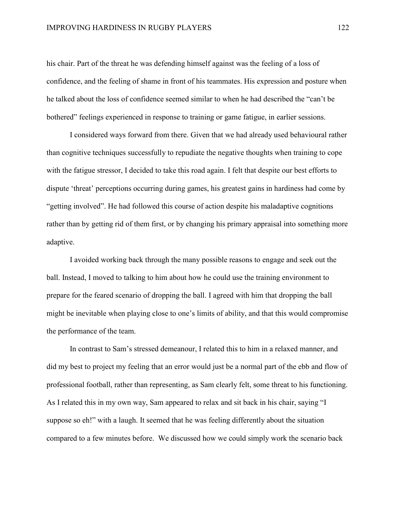his chair. Part of the threat he was defending himself against was the feeling of a loss of confidence, and the feeling of shame in front of his teammates. His expression and posture when he talked about the loss of confidence seemed similar to when he had described the "can't be bothered" feelings experienced in response to training or game fatigue, in earlier sessions.

I considered ways forward from there. Given that we had already used behavioural rather than cognitive techniques successfully to repudiate the negative thoughts when training to cope with the fatigue stressor, I decided to take this road again. I felt that despite our best efforts to dispute 'threat' perceptions occurring during games, his greatest gains in hardiness had come by "getting involved". He had followed this course of action despite his maladaptive cognitions rather than by getting rid of them first, or by changing his primary appraisal into something more adaptive.

I avoided working back through the many possible reasons to engage and seek out the ball. Instead, I moved to talking to him about how he could use the training environment to prepare for the feared scenario of dropping the ball. I agreed with him that dropping the ball might be inevitable when playing close to one's limits of ability, and that this would compromise the performance of the team.

In contrast to Sam's stressed demeanour, I related this to him in a relaxed manner, and did my best to project my feeling that an error would just be a normal part of the ebb and flow of professional football, rather than representing, as Sam clearly felt, some threat to his functioning. As I related this in my own way, Sam appeared to relax and sit back in his chair, saying "I suppose so eh!" with a laugh. It seemed that he was feeling differently about the situation compared to a few minutes before. We discussed how we could simply work the scenario back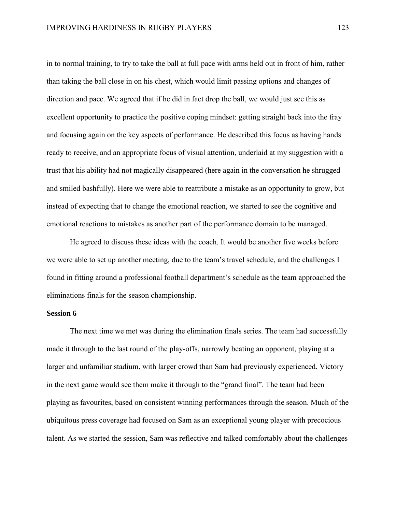in to normal training, to try to take the ball at full pace with arms held out in front of him, rather than taking the ball close in on his chest, which would limit passing options and changes of direction and pace. We agreed that if he did in fact drop the ball, we would just see this as excellent opportunity to practice the positive coping mindset: getting straight back into the fray and focusing again on the key aspects of performance. He described this focus as having hands ready to receive, and an appropriate focus of visual attention, underlaid at my suggestion with a trust that his ability had not magically disappeared (here again in the conversation he shrugged and smiled bashfully). Here we were able to reattribute a mistake as an opportunity to grow, but instead of expecting that to change the emotional reaction, we started to see the cognitive and emotional reactions to mistakes as another part of the performance domain to be managed.

He agreed to discuss these ideas with the coach. It would be another five weeks before we were able to set up another meeting, due to the team's travel schedule, and the challenges I found in fitting around a professional football department's schedule as the team approached the eliminations finals for the season championship.

### **Session 6**

The next time we met was during the elimination finals series. The team had successfully made it through to the last round of the play-offs, narrowly beating an opponent, playing at a larger and unfamiliar stadium, with larger crowd than Sam had previously experienced. Victory in the next game would see them make it through to the "grand final". The team had been playing as favourites, based on consistent winning performances through the season. Much of the ubiquitous press coverage had focused on Sam as an exceptional young player with precocious talent. As we started the session, Sam was reflective and talked comfortably about the challenges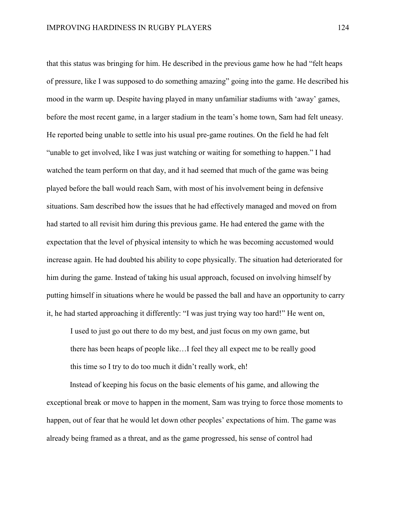that this status was bringing for him. He described in the previous game how he had "felt heaps of pressure, like I was supposed to do something amazing" going into the game. He described his mood in the warm up. Despite having played in many unfamiliar stadiums with 'away' games, before the most recent game, in a larger stadium in the team's home town, Sam had felt uneasy. He reported being unable to settle into his usual pre-game routines. On the field he had felt "unable to get involved, like I was just watching or waiting for something to happen." I had watched the team perform on that day, and it had seemed that much of the game was being played before the ball would reach Sam, with most of his involvement being in defensive situations. Sam described how the issues that he had effectively managed and moved on from had started to all revisit him during this previous game. He had entered the game with the expectation that the level of physical intensity to which he was becoming accustomed would increase again. He had doubted his ability to cope physically. The situation had deteriorated for him during the game. Instead of taking his usual approach, focused on involving himself by putting himself in situations where he would be passed the ball and have an opportunity to carry it, he had started approaching it differently: "I was just trying way too hard!" He went on,

I used to just go out there to do my best, and just focus on my own game, but there has been heaps of people like…I feel they all expect me to be really good this time so I try to do too much it didn't really work, eh!

Instead of keeping his focus on the basic elements of his game, and allowing the exceptional break or move to happen in the moment, Sam was trying to force those moments to happen, out of fear that he would let down other peoples' expectations of him. The game was already being framed as a threat, and as the game progressed, his sense of control had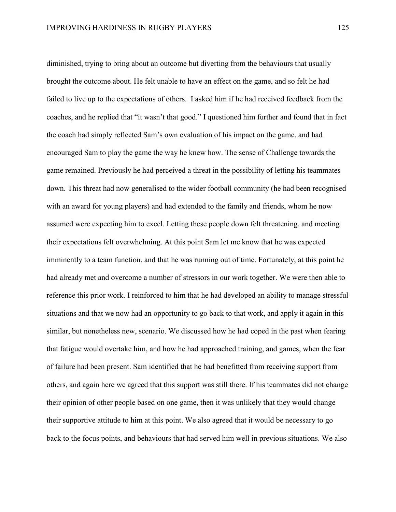diminished, trying to bring about an outcome but diverting from the behaviours that usually brought the outcome about. He felt unable to have an effect on the game, and so felt he had failed to live up to the expectations of others. I asked him if he had received feedback from the coaches, and he replied that "it wasn't that good." I questioned him further and found that in fact the coach had simply reflected Sam's own evaluation of his impact on the game, and had encouraged Sam to play the game the way he knew how. The sense of Challenge towards the game remained. Previously he had perceived a threat in the possibility of letting his teammates down. This threat had now generalised to the wider football community (he had been recognised with an award for young players) and had extended to the family and friends, whom he now assumed were expecting him to excel. Letting these people down felt threatening, and meeting their expectations felt overwhelming. At this point Sam let me know that he was expected imminently to a team function, and that he was running out of time. Fortunately, at this point he had already met and overcome a number of stressors in our work together. We were then able to reference this prior work. I reinforced to him that he had developed an ability to manage stressful situations and that we now had an opportunity to go back to that work, and apply it again in this similar, but nonetheless new, scenario. We discussed how he had coped in the past when fearing that fatigue would overtake him, and how he had approached training, and games, when the fear of failure had been present. Sam identified that he had benefitted from receiving support from others, and again here we agreed that this support was still there. If his teammates did not change their opinion of other people based on one game, then it was unlikely that they would change their supportive attitude to him at this point. We also agreed that it would be necessary to go back to the focus points, and behaviours that had served him well in previous situations. We also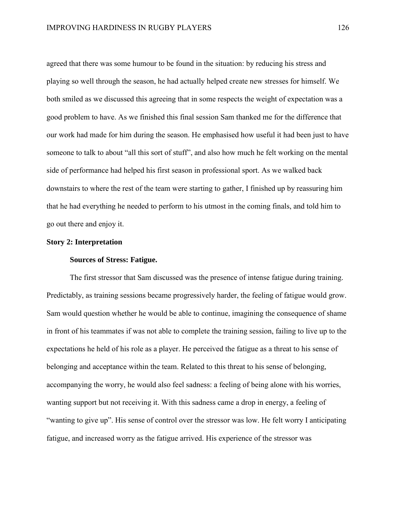agreed that there was some humour to be found in the situation: by reducing his stress and playing so well through the season, he had actually helped create new stresses for himself. We both smiled as we discussed this agreeing that in some respects the weight of expectation was a good problem to have. As we finished this final session Sam thanked me for the difference that our work had made for him during the season. He emphasised how useful it had been just to have someone to talk to about "all this sort of stuff", and also how much he felt working on the mental side of performance had helped his first season in professional sport. As we walked back downstairs to where the rest of the team were starting to gather, I finished up by reassuring him that he had everything he needed to perform to his utmost in the coming finals, and told him to go out there and enjoy it.

# **Story 2: Interpretation**

# **Sources of Stress: Fatigue.**

The first stressor that Sam discussed was the presence of intense fatigue during training. Predictably, as training sessions became progressively harder, the feeling of fatigue would grow. Sam would question whether he would be able to continue, imagining the consequence of shame in front of his teammates if was not able to complete the training session, failing to live up to the expectations he held of his role as a player. He perceived the fatigue as a threat to his sense of belonging and acceptance within the team. Related to this threat to his sense of belonging, accompanying the worry, he would also feel sadness: a feeling of being alone with his worries, wanting support but not receiving it. With this sadness came a drop in energy, a feeling of "wanting to give up". His sense of control over the stressor was low. He felt worry I anticipating fatigue, and increased worry as the fatigue arrived. His experience of the stressor was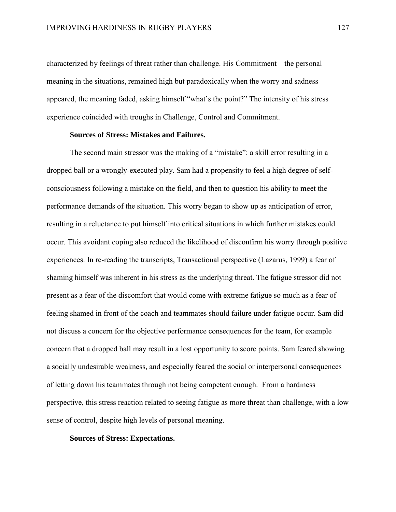characterized by feelings of threat rather than challenge. His Commitment – the personal meaning in the situations, remained high but paradoxically when the worry and sadness appeared, the meaning faded, asking himself "what's the point?" The intensity of his stress experience coincided with troughs in Challenge, Control and Commitment.

### **Sources of Stress: Mistakes and Failures.**

The second main stressor was the making of a "mistake": a skill error resulting in a dropped ball or a wrongly-executed play. Sam had a propensity to feel a high degree of selfconsciousness following a mistake on the field, and then to question his ability to meet the performance demands of the situation. This worry began to show up as anticipation of error, resulting in a reluctance to put himself into critical situations in which further mistakes could occur. This avoidant coping also reduced the likelihood of disconfirm his worry through positive experiences. In re-reading the transcripts, Transactional perspective (Lazarus, 1999) a fear of shaming himself was inherent in his stress as the underlying threat. The fatigue stressor did not present as a fear of the discomfort that would come with extreme fatigue so much as a fear of feeling shamed in front of the coach and teammates should failure under fatigue occur. Sam did not discuss a concern for the objective performance consequences for the team, for example concern that a dropped ball may result in a lost opportunity to score points. Sam feared showing a socially undesirable weakness, and especially feared the social or interpersonal consequences of letting down his teammates through not being competent enough. From a hardiness perspective, this stress reaction related to seeing fatigue as more threat than challenge, with a low sense of control, despite high levels of personal meaning.

#### **Sources of Stress: Expectations.**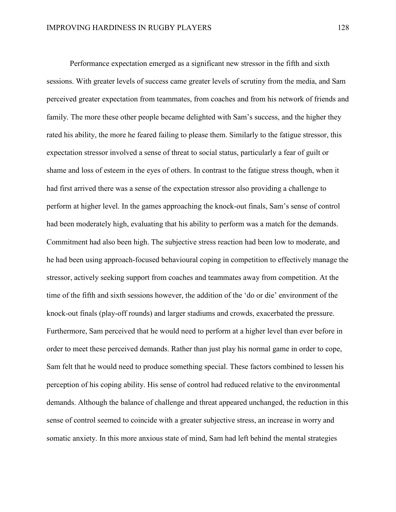Performance expectation emerged as a significant new stressor in the fifth and sixth sessions. With greater levels of success came greater levels of scrutiny from the media, and Sam perceived greater expectation from teammates, from coaches and from his network of friends and family. The more these other people became delighted with Sam's success, and the higher they rated his ability, the more he feared failing to please them. Similarly to the fatigue stressor, this expectation stressor involved a sense of threat to social status, particularly a fear of guilt or shame and loss of esteem in the eyes of others. In contrast to the fatigue stress though, when it had first arrived there was a sense of the expectation stressor also providing a challenge to perform at higher level. In the games approaching the knock-out finals, Sam's sense of control had been moderately high, evaluating that his ability to perform was a match for the demands. Commitment had also been high. The subjective stress reaction had been low to moderate, and he had been using approach-focused behavioural coping in competition to effectively manage the stressor, actively seeking support from coaches and teammates away from competition. At the time of the fifth and sixth sessions however, the addition of the 'do or die' environment of the knock-out finals (play-off rounds) and larger stadiums and crowds, exacerbated the pressure. Furthermore, Sam perceived that he would need to perform at a higher level than ever before in order to meet these perceived demands. Rather than just play his normal game in order to cope, Sam felt that he would need to produce something special. These factors combined to lessen his perception of his coping ability. His sense of control had reduced relative to the environmental demands. Although the balance of challenge and threat appeared unchanged, the reduction in this sense of control seemed to coincide with a greater subjective stress, an increase in worry and somatic anxiety. In this more anxious state of mind, Sam had left behind the mental strategies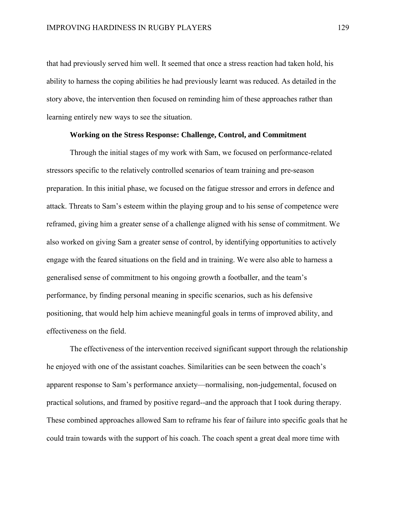that had previously served him well. It seemed that once a stress reaction had taken hold, his ability to harness the coping abilities he had previously learnt was reduced. As detailed in the story above, the intervention then focused on reminding him of these approaches rather than learning entirely new ways to see the situation.

## **Working on the Stress Response: Challenge, Control, and Commitment**

Through the initial stages of my work with Sam, we focused on performance-related stressors specific to the relatively controlled scenarios of team training and pre-season preparation. In this initial phase, we focused on the fatigue stressor and errors in defence and attack. Threats to Sam's esteem within the playing group and to his sense of competence were reframed, giving him a greater sense of a challenge aligned with his sense of commitment. We also worked on giving Sam a greater sense of control, by identifying opportunities to actively engage with the feared situations on the field and in training. We were also able to harness a generalised sense of commitment to his ongoing growth a footballer, and the team's performance, by finding personal meaning in specific scenarios, such as his defensive positioning, that would help him achieve meaningful goals in terms of improved ability, and effectiveness on the field.

The effectiveness of the intervention received significant support through the relationship he enjoyed with one of the assistant coaches. Similarities can be seen between the coach's apparent response to Sam's performance anxiety—normalising, non-judgemental, focused on practical solutions, and framed by positive regard--and the approach that I took during therapy. These combined approaches allowed Sam to reframe his fear of failure into specific goals that he could train towards with the support of his coach. The coach spent a great deal more time with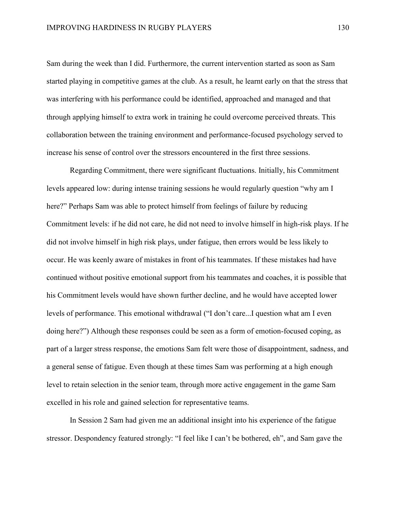Sam during the week than I did. Furthermore, the current intervention started as soon as Sam started playing in competitive games at the club. As a result, he learnt early on that the stress that was interfering with his performance could be identified, approached and managed and that through applying himself to extra work in training he could overcome perceived threats. This collaboration between the training environment and performance-focused psychology served to increase his sense of control over the stressors encountered in the first three sessions.

Regarding Commitment, there were significant fluctuations. Initially, his Commitment levels appeared low: during intense training sessions he would regularly question "why am I here?" Perhaps Sam was able to protect himself from feelings of failure by reducing Commitment levels: if he did not care, he did not need to involve himself in high-risk plays. If he did not involve himself in high risk plays, under fatigue, then errors would be less likely to occur. He was keenly aware of mistakes in front of his teammates. If these mistakes had have continued without positive emotional support from his teammates and coaches, it is possible that his Commitment levels would have shown further decline, and he would have accepted lower levels of performance. This emotional withdrawal ("I don't care...I question what am I even doing here?") Although these responses could be seen as a form of emotion-focused coping, as part of a larger stress response, the emotions Sam felt were those of disappointment, sadness, and a general sense of fatigue. Even though at these times Sam was performing at a high enough level to retain selection in the senior team, through more active engagement in the game Sam excelled in his role and gained selection for representative teams.

In Session 2 Sam had given me an additional insight into his experience of the fatigue stressor. Despondency featured strongly: "I feel like I can't be bothered, eh", and Sam gave the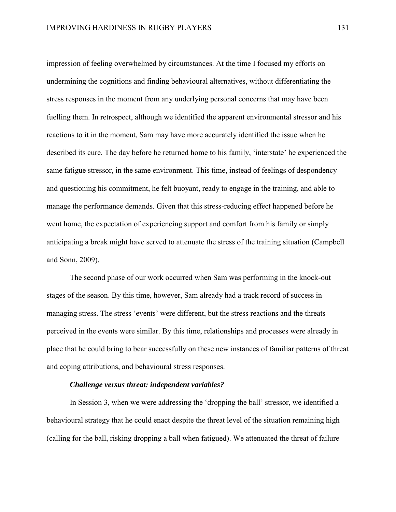impression of feeling overwhelmed by circumstances. At the time I focused my efforts on undermining the cognitions and finding behavioural alternatives, without differentiating the stress responses in the moment from any underlying personal concerns that may have been fuelling them. In retrospect, although we identified the apparent environmental stressor and his reactions to it in the moment, Sam may have more accurately identified the issue when he described its cure. The day before he returned home to his family, 'interstate' he experienced the same fatigue stressor, in the same environment. This time, instead of feelings of despondency and questioning his commitment, he felt buoyant, ready to engage in the training, and able to manage the performance demands. Given that this stress-reducing effect happened before he went home, the expectation of experiencing support and comfort from his family or simply anticipating a break might have served to attenuate the stress of the training situation (Campbell and Sonn, 2009).

The second phase of our work occurred when Sam was performing in the knock-out stages of the season. By this time, however, Sam already had a track record of success in managing stress. The stress 'events' were different, but the stress reactions and the threats perceived in the events were similar. By this time, relationships and processes were already in place that he could bring to bear successfully on these new instances of familiar patterns of threat and coping attributions, and behavioural stress responses.

### *Challenge versus threat: independent variables?*

In Session 3, when we were addressing the 'dropping the ball' stressor, we identified a behavioural strategy that he could enact despite the threat level of the situation remaining high (calling for the ball, risking dropping a ball when fatigued). We attenuated the threat of failure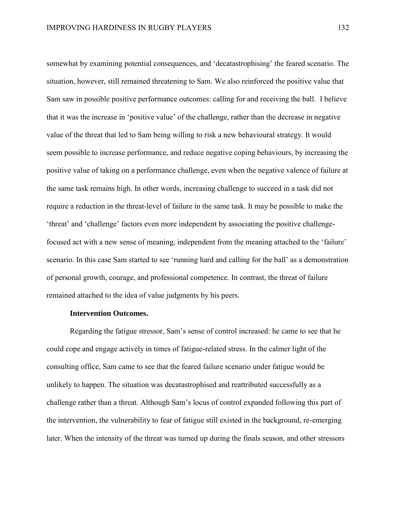somewhat by examining potential consequences, and 'decatastrophising' the feared scenario. The situation, however, still remained threatening to Sam. We also reinforced the positive value that Sam saw in possible positive performance outcomes: calling for and receiving the ball. I believe that it was the increase in 'positive value' of the challenge, rather than the decrease in negative value of the threat that led to Sam being willing to risk a new behavioural strategy. It would seem possible to increase performance, and reduce negative coping behaviours, by increasing the positive value of taking on a performance challenge, even when the negative valence of failure at the same task remains high. In other words, increasing challenge to succeed in a task did not require a reduction in the threat-level of failure in the same task. It may be possible to make the 'threat' and 'challenge' factors even more independent by associating the positive challengefocused act with a new sense of meaning, independent from the meaning attached to the 'failure' scenario. In this case Sam started to see 'running hard and calling for the ball' as a demonstration of personal growth, courage, and professional competence. In contrast, the threat of failure remained attached to the idea of value judgments by his peers.

### **Intervention Outcomes.**

Regarding the fatigue stressor, Sam's sense of control increased: he came to see that he could cope and engage actively in times of fatigue-related stress. In the calmer light of the consulting office, Sam came to see that the feared failure scenario under fatigue would be unlikely to happen. The situation was decatastrophised and reattributed successfully as a challenge rather than a threat. Although Sam's locus of control expanded following this part of the intervention, the vulnerability to fear of fatigue still existed in the background, re-emerging later. When the intensity of the threat was turned up during the finals season, and other stressors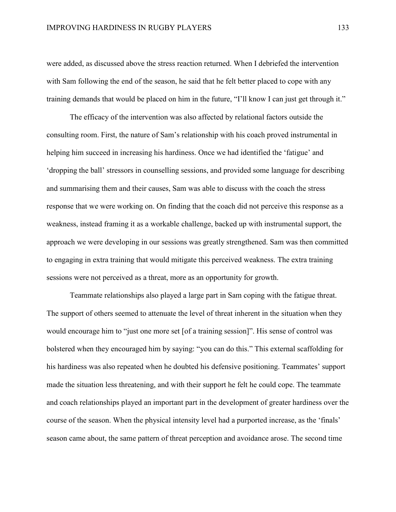were added, as discussed above the stress reaction returned. When I debriefed the intervention with Sam following the end of the season, he said that he felt better placed to cope with any training demands that would be placed on him in the future, "I'll know I can just get through it."

The efficacy of the intervention was also affected by relational factors outside the consulting room. First, the nature of Sam's relationship with his coach proved instrumental in helping him succeed in increasing his hardiness. Once we had identified the 'fatigue' and 'dropping the ball' stressors in counselling sessions, and provided some language for describing and summarising them and their causes, Sam was able to discuss with the coach the stress response that we were working on. On finding that the coach did not perceive this response as a weakness, instead framing it as a workable challenge, backed up with instrumental support, the approach we were developing in our sessions was greatly strengthened. Sam was then committed to engaging in extra training that would mitigate this perceived weakness. The extra training sessions were not perceived as a threat, more as an opportunity for growth.

Teammate relationships also played a large part in Sam coping with the fatigue threat. The support of others seemed to attenuate the level of threat inherent in the situation when they would encourage him to "just one more set [of a training session]". His sense of control was bolstered when they encouraged him by saying: "you can do this." This external scaffolding for his hardiness was also repeated when he doubted his defensive positioning. Teammates' support made the situation less threatening, and with their support he felt he could cope. The teammate and coach relationships played an important part in the development of greater hardiness over the course of the season. When the physical intensity level had a purported increase, as the 'finals' season came about, the same pattern of threat perception and avoidance arose. The second time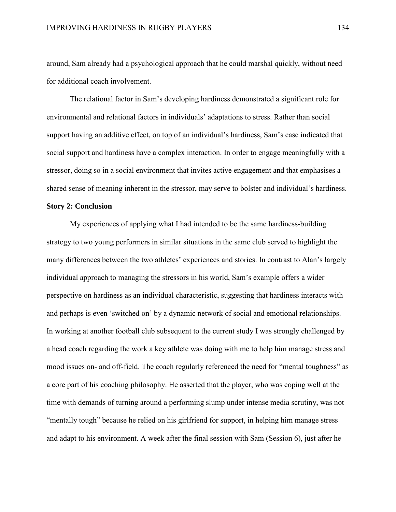around, Sam already had a psychological approach that he could marshal quickly, without need for additional coach involvement.

The relational factor in Sam's developing hardiness demonstrated a significant role for environmental and relational factors in individuals' adaptations to stress. Rather than social support having an additive effect, on top of an individual's hardiness, Sam's case indicated that social support and hardiness have a complex interaction. In order to engage meaningfully with a stressor, doing so in a social environment that invites active engagement and that emphasises a shared sense of meaning inherent in the stressor, may serve to bolster and individual's hardiness.

# **Story 2: Conclusion**

My experiences of applying what I had intended to be the same hardiness-building strategy to two young performers in similar situations in the same club served to highlight the many differences between the two athletes' experiences and stories. In contrast to Alan's largely individual approach to managing the stressors in his world, Sam's example offers a wider perspective on hardiness as an individual characteristic, suggesting that hardiness interacts with and perhaps is even 'switched on' by a dynamic network of social and emotional relationships. In working at another football club subsequent to the current study I was strongly challenged by a head coach regarding the work a key athlete was doing with me to help him manage stress and mood issues on- and off-field. The coach regularly referenced the need for "mental toughness" as a core part of his coaching philosophy. He asserted that the player, who was coping well at the time with demands of turning around a performing slump under intense media scrutiny, was not "mentally tough" because he relied on his girlfriend for support, in helping him manage stress and adapt to his environment. A week after the final session with Sam (Session 6), just after he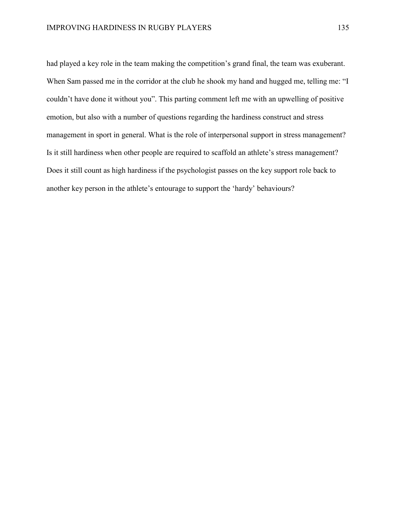had played a key role in the team making the competition's grand final, the team was exuberant. When Sam passed me in the corridor at the club he shook my hand and hugged me, telling me: "I couldn't have done it without you". This parting comment left me with an upwelling of positive emotion, but also with a number of questions regarding the hardiness construct and stress management in sport in general. What is the role of interpersonal support in stress management? Is it still hardiness when other people are required to scaffold an athlete's stress management? Does it still count as high hardiness if the psychologist passes on the key support role back to another key person in the athlete's entourage to support the 'hardy' behaviours?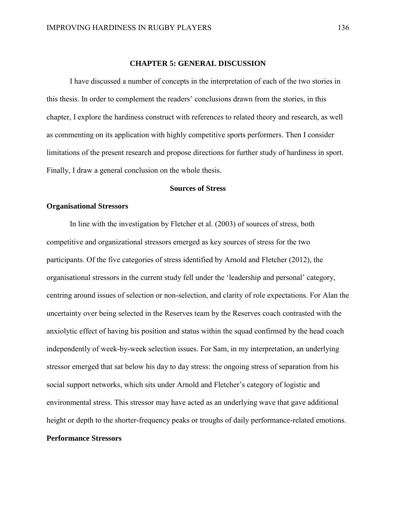# **CHAPTER 5: GENERAL DISCUSSION**

I have discussed a number of concepts in the interpretation of each of the two stories in this thesis. In order to complement the readers' conclusions drawn from the stories, in this chapter, I explore the hardiness construct with references to related theory and research, as well as commenting on its application with highly competitive sports performers. Then I consider limitations of the present research and propose directions for further study of hardiness in sport. Finally, I draw a general conclusion on the whole thesis.

# **Sources of Stress**

# **Organisational Stressors**

In line with the investigation by Fletcher et al. (2003) of sources of stress, both competitive and organizational stressors emerged as key sources of stress for the two participants. Of the five categories of stress identified by Arnold and Fletcher (2012), the organisational stressors in the current study fell under the 'leadership and personal' category, centring around issues of selection or non-selection, and clarity of role expectations. For Alan the uncertainty over being selected in the Reserves team by the Reserves coach contrasted with the anxiolytic effect of having his position and status within the squad confirmed by the head coach independently of week-by-week selection issues. For Sam, in my interpretation, an underlying stressor emerged that sat below his day to day stress: the ongoing stress of separation from his social support networks, which sits under Arnold and Fletcher's category of logistic and environmental stress. This stressor may have acted as an underlying wave that gave additional height or depth to the shorter-frequency peaks or troughs of daily performance-related emotions. **Performance Stressors**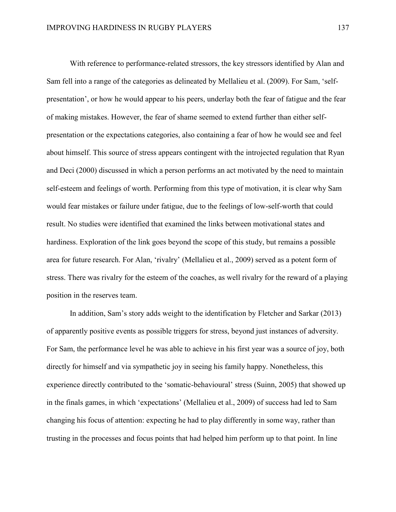With reference to performance-related stressors, the key stressors identified by Alan and Sam fell into a range of the categories as delineated by Mellalieu et al. (2009). For Sam, 'selfpresentation', or how he would appear to his peers, underlay both the fear of fatigue and the fear of making mistakes. However, the fear of shame seemed to extend further than either selfpresentation or the expectations categories, also containing a fear of how he would see and feel about himself. This source of stress appears contingent with the introjected regulation that Ryan and Deci (2000) discussed in which a person performs an act motivated by the need to maintain self-esteem and feelings of worth. Performing from this type of motivation, it is clear why Sam would fear mistakes or failure under fatigue, due to the feelings of low-self-worth that could result. No studies were identified that examined the links between motivational states and hardiness. Exploration of the link goes beyond the scope of this study, but remains a possible area for future research. For Alan, 'rivalry' (Mellalieu et al., 2009) served as a potent form of stress. There was rivalry for the esteem of the coaches, as well rivalry for the reward of a playing position in the reserves team.

In addition, Sam's story adds weight to the identification by Fletcher and Sarkar (2013) of apparently positive events as possible triggers for stress, beyond just instances of adversity. For Sam, the performance level he was able to achieve in his first year was a source of joy, both directly for himself and via sympathetic joy in seeing his family happy. Nonetheless, this experience directly contributed to the 'somatic-behavioural' stress (Suinn, 2005) that showed up in the finals games, in which 'expectations' (Mellalieu et al., 2009) of success had led to Sam changing his focus of attention: expecting he had to play differently in some way, rather than trusting in the processes and focus points that had helped him perform up to that point. In line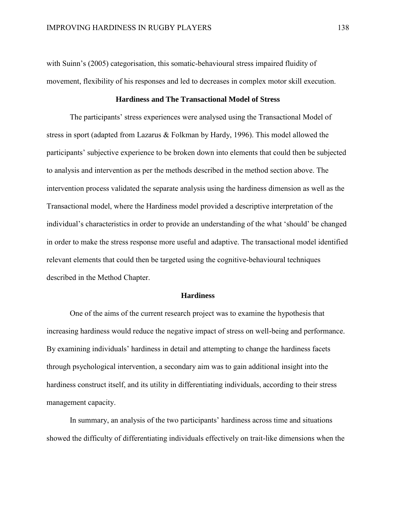with Suinn's (2005) categorisation, this somatic-behavioural stress impaired fluidity of movement, flexibility of his responses and led to decreases in complex motor skill execution.

### **Hardiness and The Transactional Model of Stress**

The participants' stress experiences were analysed using the Transactional Model of stress in sport (adapted from Lazarus & Folkman by Hardy, 1996). This model allowed the participants' subjective experience to be broken down into elements that could then be subjected to analysis and intervention as per the methods described in the method section above. The intervention process validated the separate analysis using the hardiness dimension as well as the Transactional model, where the Hardiness model provided a descriptive interpretation of the individual's characteristics in order to provide an understanding of the what 'should' be changed in order to make the stress response more useful and adaptive. The transactional model identified relevant elements that could then be targeted using the cognitive-behavioural techniques described in the Method Chapter.

### **Hardiness**

One of the aims of the current research project was to examine the hypothesis that increasing hardiness would reduce the negative impact of stress on well-being and performance. By examining individuals' hardiness in detail and attempting to change the hardiness facets through psychological intervention, a secondary aim was to gain additional insight into the hardiness construct itself, and its utility in differentiating individuals, according to their stress management capacity.

In summary, an analysis of the two participants' hardiness across time and situations showed the difficulty of differentiating individuals effectively on trait-like dimensions when the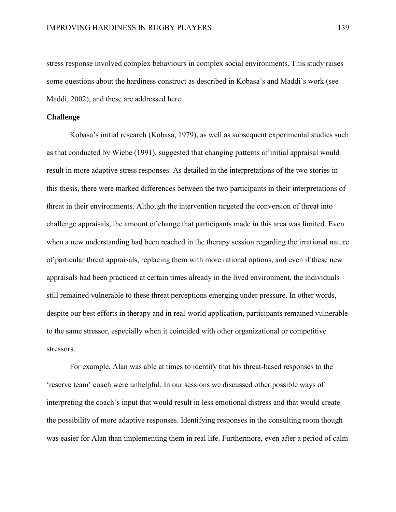stress response involved complex behaviours in complex social environments. This study raises some questions about the hardiness construct as described in Kobasa's and Maddi's work (see Maddi, 2002), and these are addressed here.

# **Challenge**

Kobasa's initial research (Kobasa, 1979), as well as subsequent experimental studies such as that conducted by Wiebe (1991), suggested that changing patterns of initial appraisal would result in more adaptive stress responses. As detailed in the interpretations of the two stories in this thesis, there were marked differences between the two participants in their interpretations of threat in their environments. Although the intervention targeted the conversion of threat into challenge appraisals, the amount of change that participants made in this area was limited. Even when a new understanding had been reached in the therapy session regarding the irrational nature of particular threat appraisals, replacing them with more rational options, and even if these new appraisals had been practiced at certain times already in the lived environment, the individuals still remained vulnerable to these threat perceptions emerging under pressure. In other words, despite our best efforts in therapy and in real-world application, participants remained vulnerable to the same stressor, especially when it coincided with other organizational or competitive stressors.

For example, Alan was able at times to identify that his threat-based responses to the 'reserve team' coach were unhelpful. In our sessions we discussed other possible ways of interpreting the coach's input that would result in less emotional distress and that would create the possibility of more adaptive responses. Identifying responses in the consulting room though was easier for Alan than implementing them in real life. Furthermore, even after a period of calm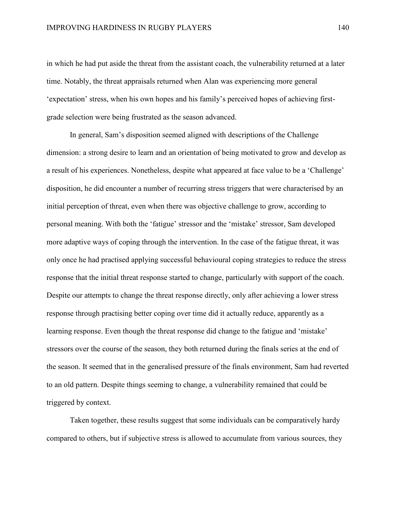in which he had put aside the threat from the assistant coach, the vulnerability returned at a later time. Notably, the threat appraisals returned when Alan was experiencing more general 'expectation' stress, when his own hopes and his family's perceived hopes of achieving firstgrade selection were being frustrated as the season advanced.

In general, Sam's disposition seemed aligned with descriptions of the Challenge dimension: a strong desire to learn and an orientation of being motivated to grow and develop as a result of his experiences. Nonetheless, despite what appeared at face value to be a 'Challenge' disposition, he did encounter a number of recurring stress triggers that were characterised by an initial perception of threat, even when there was objective challenge to grow, according to personal meaning. With both the 'fatigue' stressor and the 'mistake' stressor, Sam developed more adaptive ways of coping through the intervention. In the case of the fatigue threat, it was only once he had practised applying successful behavioural coping strategies to reduce the stress response that the initial threat response started to change, particularly with support of the coach. Despite our attempts to change the threat response directly, only after achieving a lower stress response through practising better coping over time did it actually reduce, apparently as a learning response. Even though the threat response did change to the fatigue and 'mistake' stressors over the course of the season, they both returned during the finals series at the end of the season. It seemed that in the generalised pressure of the finals environment, Sam had reverted to an old pattern. Despite things seeming to change, a vulnerability remained that could be triggered by context.

Taken together, these results suggest that some individuals can be comparatively hardy compared to others, but if subjective stress is allowed to accumulate from various sources, they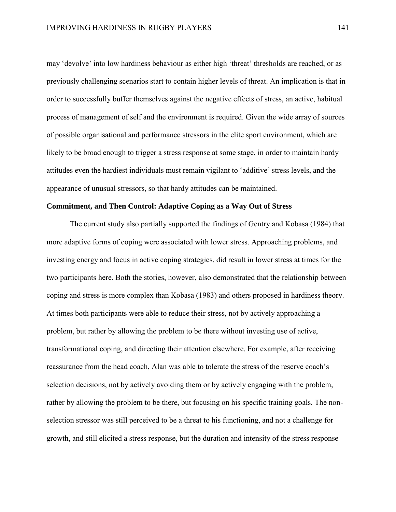may 'devolve' into low hardiness behaviour as either high 'threat' thresholds are reached, or as previously challenging scenarios start to contain higher levels of threat. An implication is that in order to successfully buffer themselves against the negative effects of stress, an active, habitual process of management of self and the environment is required. Given the wide array of sources of possible organisational and performance stressors in the elite sport environment, which are likely to be broad enough to trigger a stress response at some stage, in order to maintain hardy attitudes even the hardiest individuals must remain vigilant to 'additive' stress levels, and the appearance of unusual stressors, so that hardy attitudes can be maintained.

### **Commitment, and Then Control: Adaptive Coping as a Way Out of Stress**

The current study also partially supported the findings of Gentry and Kobasa (1984) that more adaptive forms of coping were associated with lower stress. Approaching problems, and investing energy and focus in active coping strategies, did result in lower stress at times for the two participants here. Both the stories, however, also demonstrated that the relationship between coping and stress is more complex than Kobasa (1983) and others proposed in hardiness theory. At times both participants were able to reduce their stress, not by actively approaching a problem, but rather by allowing the problem to be there without investing use of active, transformational coping, and directing their attention elsewhere. For example, after receiving reassurance from the head coach, Alan was able to tolerate the stress of the reserve coach's selection decisions, not by actively avoiding them or by actively engaging with the problem, rather by allowing the problem to be there, but focusing on his specific training goals. The nonselection stressor was still perceived to be a threat to his functioning, and not a challenge for growth, and still elicited a stress response, but the duration and intensity of the stress response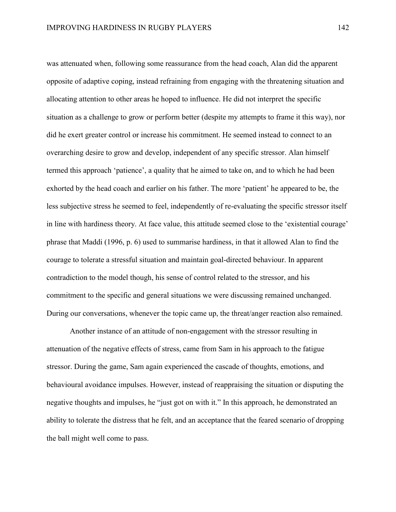was attenuated when, following some reassurance from the head coach, Alan did the apparent opposite of adaptive coping, instead refraining from engaging with the threatening situation and allocating attention to other areas he hoped to influence. He did not interpret the specific situation as a challenge to grow or perform better (despite my attempts to frame it this way), nor did he exert greater control or increase his commitment. He seemed instead to connect to an overarching desire to grow and develop, independent of any specific stressor. Alan himself termed this approach 'patience', a quality that he aimed to take on, and to which he had been exhorted by the head coach and earlier on his father. The more 'patient' he appeared to be, the less subjective stress he seemed to feel, independently of re-evaluating the specific stressor itself in line with hardiness theory. At face value, this attitude seemed close to the 'existential courage' phrase that Maddi (1996, p. 6) used to summarise hardiness, in that it allowed Alan to find the courage to tolerate a stressful situation and maintain goal-directed behaviour. In apparent contradiction to the model though, his sense of control related to the stressor, and his commitment to the specific and general situations we were discussing remained unchanged. During our conversations, whenever the topic came up, the threat/anger reaction also remained.

Another instance of an attitude of non-engagement with the stressor resulting in attenuation of the negative effects of stress, came from Sam in his approach to the fatigue stressor. During the game, Sam again experienced the cascade of thoughts, emotions, and behavioural avoidance impulses. However, instead of reappraising the situation or disputing the negative thoughts and impulses, he "just got on with it." In this approach, he demonstrated an ability to tolerate the distress that he felt, and an acceptance that the feared scenario of dropping the ball might well come to pass.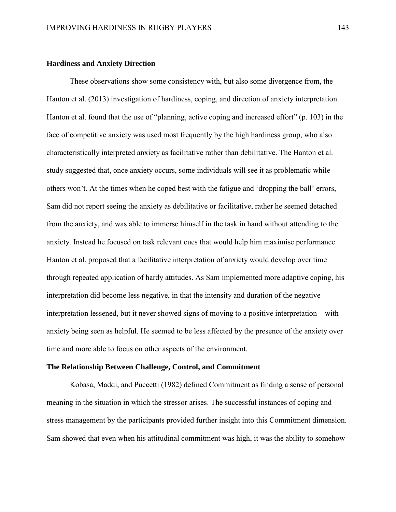#### **Hardiness and Anxiety Direction**

These observations show some consistency with, but also some divergence from, the Hanton et al. (2013) investigation of hardiness, coping, and direction of anxiety interpretation. Hanton et al. found that the use of "planning, active coping and increased effort" (p. 103) in the face of competitive anxiety was used most frequently by the high hardiness group, who also characteristically interpreted anxiety as facilitative rather than debilitative. The Hanton et al. study suggested that, once anxiety occurs, some individuals will see it as problematic while others won't. At the times when he coped best with the fatigue and 'dropping the ball' errors, Sam did not report seeing the anxiety as debilitative or facilitative, rather he seemed detached from the anxiety, and was able to immerse himself in the task in hand without attending to the anxiety. Instead he focused on task relevant cues that would help him maximise performance. Hanton et al. proposed that a facilitative interpretation of anxiety would develop over time through repeated application of hardy attitudes. As Sam implemented more adaptive coping, his interpretation did become less negative, in that the intensity and duration of the negative interpretation lessened, but it never showed signs of moving to a positive interpretation—with anxiety being seen as helpful. He seemed to be less affected by the presence of the anxiety over time and more able to focus on other aspects of the environment.

### **The Relationship Between Challenge, Control, and Commitment**

Kobasa, Maddi, and Puccetti (1982) defined Commitment as finding a sense of personal meaning in the situation in which the stressor arises. The successful instances of coping and stress management by the participants provided further insight into this Commitment dimension. Sam showed that even when his attitudinal commitment was high, it was the ability to somehow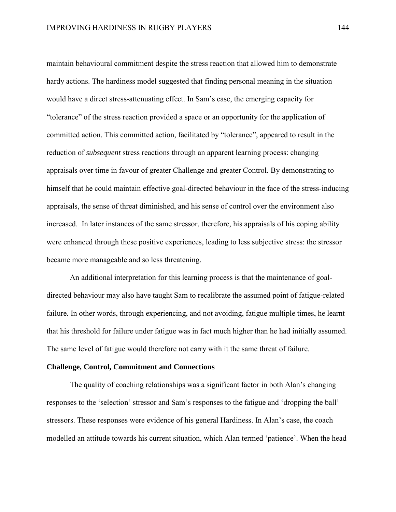maintain behavioural commitment despite the stress reaction that allowed him to demonstrate hardy actions. The hardiness model suggested that finding personal meaning in the situation would have a direct stress-attenuating effect. In Sam's case, the emerging capacity for "tolerance" of the stress reaction provided a space or an opportunity for the application of committed action. This committed action, facilitated by "tolerance", appeared to result in the reduction of *subsequent* stress reactions through an apparent learning process: changing appraisals over time in favour of greater Challenge and greater Control. By demonstrating to himself that he could maintain effective goal-directed behaviour in the face of the stress-inducing appraisals, the sense of threat diminished, and his sense of control over the environment also increased. In later instances of the same stressor, therefore, his appraisals of his coping ability were enhanced through these positive experiences, leading to less subjective stress: the stressor became more manageable and so less threatening.

An additional interpretation for this learning process is that the maintenance of goaldirected behaviour may also have taught Sam to recalibrate the assumed point of fatigue-related failure. In other words, through experiencing, and not avoiding, fatigue multiple times, he learnt that his threshold for failure under fatigue was in fact much higher than he had initially assumed. The same level of fatigue would therefore not carry with it the same threat of failure.

### **Challenge, Control, Commitment and Connections**

The quality of coaching relationships was a significant factor in both Alan's changing responses to the 'selection' stressor and Sam's responses to the fatigue and 'dropping the ball' stressors. These responses were evidence of his general Hardiness. In Alan's case, the coach modelled an attitude towards his current situation, which Alan termed 'patience'. When the head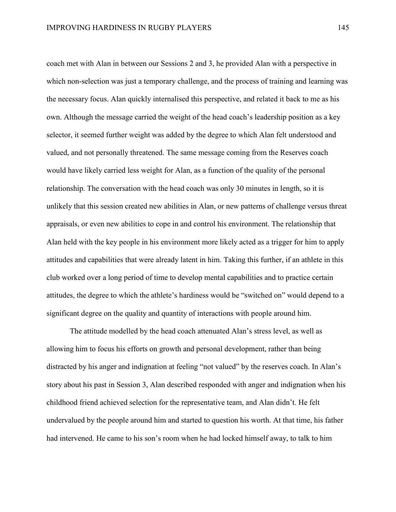coach met with Alan in between our Sessions 2 and 3, he provided Alan with a perspective in which non-selection was just a temporary challenge, and the process of training and learning was the necessary focus. Alan quickly internalised this perspective, and related it back to me as his own. Although the message carried the weight of the head coach's leadership position as a key selector, it seemed further weight was added by the degree to which Alan felt understood and valued, and not personally threatened. The same message coming from the Reserves coach would have likely carried less weight for Alan, as a function of the quality of the personal relationship. The conversation with the head coach was only 30 minutes in length, so it is unlikely that this session created new abilities in Alan, or new patterns of challenge versus threat appraisals, or even new abilities to cope in and control his environment. The relationship that Alan held with the key people in his environment more likely acted as a trigger for him to apply attitudes and capabilities that were already latent in him. Taking this further, if an athlete in this club worked over a long period of time to develop mental capabilities and to practice certain attitudes, the degree to which the athlete's hardiness would be "switched on" would depend to a significant degree on the quality and quantity of interactions with people around him.

The attitude modelled by the head coach attenuated Alan's stress level, as well as allowing him to focus his efforts on growth and personal development, rather than being distracted by his anger and indignation at feeling "not valued" by the reserves coach. In Alan's story about his past in Session 3, Alan described responded with anger and indignation when his childhood friend achieved selection for the representative team, and Alan didn't. He felt undervalued by the people around him and started to question his worth. At that time, his father had intervened. He came to his son's room when he had locked himself away, to talk to him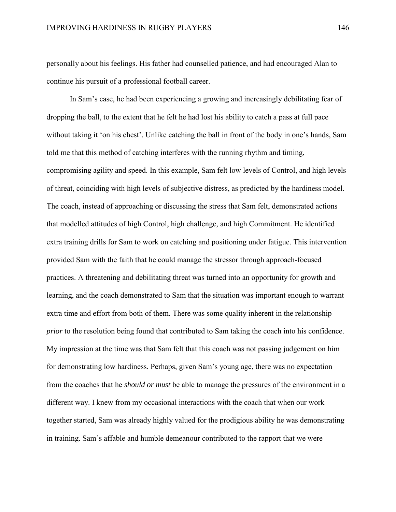personally about his feelings. His father had counselled patience, and had encouraged Alan to continue his pursuit of a professional football career.

In Sam's case, he had been experiencing a growing and increasingly debilitating fear of dropping the ball, to the extent that he felt he had lost his ability to catch a pass at full pace without taking it 'on his chest'. Unlike catching the ball in front of the body in one's hands, Sam told me that this method of catching interferes with the running rhythm and timing, compromising agility and speed. In this example, Sam felt low levels of Control, and high levels of threat, coinciding with high levels of subjective distress, as predicted by the hardiness model. The coach, instead of approaching or discussing the stress that Sam felt, demonstrated actions that modelled attitudes of high Control, high challenge, and high Commitment. He identified extra training drills for Sam to work on catching and positioning under fatigue. This intervention provided Sam with the faith that he could manage the stressor through approach-focused practices. A threatening and debilitating threat was turned into an opportunity for growth and learning, and the coach demonstrated to Sam that the situation was important enough to warrant extra time and effort from both of them. There was some quality inherent in the relationship *prior* to the resolution being found that contributed to Sam taking the coach into his confidence. My impression at the time was that Sam felt that this coach was not passing judgement on him for demonstrating low hardiness. Perhaps, given Sam's young age, there was no expectation from the coaches that he *should or must* be able to manage the pressures of the environment in a different way. I knew from my occasional interactions with the coach that when our work together started, Sam was already highly valued for the prodigious ability he was demonstrating in training. Sam's affable and humble demeanour contributed to the rapport that we were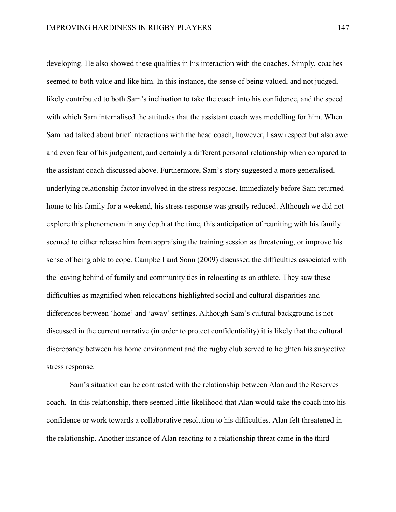developing. He also showed these qualities in his interaction with the coaches. Simply, coaches seemed to both value and like him. In this instance, the sense of being valued, and not judged, likely contributed to both Sam's inclination to take the coach into his confidence, and the speed with which Sam internalised the attitudes that the assistant coach was modelling for him. When Sam had talked about brief interactions with the head coach, however, I saw respect but also awe and even fear of his judgement, and certainly a different personal relationship when compared to the assistant coach discussed above. Furthermore, Sam's story suggested a more generalised, underlying relationship factor involved in the stress response. Immediately before Sam returned home to his family for a weekend, his stress response was greatly reduced. Although we did not explore this phenomenon in any depth at the time, this anticipation of reuniting with his family seemed to either release him from appraising the training session as threatening, or improve his sense of being able to cope. Campbell and Sonn (2009) discussed the difficulties associated with the leaving behind of family and community ties in relocating as an athlete. They saw these difficulties as magnified when relocations highlighted social and cultural disparities and differences between 'home' and 'away' settings. Although Sam's cultural background is not discussed in the current narrative (in order to protect confidentiality) it is likely that the cultural discrepancy between his home environment and the rugby club served to heighten his subjective stress response.

Sam's situation can be contrasted with the relationship between Alan and the Reserves coach. In this relationship, there seemed little likelihood that Alan would take the coach into his confidence or work towards a collaborative resolution to his difficulties. Alan felt threatened in the relationship. Another instance of Alan reacting to a relationship threat came in the third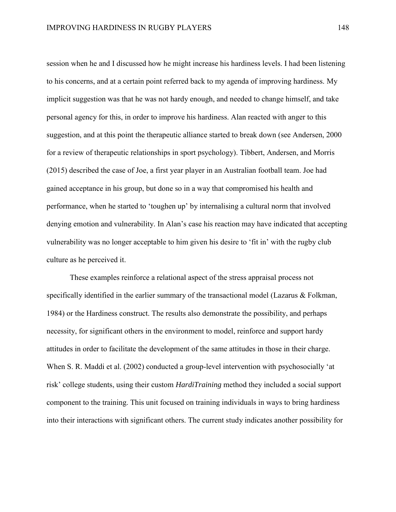session when he and I discussed how he might increase his hardiness levels. I had been listening to his concerns, and at a certain point referred back to my agenda of improving hardiness. My implicit suggestion was that he was not hardy enough, and needed to change himself, and take personal agency for this, in order to improve his hardiness. Alan reacted with anger to this suggestion, and at this point the therapeutic alliance started to break down (see Andersen, 2000 for a review of therapeutic relationships in sport psychology). Tibbert, Andersen, and Morris (2015) described the case of Joe, a first year player in an Australian football team. Joe had gained acceptance in his group, but done so in a way that compromised his health and performance, when he started to 'toughen up' by internalising a cultural norm that involved denying emotion and vulnerability. In Alan's case his reaction may have indicated that accepting vulnerability was no longer acceptable to him given his desire to 'fit in' with the rugby club culture as he perceived it.

These examples reinforce a relational aspect of the stress appraisal process not specifically identified in the earlier summary of the transactional model (Lazarus & Folkman, 1984) or the Hardiness construct. The results also demonstrate the possibility, and perhaps necessity, for significant others in the environment to model, reinforce and support hardy attitudes in order to facilitate the development of the same attitudes in those in their charge. When S. R. Maddi et al. (2002) conducted a group-level intervention with psychosocially 'at risk' college students, using their custom *HardiTraining* method they included a social support component to the training. This unit focused on training individuals in ways to bring hardiness into their interactions with significant others. The current study indicates another possibility for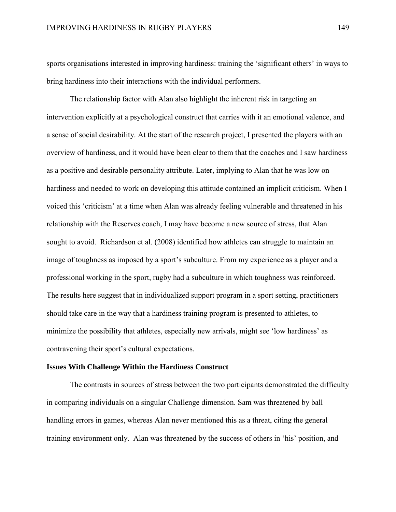sports organisations interested in improving hardiness: training the 'significant others' in ways to bring hardiness into their interactions with the individual performers.

The relationship factor with Alan also highlight the inherent risk in targeting an intervention explicitly at a psychological construct that carries with it an emotional valence, and a sense of social desirability. At the start of the research project, I presented the players with an overview of hardiness, and it would have been clear to them that the coaches and I saw hardiness as a positive and desirable personality attribute. Later, implying to Alan that he was low on hardiness and needed to work on developing this attitude contained an implicit criticism. When I voiced this 'criticism' at a time when Alan was already feeling vulnerable and threatened in his relationship with the Reserves coach, I may have become a new source of stress, that Alan sought to avoid. Richardson et al. (2008) identified how athletes can struggle to maintain an image of toughness as imposed by a sport's subculture. From my experience as a player and a professional working in the sport, rugby had a subculture in which toughness was reinforced. The results here suggest that in individualized support program in a sport setting, practitioners should take care in the way that a hardiness training program is presented to athletes, to minimize the possibility that athletes, especially new arrivals, might see 'low hardiness' as contravening their sport's cultural expectations.

#### **Issues With Challenge Within the Hardiness Construct**

The contrasts in sources of stress between the two participants demonstrated the difficulty in comparing individuals on a singular Challenge dimension. Sam was threatened by ball handling errors in games, whereas Alan never mentioned this as a threat, citing the general training environment only. Alan was threatened by the success of others in 'his' position, and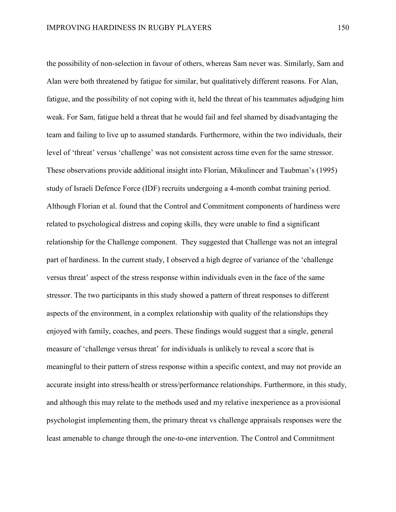the possibility of non-selection in favour of others, whereas Sam never was. Similarly, Sam and Alan were both threatened by fatigue for similar, but qualitatively different reasons. For Alan, fatigue, and the possibility of not coping with it, held the threat of his teammates adjudging him weak. For Sam, fatigue held a threat that he would fail and feel shamed by disadvantaging the team and failing to live up to assumed standards. Furthermore, within the two individuals, their level of 'threat' versus 'challenge' was not consistent across time even for the same stressor. These observations provide additional insight into Florian, Mikulincer and Taubman's (1995) study of Israeli Defence Force (IDF) recruits undergoing a 4-month combat training period. Although Florian et al. found that the Control and Commitment components of hardiness were related to psychological distress and coping skills, they were unable to find a significant relationship for the Challenge component. They suggested that Challenge was not an integral part of hardiness. In the current study, I observed a high degree of variance of the 'challenge versus threat' aspect of the stress response within individuals even in the face of the same stressor. The two participants in this study showed a pattern of threat responses to different aspects of the environment, in a complex relationship with quality of the relationships they enjoyed with family, coaches, and peers. These findings would suggest that a single, general measure of 'challenge versus threat' for individuals is unlikely to reveal a score that is meaningful to their pattern of stress response within a specific context, and may not provide an accurate insight into stress/health or stress/performance relationships. Furthermore, in this study, and although this may relate to the methods used and my relative inexperience as a provisional psychologist implementing them, the primary threat vs challenge appraisals responses were the least amenable to change through the one-to-one intervention. The Control and Commitment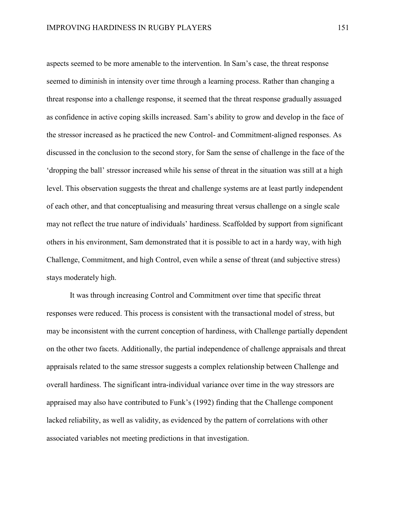aspects seemed to be more amenable to the intervention. In Sam's case, the threat response seemed to diminish in intensity over time through a learning process. Rather than changing a threat response into a challenge response, it seemed that the threat response gradually assuaged as confidence in active coping skills increased. Sam's ability to grow and develop in the face of the stressor increased as he practiced the new Control- and Commitment-aligned responses. As discussed in the conclusion to the second story, for Sam the sense of challenge in the face of the 'dropping the ball' stressor increased while his sense of threat in the situation was still at a high level. This observation suggests the threat and challenge systems are at least partly independent of each other, and that conceptualising and measuring threat versus challenge on a single scale may not reflect the true nature of individuals' hardiness. Scaffolded by support from significant others in his environment, Sam demonstrated that it is possible to act in a hardy way, with high Challenge, Commitment, and high Control, even while a sense of threat (and subjective stress) stays moderately high.

It was through increasing Control and Commitment over time that specific threat responses were reduced. This process is consistent with the transactional model of stress, but may be inconsistent with the current conception of hardiness, with Challenge partially dependent on the other two facets. Additionally, the partial independence of challenge appraisals and threat appraisals related to the same stressor suggests a complex relationship between Challenge and overall hardiness. The significant intra-individual variance over time in the way stressors are appraised may also have contributed to Funk's (1992) finding that the Challenge component lacked reliability, as well as validity, as evidenced by the pattern of correlations with other associated variables not meeting predictions in that investigation.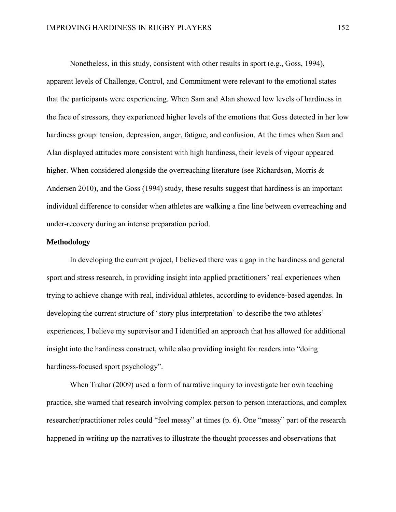Nonetheless, in this study, consistent with other results in sport (e.g., Goss, 1994), apparent levels of Challenge, Control, and Commitment were relevant to the emotional states that the participants were experiencing. When Sam and Alan showed low levels of hardiness in the face of stressors, they experienced higher levels of the emotions that Goss detected in her low hardiness group: tension, depression, anger, fatigue, and confusion. At the times when Sam and Alan displayed attitudes more consistent with high hardiness, their levels of vigour appeared higher. When considered alongside the overreaching literature (see Richardson, Morris & Andersen 2010), and the Goss (1994) study, these results suggest that hardiness is an important individual difference to consider when athletes are walking a fine line between overreaching and under-recovery during an intense preparation period.

### **Methodology**

In developing the current project, I believed there was a gap in the hardiness and general sport and stress research, in providing insight into applied practitioners' real experiences when trying to achieve change with real, individual athletes, according to evidence-based agendas. In developing the current structure of 'story plus interpretation' to describe the two athletes' experiences, I believe my supervisor and I identified an approach that has allowed for additional insight into the hardiness construct, while also providing insight for readers into "doing hardiness-focused sport psychology".

When Trahar (2009) used a form of narrative inquiry to investigate her own teaching practice, she warned that research involving complex person to person interactions, and complex researcher/practitioner roles could "feel messy" at times (p. 6). One "messy" part of the research happened in writing up the narratives to illustrate the thought processes and observations that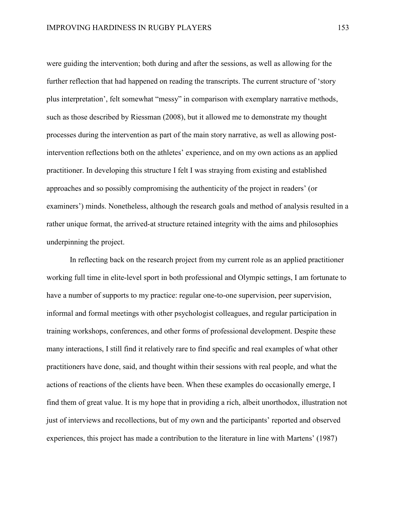were guiding the intervention; both during and after the sessions, as well as allowing for the further reflection that had happened on reading the transcripts. The current structure of 'story plus interpretation', felt somewhat "messy" in comparison with exemplary narrative methods, such as those described by Riessman (2008), but it allowed me to demonstrate my thought processes during the intervention as part of the main story narrative, as well as allowing postintervention reflections both on the athletes' experience, and on my own actions as an applied practitioner. In developing this structure I felt I was straying from existing and established approaches and so possibly compromising the authenticity of the project in readers' (or examiners') minds. Nonetheless, although the research goals and method of analysis resulted in a rather unique format, the arrived-at structure retained integrity with the aims and philosophies underpinning the project.

In reflecting back on the research project from my current role as an applied practitioner working full time in elite-level sport in both professional and Olympic settings, I am fortunate to have a number of supports to my practice: regular one-to-one supervision, peer supervision, informal and formal meetings with other psychologist colleagues, and regular participation in training workshops, conferences, and other forms of professional development. Despite these many interactions, I still find it relatively rare to find specific and real examples of what other practitioners have done, said, and thought within their sessions with real people, and what the actions of reactions of the clients have been. When these examples do occasionally emerge, I find them of great value. It is my hope that in providing a rich, albeit unorthodox, illustration not just of interviews and recollections, but of my own and the participants' reported and observed experiences, this project has made a contribution to the literature in line with Martens' (1987)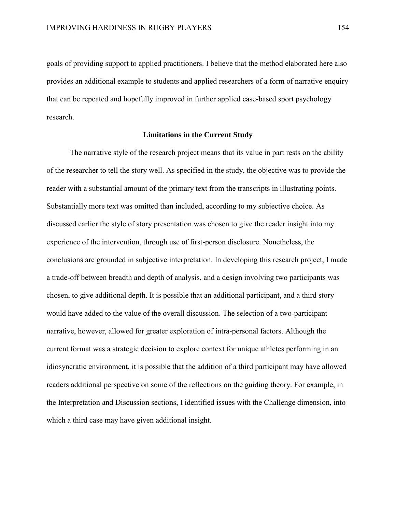goals of providing support to applied practitioners. I believe that the method elaborated here also provides an additional example to students and applied researchers of a form of narrative enquiry that can be repeated and hopefully improved in further applied case-based sport psychology research.

#### **Limitations in the Current Study**

The narrative style of the research project means that its value in part rests on the ability of the researcher to tell the story well. As specified in the study, the objective was to provide the reader with a substantial amount of the primary text from the transcripts in illustrating points. Substantially more text was omitted than included, according to my subjective choice. As discussed earlier the style of story presentation was chosen to give the reader insight into my experience of the intervention, through use of first-person disclosure. Nonetheless, the conclusions are grounded in subjective interpretation. In developing this research project, I made a trade-off between breadth and depth of analysis, and a design involving two participants was chosen, to give additional depth. It is possible that an additional participant, and a third story would have added to the value of the overall discussion. The selection of a two-participant narrative, however, allowed for greater exploration of intra-personal factors. Although the current format was a strategic decision to explore context for unique athletes performing in an idiosyncratic environment, it is possible that the addition of a third participant may have allowed readers additional perspective on some of the reflections on the guiding theory. For example, in the Interpretation and Discussion sections, I identified issues with the Challenge dimension, into which a third case may have given additional insight.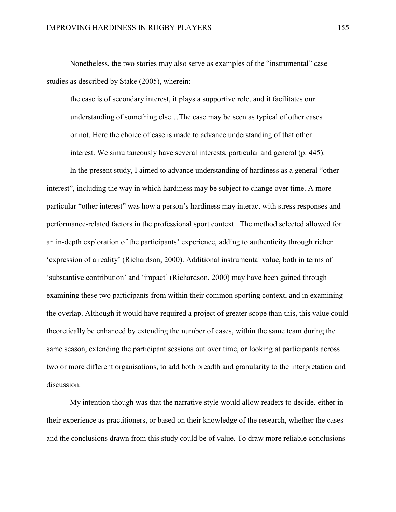Nonetheless, the two stories may also serve as examples of the "instrumental" case studies as described by Stake (2005), wherein:

the case is of secondary interest, it plays a supportive role, and it facilitates our understanding of something else…The case may be seen as typical of other cases or not. Here the choice of case is made to advance understanding of that other interest. We simultaneously have several interests, particular and general (p. 445).

In the present study, I aimed to advance understanding of hardiness as a general "other interest", including the way in which hardiness may be subject to change over time. A more particular "other interest" was how a person's hardiness may interact with stress responses and performance-related factors in the professional sport context. The method selected allowed for an in-depth exploration of the participants' experience, adding to authenticity through richer 'expression of a reality' (Richardson, 2000). Additional instrumental value, both in terms of 'substantive contribution' and 'impact' (Richardson, 2000) may have been gained through examining these two participants from within their common sporting context, and in examining the overlap. Although it would have required a project of greater scope than this, this value could theoretically be enhanced by extending the number of cases, within the same team during the same season, extending the participant sessions out over time, or looking at participants across two or more different organisations, to add both breadth and granularity to the interpretation and discussion.

My intention though was that the narrative style would allow readers to decide, either in their experience as practitioners, or based on their knowledge of the research, whether the cases and the conclusions drawn from this study could be of value. To draw more reliable conclusions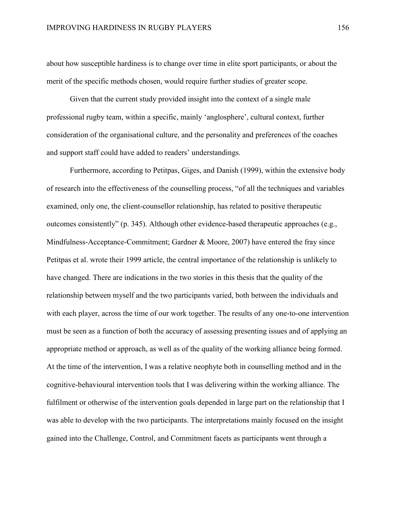about how susceptible hardiness is to change over time in elite sport participants, or about the merit of the specific methods chosen, would require further studies of greater scope.

Given that the current study provided insight into the context of a single male professional rugby team, within a specific, mainly 'anglosphere', cultural context, further consideration of the organisational culture, and the personality and preferences of the coaches and support staff could have added to readers' understandings.

Furthermore, according to Petitpas, Giges, and Danish (1999), within the extensive body of research into the effectiveness of the counselling process, "of all the techniques and variables examined, only one, the client-counsellor relationship, has related to positive therapeutic outcomes consistently" (p. 345). Although other evidence-based therapeutic approaches (e.g., Mindfulness-Acceptance-Commitment; Gardner & Moore, 2007) have entered the fray since Petitpas et al. wrote their 1999 article, the central importance of the relationship is unlikely to have changed. There are indications in the two stories in this thesis that the quality of the relationship between myself and the two participants varied, both between the individuals and with each player, across the time of our work together. The results of any one-to-one intervention must be seen as a function of both the accuracy of assessing presenting issues and of applying an appropriate method or approach, as well as of the quality of the working alliance being formed. At the time of the intervention, I was a relative neophyte both in counselling method and in the cognitive-behavioural intervention tools that I was delivering within the working alliance. The fulfilment or otherwise of the intervention goals depended in large part on the relationship that I was able to develop with the two participants. The interpretations mainly focused on the insight gained into the Challenge, Control, and Commitment facets as participants went through a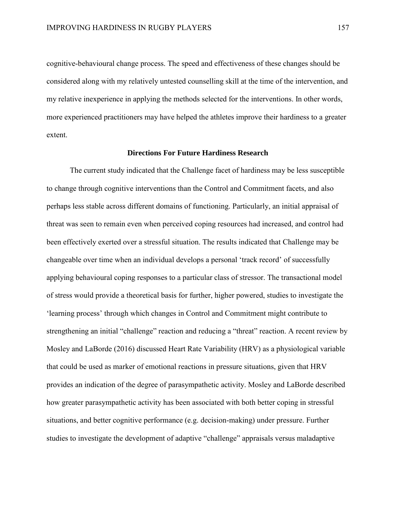cognitive-behavioural change process. The speed and effectiveness of these changes should be considered along with my relatively untested counselling skill at the time of the intervention, and my relative inexperience in applying the methods selected for the interventions. In other words, more experienced practitioners may have helped the athletes improve their hardiness to a greater extent.

#### **Directions For Future Hardiness Research**

The current study indicated that the Challenge facet of hardiness may be less susceptible to change through cognitive interventions than the Control and Commitment facets, and also perhaps less stable across different domains of functioning. Particularly, an initial appraisal of threat was seen to remain even when perceived coping resources had increased, and control had been effectively exerted over a stressful situation. The results indicated that Challenge may be changeable over time when an individual develops a personal 'track record' of successfully applying behavioural coping responses to a particular class of stressor. The transactional model of stress would provide a theoretical basis for further, higher powered, studies to investigate the 'learning process' through which changes in Control and Commitment might contribute to strengthening an initial "challenge" reaction and reducing a "threat" reaction. A recent review by Mosley and LaBorde (2016) discussed Heart Rate Variability (HRV) as a physiological variable that could be used as marker of emotional reactions in pressure situations, given that HRV provides an indication of the degree of parasympathetic activity. Mosley and LaBorde described how greater parasympathetic activity has been associated with both better coping in stressful situations, and better cognitive performance (e.g. decision-making) under pressure. Further studies to investigate the development of adaptive "challenge" appraisals versus maladaptive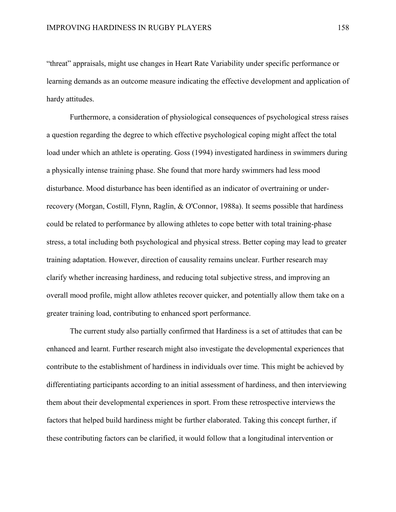"threat" appraisals, might use changes in Heart Rate Variability under specific performance or learning demands as an outcome measure indicating the effective development and application of hardy attitudes.

Furthermore, a consideration of physiological consequences of psychological stress raises a question regarding the degree to which effective psychological coping might affect the total load under which an athlete is operating. Goss (1994) investigated hardiness in swimmers during a physically intense training phase. She found that more hardy swimmers had less mood disturbance. Mood disturbance has been identified as an indicator of overtraining or underrecovery (Morgan, Costill, Flynn, Raglin, & O'Connor, 1988a). It seems possible that hardiness could be related to performance by allowing athletes to cope better with total training-phase stress, a total including both psychological and physical stress. Better coping may lead to greater training adaptation. However, direction of causality remains unclear. Further research may clarify whether increasing hardiness, and reducing total subjective stress, and improving an overall mood profile, might allow athletes recover quicker, and potentially allow them take on a greater training load, contributing to enhanced sport performance.

The current study also partially confirmed that Hardiness is a set of attitudes that can be enhanced and learnt. Further research might also investigate the developmental experiences that contribute to the establishment of hardiness in individuals over time. This might be achieved by differentiating participants according to an initial assessment of hardiness, and then interviewing them about their developmental experiences in sport. From these retrospective interviews the factors that helped build hardiness might be further elaborated. Taking this concept further, if these contributing factors can be clarified, it would follow that a longitudinal intervention or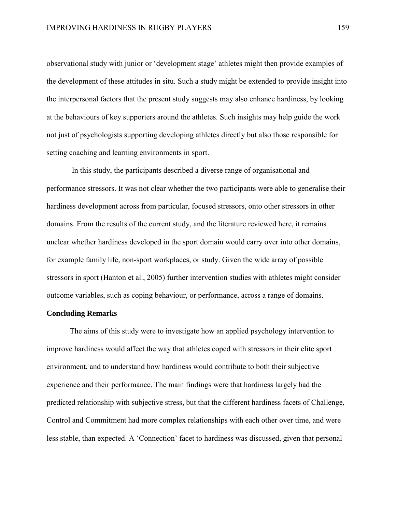observational study with junior or 'development stage' athletes might then provide examples of the development of these attitudes in situ. Such a study might be extended to provide insight into the interpersonal factors that the present study suggests may also enhance hardiness, by looking at the behaviours of key supporters around the athletes. Such insights may help guide the work not just of psychologists supporting developing athletes directly but also those responsible for setting coaching and learning environments in sport.

In this study, the participants described a diverse range of organisational and performance stressors. It was not clear whether the two participants were able to generalise their hardiness development across from particular, focused stressors, onto other stressors in other domains. From the results of the current study, and the literature reviewed here, it remains unclear whether hardiness developed in the sport domain would carry over into other domains, for example family life, non-sport workplaces, or study. Given the wide array of possible stressors in sport (Hanton et al., 2005) further intervention studies with athletes might consider outcome variables, such as coping behaviour, or performance, across a range of domains.

#### **Concluding Remarks**

The aims of this study were to investigate how an applied psychology intervention to improve hardiness would affect the way that athletes coped with stressors in their elite sport environment, and to understand how hardiness would contribute to both their subjective experience and their performance. The main findings were that hardiness largely had the predicted relationship with subjective stress, but that the different hardiness facets of Challenge, Control and Commitment had more complex relationships with each other over time, and were less stable, than expected. A 'Connection' facet to hardiness was discussed, given that personal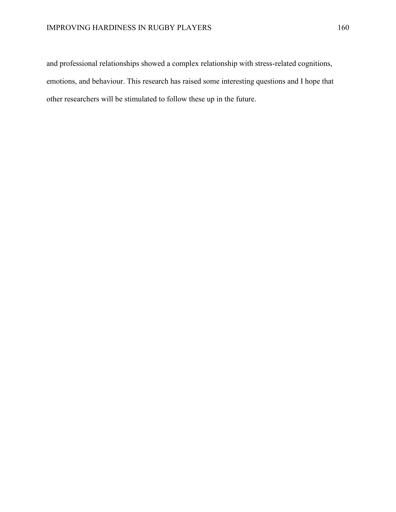and professional relationships showed a complex relationship with stress-related cognitions, emotions, and behaviour. This research has raised some interesting questions and I hope that other researchers will be stimulated to follow these up in the future.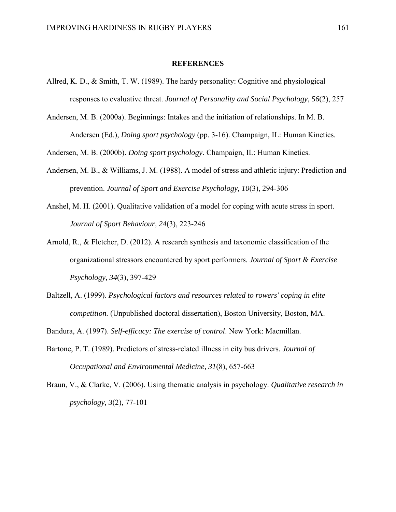#### **REFERENCES**

- Allred, K. D., & Smith, T. W. (1989). The hardy personality: Cognitive and physiological responses to evaluative threat. *Journal of Personality and Social Psychology, 56*(2), 257
- Andersen, M. B. (2000a). Beginnings: Intakes and the initiation of relationships. In M. B. Andersen (Ed.), *Doing sport psychology* (pp. 3-16). Champaign, IL: Human Kinetics.

Andersen, M. B. (2000b). *Doing sport psychology*. Champaign, IL: Human Kinetics.

- Andersen, M. B., & Williams, J. M. (1988). A model of stress and athletic injury: Prediction and prevention. *Journal of Sport and Exercise Psychology, 10*(3), 294-306
- Anshel, M. H. (2001). Qualitative validation of a model for coping with acute stress in sport. *Journal of Sport Behaviour, 24*(3), 223-246
- Arnold, R., & Fletcher, D. (2012). A research synthesis and taxonomic classification of the organizational stressors encountered by sport performers. *Journal of Sport & Exercise Psychology, 34*(3), 397-429
- Baltzell, A. (1999). *Psychological factors and resources related to rowers' coping in elite competition.* (Unpublished doctoral dissertation), Boston University, Boston, MA.

Bandura, A. (1997). *Self-efficacy: The exercise of control*. New York: Macmillan.

- Bartone, P. T. (1989). Predictors of stress-related illness in city bus drivers. *Journal of Occupational and Environmental Medicine, 31*(8), 657-663
- Braun, V., & Clarke, V. (2006). Using thematic analysis in psychology. *Qualitative research in psychology, 3*(2), 77-101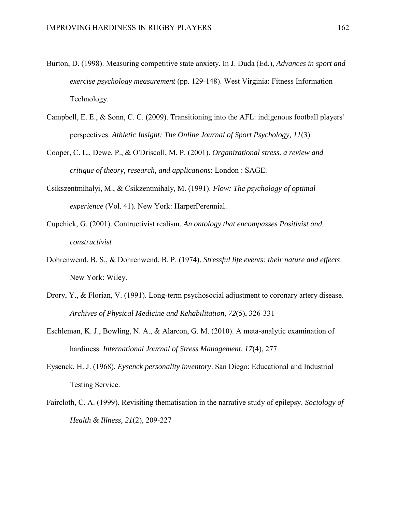- Burton, D. (1998). Measuring competitive state anxiety. In J. Duda (Ed.), *Advances in sport and exercise psychology measurement* (pp. 129-148). West Virginia: Fitness Information Technology.
- Campbell, E. E., & Sonn, C. C. (2009). Transitioning into the AFL: indigenous football players' perspectives. *Athletic Insight: The Online Journal of Sport Psychology, 11*(3)
- Cooper, C. L., Dewe, P., & O'Driscoll, M. P. (2001). *Organizational stress. a review and critique of theory, research, and applications*: London : SAGE.
- Csikszentmihalyi, M., & Csikzentmihaly, M. (1991). *Flow: The psychology of optimal experience* (Vol. 41). New York: HarperPerennial.
- Cupchick, G. (2001). Contructivist realism. *An ontology that encompasses Positivist and constructivist*
- Dohrenwend, B. S., & Dohrenwend, B. P. (1974). *Stressful life events: their nature and effects*. New York: Wiley.
- Drory, Y., & Florian, V. (1991). Long-term psychosocial adjustment to coronary artery disease. *Archives of Physical Medicine and Rehabilitation, 72*(5), 326-331
- Eschleman, K. J., Bowling, N. A., & Alarcon, G. M. (2010). A meta-analytic examination of hardiness. *International Journal of Stress Management, 17*(4), 277
- Eysenck, H. J. (1968). *Eysenck personality inventory*. San Diego: Educational and Industrial Testing Service.
- Faircloth, C. A. (1999). Revisiting thematisation in the narrative study of epilepsy. *Sociology of Health & Illness, 21*(2), 209-227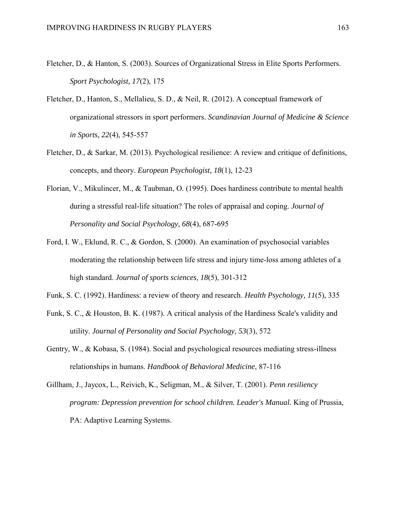- Fletcher, D., & Hanton, S. (2003). Sources of Organizational Stress in Elite Sports Performers. *Sport Psychologist, 17*(2), 175
- Fletcher, D., Hanton, S., Mellalieu, S. D., & Neil, R. (2012). A conceptual framework of organizational stressors in sport performers. *Scandinavian Journal of Medicine & Science in Sports, 22*(4), 545-557
- Fletcher, D., & Sarkar, M. (2013). Psychological resilience: A review and critique of definitions, concepts, and theory. *European Psychologist, 18*(1), 12-23
- Florian, V., Mikulincer, M., & Taubman, O. (1995). Does hardiness contribute to mental health during a stressful real-life situation? The roles of appraisal and coping. *Journal of Personality and Social Psychology, 68*(4), 687-695
- Ford, I. W., Eklund, R. C., & Gordon, S. (2000). An examination of psychosocial variables moderating the relationship between life stress and injury time-loss among athletes of a high standard. *Journal of sports sciences, 18*(5), 301-312
- Funk, S. C. (1992). Hardiness: a review of theory and research. *Health Psychology, 11*(5), 335
- Funk, S. C., & Houston, B. K. (1987). A critical analysis of the Hardiness Scale's validity and utility. *Journal of Personality and Social Psychology, 53*(3), 572
- Gentry, W., & Kobasa, S. (1984). Social and psychological resources mediating stress-illness relationships in humans. *Handbook of Behavioral Medicine*, 87-116
- Gillham, J., Jaycox, L., Reivich, K., Seligman, M., & Silver, T. (2001). *Penn resiliency program: Depression prevention for school children. Leader's Manual.* King of Prussia, PA: Adaptive Learning Systems.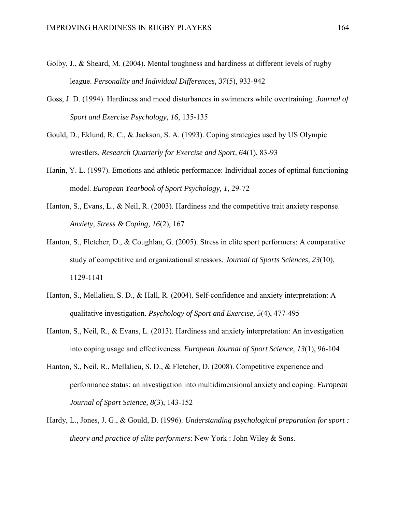- Golby, J., & Sheard, M. (2004). Mental toughness and hardiness at different levels of rugby league. *Personality and Individual Differences, 37*(5), 933-942
- Goss, J. D. (1994). Hardiness and mood disturbances in swimmers while overtraining. *Journal of Sport and Exercise Psychology, 16*, 135-135
- Gould, D., Eklund, R. C., & Jackson, S. A. (1993). Coping strategies used by US Olympic wrestlers. *Research Quarterly for Exercise and Sport, 64*(1), 83-93
- Hanin, Y. L. (1997). Emotions and athletic performance: Individual zones of optimal functioning model. *European Yearbook of Sport Psychology, 1*, 29-72
- Hanton, S., Evans, L., & Neil, R. (2003). Hardiness and the competitive trait anxiety response. *Anxiety, Stress & Coping, 16*(2), 167
- Hanton, S., Fletcher, D., & Coughlan, G. (2005). Stress in elite sport performers: A comparative study of competitive and organizational stressors. *Journal of Sports Sciences, 23*(10), 1129-1141
- Hanton, S., Mellalieu, S. D., & Hall, R. (2004). Self-confidence and anxiety interpretation: A qualitative investigation. *Psychology of Sport and Exercise, 5*(4), 477-495
- Hanton, S., Neil, R., & Evans, L. (2013). Hardiness and anxiety interpretation: An investigation into coping usage and effectiveness. *European Journal of Sport Science, 13*(1), 96-104
- Hanton, S., Neil, R., Mellalieu, S. D., & Fletcher, D. (2008). Competitive experience and performance status: an investigation into multidimensional anxiety and coping. *European Journal of Sport Science, 8*(3), 143-152
- Hardy, L., Jones, J. G., & Gould, D. (1996). *Understanding psychological preparation for sport : theory and practice of elite performers*: New York : John Wiley & Sons.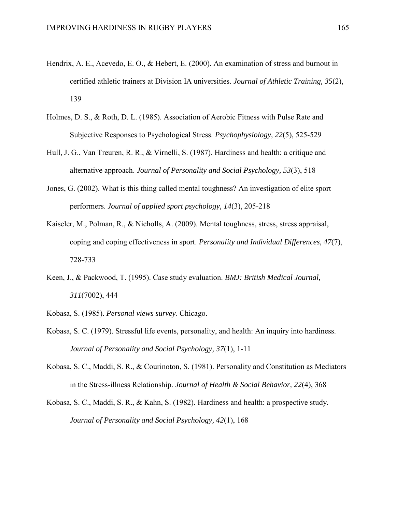- Hendrix, A. E., Acevedo, E. O., & Hebert, E. (2000). An examination of stress and burnout in certified athletic trainers at Division IA universities. *Journal of Athletic Training, 35*(2), 139
- Holmes, D. S., & Roth, D. L. (1985). Association of Aerobic Fitness with Pulse Rate and Subjective Responses to Psychological Stress. *Psychophysiology, 22*(5), 525-529
- Hull, J. G., Van Treuren, R. R., & Virnelli, S. (1987). Hardiness and health: a critique and alternative approach. *Journal of Personality and Social Psychology, 53*(3), 518
- Jones, G. (2002). What is this thing called mental toughness? An investigation of elite sport performers. *Journal of applied sport psychology, 14*(3), 205-218
- Kaiseler, M., Polman, R., & Nicholls, A. (2009). Mental toughness, stress, stress appraisal, coping and coping effectiveness in sport. *Personality and Individual Differences, 47*(7), 728-733
- Keen, J., & Packwood, T. (1995). Case study evaluation. *BMJ: British Medical Journal, 311*(7002), 444
- Kobasa, S. (1985). *Personal views survey*. Chicago.
- Kobasa, S. C. (1979). Stressful life events, personality, and health: An inquiry into hardiness. *Journal of Personality and Social Psychology, 37*(1), 1-11
- Kobasa, S. C., Maddi, S. R., & Courinoton, S. (1981). Personality and Constitution as Mediators in the Stress-illness Relationship. *Journal of Health & Social Behavior, 22*(4), 368
- Kobasa, S. C., Maddi, S. R., & Kahn, S. (1982). Hardiness and health: a prospective study. *Journal of Personality and Social Psychology, 42*(1), 168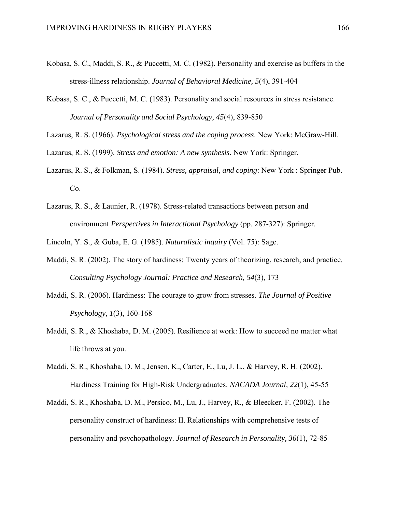- Kobasa, S. C., Maddi, S. R., & Puccetti, M. C. (1982). Personality and exercise as buffers in the stress-illness relationship. *Journal of Behavioral Medicine, 5*(4), 391-404
- Kobasa, S. C., & Puccetti, M. C. (1983). Personality and social resources in stress resistance. *Journal of Personality and Social Psychology, 45*(4), 839-850
- Lazarus, R. S. (1966). *Psychological stress and the coping process*. New York: McGraw-Hill.
- Lazarus, R. S. (1999). *Stress and emotion: A new synthesis*. New York: Springer.
- Lazarus, R. S., & Folkman, S. (1984). *Stress, appraisal, and coping*: New York : Springer Pub. Co.
- Lazarus, R. S., & Launier, R. (1978). Stress-related transactions between person and environment *Perspectives in Interactional Psychology* (pp. 287-327): Springer.

Lincoln, Y. S., & Guba, E. G. (1985). *Naturalistic inquiry* (Vol. 75): Sage.

- Maddi, S. R. (2002). The story of hardiness: Twenty years of theorizing, research, and practice. *Consulting Psychology Journal: Practice and Research, 54*(3), 173
- Maddi, S. R. (2006). Hardiness: The courage to grow from stresses. *The Journal of Positive Psychology, 1*(3), 160-168
- Maddi, S. R., & Khoshaba, D. M. (2005). Resilience at work: How to succeed no matter what life throws at you.
- Maddi, S. R., Khoshaba, D. M., Jensen, K., Carter, E., Lu, J. L., & Harvey, R. H. (2002). Hardiness Training for High-Risk Undergraduates. *NACADA Journal, 22*(1), 45-55
- Maddi, S. R., Khoshaba, D. M., Persico, M., Lu, J., Harvey, R., & Bleecker, F. (2002). The personality construct of hardiness: II. Relationships with comprehensive tests of personality and psychopathology. *Journal of Research in Personality, 36*(1), 72-85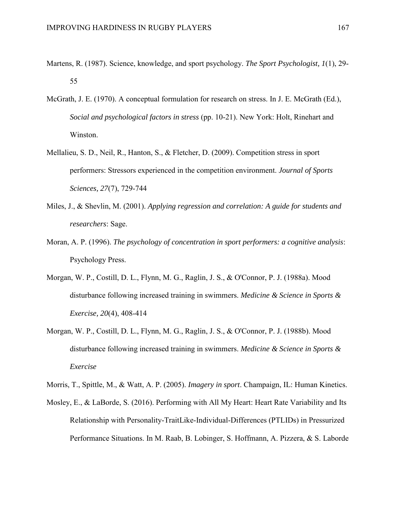- Martens, R. (1987). Science, knowledge, and sport psychology. *The Sport Psychologist, 1*(1), 29- 55
- McGrath, J. E. (1970). A conceptual formulation for research on stress. In J. E. McGrath (Ed.), *Social and psychological factors in stress* (pp. 10-21). New York: Holt, Rinehart and Winston.
- Mellalieu, S. D., Neil, R., Hanton, S., & Fletcher, D. (2009). Competition stress in sport performers: Stressors experienced in the competition environment. *Journal of Sports Sciences, 27*(7), 729-744
- Miles, J., & Shevlin, M. (2001). *Applying regression and correlation: A guide for students and researchers*: Sage.
- Moran, A. P. (1996). *The psychology of concentration in sport performers: a cognitive analysis*: Psychology Press.
- Morgan, W. P., Costill, D. L., Flynn, M. G., Raglin, J. S., & O'Connor, P. J. (1988a). Mood disturbance following increased training in swimmers. *Medicine & Science in Sports & Exercise, 20*(4), 408-414
- Morgan, W. P., Costill, D. L., Flynn, M. G., Raglin, J. S., & O'Connor, P. J. (1988b). Mood disturbance following increased training in swimmers. *Medicine & Science in Sports & Exercise*

Morris, T., Spittle, M., & Watt, A. P. (2005). *Imagery in sport*. Champaign, IL: Human Kinetics.

Mosley, E., & LaBorde, S. (2016). Performing with All My Heart: Heart Rate Variability and Its Relationship with Personality-TraitLike-Individual-Differences (PTLIDs) in Pressurized Performance Situations. In M. Raab, B. Lobinger, S. Hoffmann, A. Pizzera, & S. Laborde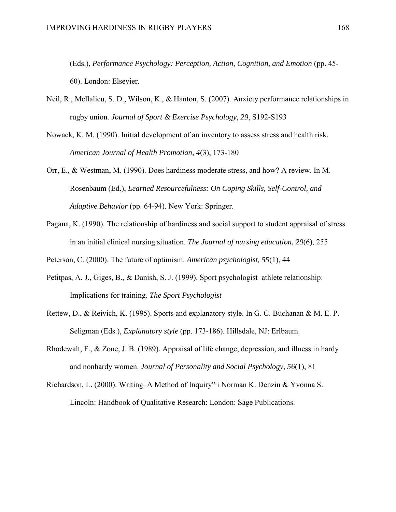(Eds.), *Performance Psychology: Perception, Action, Cognition, and Emotion* (pp. 45- 60). London: Elsevier.

- Neil, R., Mellalieu, S. D., Wilson, K., & Hanton, S. (2007). Anxiety performance relationships in rugby union. *Journal of Sport & Exercise Psychology, 29*, S192-S193
- Nowack, K. M. (1990). Initial development of an inventory to assess stress and health risk. *American Journal of Health Promotion, 4*(3), 173-180
- Orr, E., & Westman, M. (1990). Does hardiness moderate stress, and how? A review. In M. Rosenbaum (Ed.), *Learned Resourcefulness: On Coping Skills, Self-Control, and Adaptive Behavior* (pp. 64-94). New York: Springer.
- Pagana, K. (1990). The relationship of hardiness and social support to student appraisal of stress in an initial clinical nursing situation. *The Journal of nursing education, 29*(6), 255

Peterson, C. (2000). The future of optimism. *American psychologist, 55*(1), 44

- Petitpas, A. J., Giges, B., & Danish, S. J. (1999). Sport psychologist–athlete relationship: Implications for training. *The Sport Psychologist*
- Rettew, D., & Reivich, K. (1995). Sports and explanatory style. In G. C. Buchanan & M. E. P. Seligman (Eds.), *Explanatory style* (pp. 173-186). Hillsdale, NJ: Erlbaum.
- Rhodewalt, F., & Zone, J. B. (1989). Appraisal of life change, depression, and illness in hardy and nonhardy women. *Journal of Personality and Social Psychology, 56*(1), 81
- Richardson, L. (2000). Writing–A Method of Inquiry" i Norman K. Denzin & Yvonna S. Lincoln: Handbook of Qualitative Research: London: Sage Publications.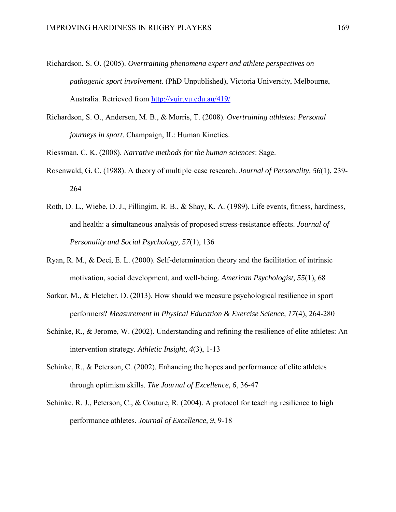- Richardson, S. O. (2005). *Overtraining phenomena expert and athlete perspectives on pathogenic sport involvement.* (PhD Unpublished), Victoria University, Melbourne, Australia. Retrieved from<http://vuir.vu.edu.au/419/>
- Richardson, S. O., Andersen, M. B., & Morris, T. (2008). *Overtraining athletes: Personal journeys in sport*. Champaign, IL: Human Kinetics.
- Riessman, C. K. (2008). *Narrative methods for the human sciences*: Sage.
- Rosenwald, G. C. (1988). A theory of multiple‐case research. *Journal of Personality, 56*(1), 239- 264
- Roth, D. L., Wiebe, D. J., Fillingim, R. B., & Shay, K. A. (1989). Life events, fitness, hardiness, and health: a simultaneous analysis of proposed stress-resistance effects. *Journal of Personality and Social Psychology, 57*(1), 136
- Ryan, R. M., & Deci, E. L. (2000). Self-determination theory and the facilitation of intrinsic motivation, social development, and well-being. *American Psychologist, 55*(1), 68
- Sarkar, M., & Fletcher, D. (2013). How should we measure psychological resilience in sport performers? *Measurement in Physical Education & Exercise Science, 17*(4), 264-280
- Schinke, R., & Jerome, W. (2002). Understanding and refining the resilience of elite athletes: An intervention strategy. *Athletic Insight, 4*(3), 1-13
- Schinke, R., & Peterson, C. (2002). Enhancing the hopes and performance of elite athletes through optimism skills. *The Journal of Excellence, 6*, 36-47
- Schinke, R. J., Peterson, C., & Couture, R. (2004). A protocol for teaching resilience to high performance athletes. *Journal of Excellence, 9*, 9-18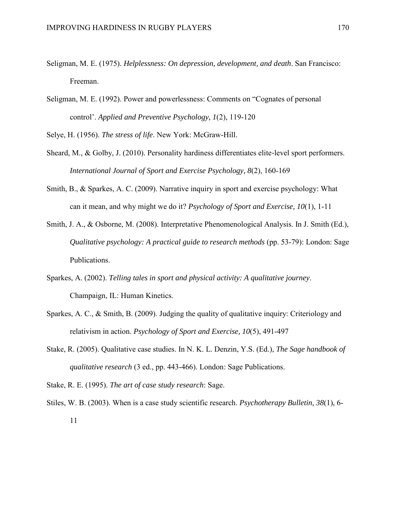- Seligman, M. E. (1975). *Helplessness: On depression, development, and death*. San Francisco: Freeman.
- Seligman, M. E. (1992). Power and powerlessness: Comments on "Cognates of personal control'. *Applied and Preventive Psychology, 1*(2), 119-120

Selye, H. (1956). *The stress of life*. New York: McGraw-Hill.

- Sheard, M., & Golby, J. (2010). Personality hardiness differentiates elite‐level sport performers. *International Journal of Sport and Exercise Psychology, 8*(2), 160-169
- Smith, B., & Sparkes, A. C. (2009). Narrative inquiry in sport and exercise psychology: What can it mean, and why might we do it? *Psychology of Sport and Exercise, 10*(1), 1-11
- Smith, J. A., & Osborne, M. (2008). Interpretative Phenomenological Analysis. In J. Smith (Ed.), *Qualitative psychology: A practical guide to research methods* (pp. 53-79): London: Sage Publications.
- Sparkes, A. (2002). *Telling tales in sport and physical activity: A qualitative journey*. Champaign, IL: Human Kinetics.
- Sparkes, A. C., & Smith, B. (2009). Judging the quality of qualitative inquiry: Criteriology and relativism in action. *Psychology of Sport and Exercise, 10*(5), 491-497
- Stake, R. (2005). Qualitative case studies. In N. K. L. Denzin, Y.S. (Ed.), *The Sage handbook of qualitative research* (3 ed., pp. 443-466). London: Sage Publications.
- Stake, R. E. (1995). *The art of case study research*: Sage.
- Stiles, W. B. (2003). When is a case study scientific research. *Psychotherapy Bulletin, 38*(1), 6- 11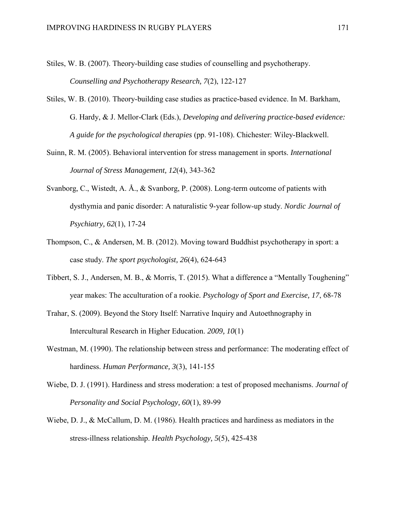- Stiles, W. B. (2007). Theory-building case studies of counselling and psychotherapy. *Counselling and Psychotherapy Research, 7*(2), 122-127
- Stiles, W. B. (2010). Theory-building case studies as practice-based evidence. In M. Barkham, G. Hardy, & J. Mellor-Clark (Eds.), *Developing and delivering practice-based evidence: A guide for the psychological therapies* (pp. 91-108). Chichester: Wiley-Blackwell.
- Suinn, R. M. (2005). Behavioral intervention for stress management in sports. *International Journal of Stress Management, 12*(4), 343-362
- Svanborg, C., Wistedt, A. Å., & Svanborg, P. (2008). Long-term outcome of patients with dysthymia and panic disorder: A naturalistic 9-year follow-up study. *Nordic Journal of Psychiatry, 62*(1), 17-24
- Thompson, C., & Andersen, M. B. (2012). Moving toward Buddhist psychotherapy in sport: a case study. *The sport psychologist, 26*(4), 624-643
- Tibbert, S. J., Andersen, M. B., & Morris, T. (2015). What a difference a "Mentally Toughening" year makes: The acculturation of a rookie. *Psychology of Sport and Exercise, 17*, 68-78
- Trahar, S. (2009). Beyond the Story Itself: Narrative Inquiry and Autoethnography in Intercultural Research in Higher Education. *2009, 10*(1)
- Westman, M. (1990). The relationship between stress and performance: The moderating effect of hardiness. *Human Performance, 3*(3), 141-155
- Wiebe, D. J. (1991). Hardiness and stress moderation: a test of proposed mechanisms. *Journal of Personality and Social Psychology, 60*(1), 89-99
- Wiebe, D. J., & McCallum, D. M. (1986). Health practices and hardiness as mediators in the stress-illness relationship. *Health Psychology, 5*(5), 425-438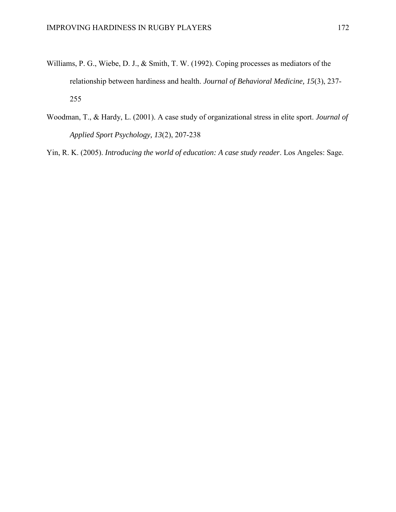- Williams, P. G., Wiebe, D. J., & Smith, T. W. (1992). Coping processes as mediators of the relationship between hardiness and health. *Journal of Behavioral Medicine, 15*(3), 237- 255
- Woodman, T., & Hardy, L. (2001). A case study of organizational stress in elite sport. *Journal of Applied Sport Psychology, 13*(2), 207-238

Yin, R. K. (2005). *Introducing the world of education: A case study reader*. Los Angeles: Sage.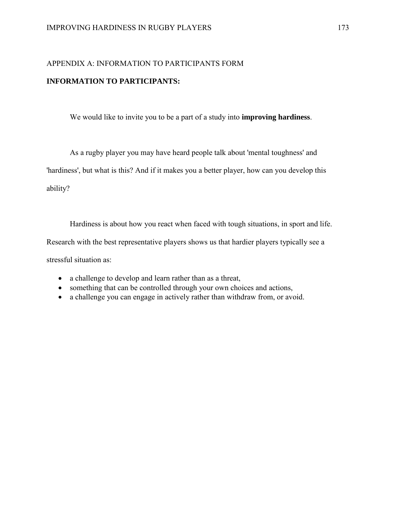# APPENDIX A: INFORMATION TO PARTICIPANTS FORM **INFORMATION TO PARTICIPANTS:**

We would like to invite you to be a part of a study into **improving hardiness**.

As a rugby player you may have heard people talk about 'mental toughness' and 'hardiness', but what is this? And if it makes you a better player, how can you develop this ability?

Hardiness is about how you react when faced with tough situations, in sport and life. Research with the best representative players shows us that hardier players typically see a stressful situation as:

- a challenge to develop and learn rather than as a threat,
- something that can be controlled through your own choices and actions,
- a challenge you can engage in actively rather than withdraw from, or avoid.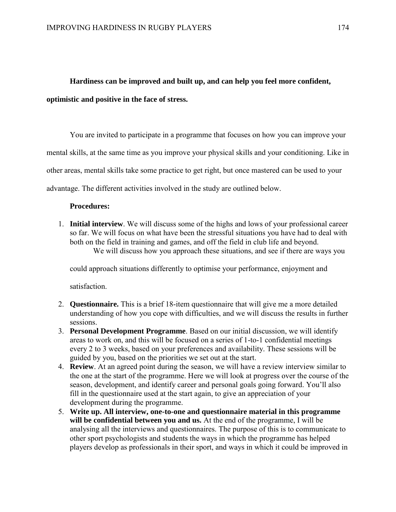#### **Hardiness can be improved and built up, and can help you feel more confident,**

#### **optimistic and positive in the face of stress.**

You are invited to participate in a programme that focuses on how you can improve your mental skills, at the same time as you improve your physical skills and your conditioning. Like in other areas, mental skills take some practice to get right, but once mastered can be used to your advantage. The different activities involved in the study are outlined below.

#### **Procedures:**

1. **Initial interview**. We will discuss some of the highs and lows of your professional career so far. We will focus on what have been the stressful situations you have had to deal with both on the field in training and games, and off the field in club life and beyond. We will discuss how you approach these situations, and see if there are ways you

could approach situations differently to optimise your performance, enjoyment and

satisfaction.

- 2. **Questionnaire.** This is a brief 18-item questionnaire that will give me a more detailed understanding of how you cope with difficulties, and we will discuss the results in further sessions.
- 3. **Personal Development Programme**. Based on our initial discussion, we will identify areas to work on, and this will be focused on a series of 1-to-1 confidential meetings every 2 to 3 weeks, based on your preferences and availability. These sessions will be guided by you, based on the priorities we set out at the start.
- 4. **Review**. At an agreed point during the season, we will have a review interview similar to the one at the start of the programme. Here we will look at progress over the course of the season, development, and identify career and personal goals going forward. You'll also fill in the questionnaire used at the start again, to give an appreciation of your development during the programme.
- 5. **Write up. All interview, one-to-one and questionnaire material in this programme will be confidential between you and us.** At the end of the programme, I will be analysing all the interviews and questionnaires. The purpose of this is to communicate to other sport psychologists and students the ways in which the programme has helped players develop as professionals in their sport, and ways in which it could be improved in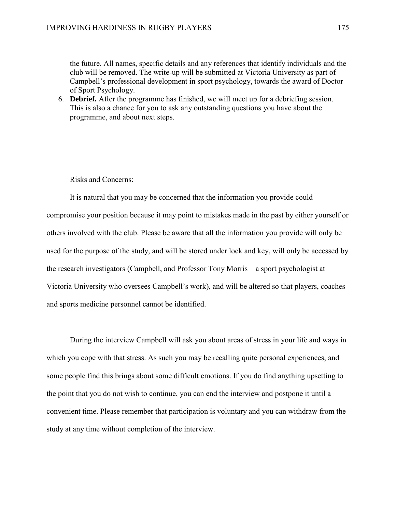the future. All names, specific details and any references that identify individuals and the club will be removed. The write-up will be submitted at Victoria University as part of Campbell's professional development in sport psychology, towards the award of Doctor of Sport Psychology.

6. **Debrief.** After the programme has finished, we will meet up for a debriefing session. This is also a chance for you to ask any outstanding questions you have about the programme, and about next steps.

Risks and Concerns:

It is natural that you may be concerned that the information you provide could compromise your position because it may point to mistakes made in the past by either yourself or others involved with the club. Please be aware that all the information you provide will only be used for the purpose of the study, and will be stored under lock and key, will only be accessed by the research investigators (Campbell, and Professor Tony Morris – a sport psychologist at Victoria University who oversees Campbell's work), and will be altered so that players, coaches and sports medicine personnel cannot be identified.

During the interview Campbell will ask you about areas of stress in your life and ways in which you cope with that stress. As such you may be recalling quite personal experiences, and some people find this brings about some difficult emotions. If you do find anything upsetting to the point that you do not wish to continue, you can end the interview and postpone it until a convenient time. Please remember that participation is voluntary and you can withdraw from the study at any time without completion of the interview.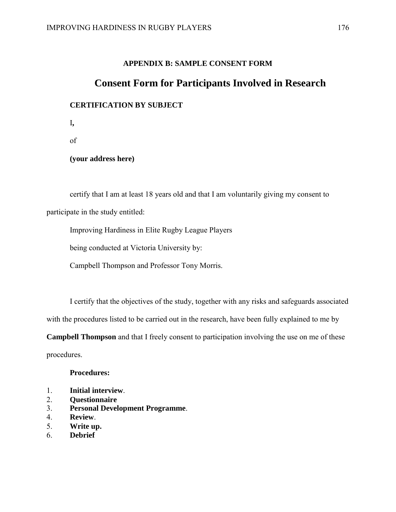#### **APPENDIX B: SAMPLE CONSENT FORM**

## **Consent Form for Participants Involved in Research**

### **CERTIFICATION BY SUBJECT**

I**,** 

of

**(your address here)**

certify that I am at least 18 years old and that I am voluntarily giving my consent to participate in the study entitled:

Improving Hardiness in Elite Rugby League Players

being conducted at Victoria University by:

Campbell Thompson and Professor Tony Morris.

I certify that the objectives of the study, together with any risks and safeguards associated with the procedures listed to be carried out in the research, have been fully explained to me by

**Campbell Thompson** and that I freely consent to participation involving the use on me of these

procedures.

#### **Procedures:**

- 1. **Initial interview**.
- 2. **Questionnaire**
- 3. **Personal Development Programme**.
- 4. **Review**.
- 5. **Write up.**
- 6. **Debrief**